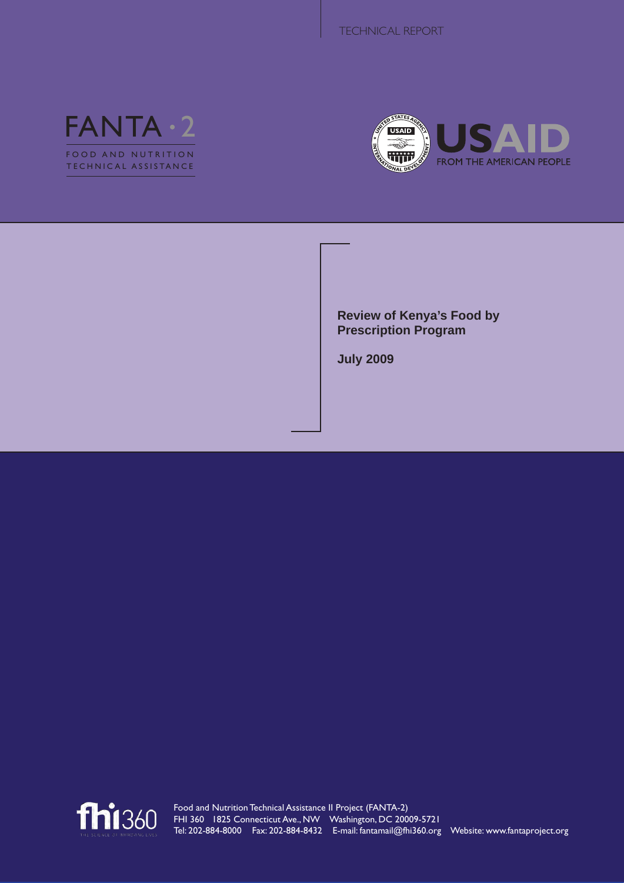



**Review of Kenya's Food by Prescription Program**

**July 2009**

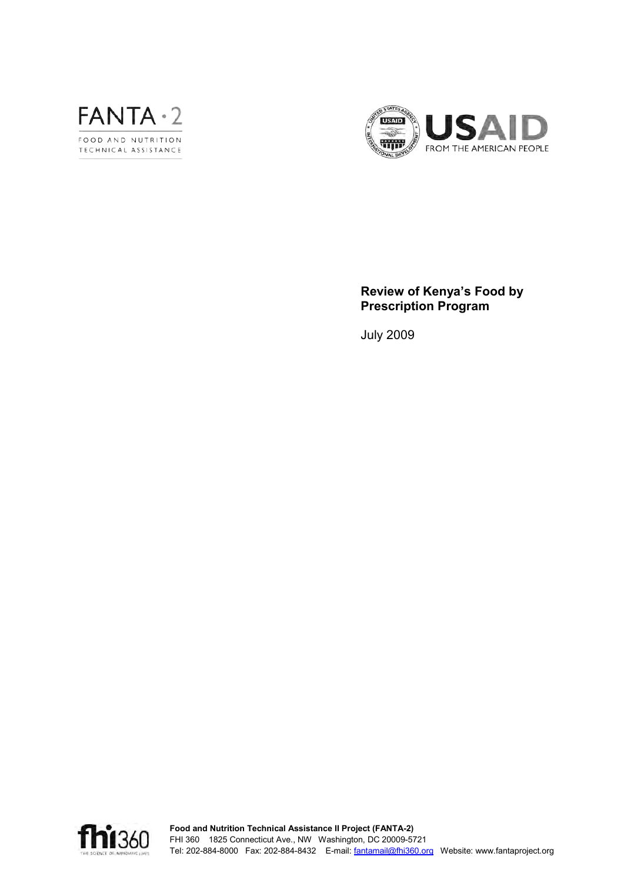



# **Review of Kenya's Food by Prescription Program**

July 2009

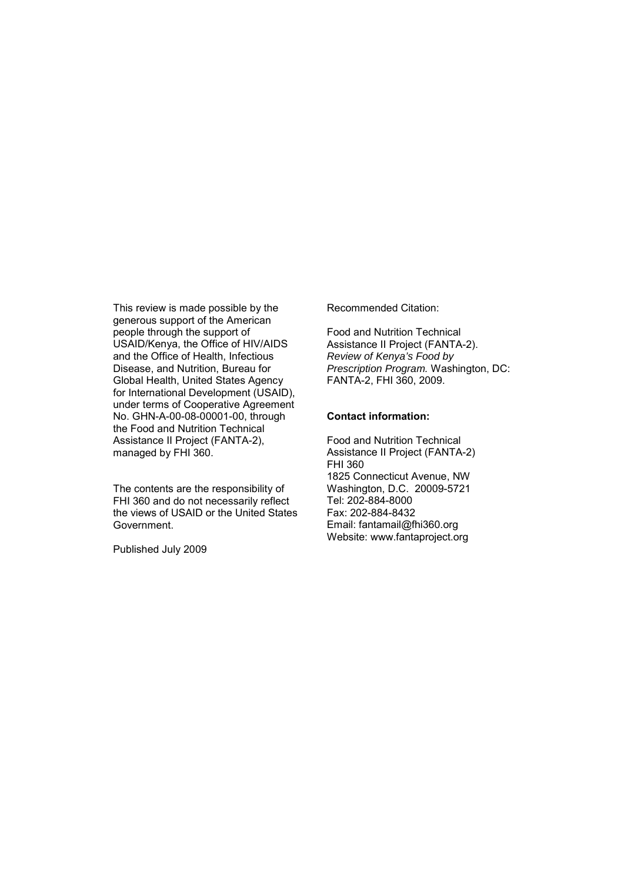This review is made possible by the generous support of the American people through the support of USAID/Kenya, the Office of HIV/AIDS and the Office of Health, Infectious Disease, and Nutrition, Bureau for Global Health, United States Agency for International Development (USAID), under terms of Cooperative Agreement No. GHN-A-00-08-00001-00, through the Food and Nutrition Technical Assistance II Project (FANTA-2), managed by FHI 360.

The contents are the responsibility of FHI 360 and do not necessarily reflect the views of USAID or the United States Government.

Published July 2009

Recommended Citation:

Food and Nutrition Technical Assistance II Project (FANTA-2). *Review of Kenya's Food by Prescription Program.* Washington, DC: FANTA-2, FHI 360, 2009.

#### **Contact information:**

Food and Nutrition Technical Assistance II Project (FANTA-2) FHI 360 1825 Connecticut Avenue, NW Washington, D.C. 20009-5721 Tel: 202-884-8000 Fax: 202-884-8432 Email: fantamail@fhi360.org Website: www.fantaproject.org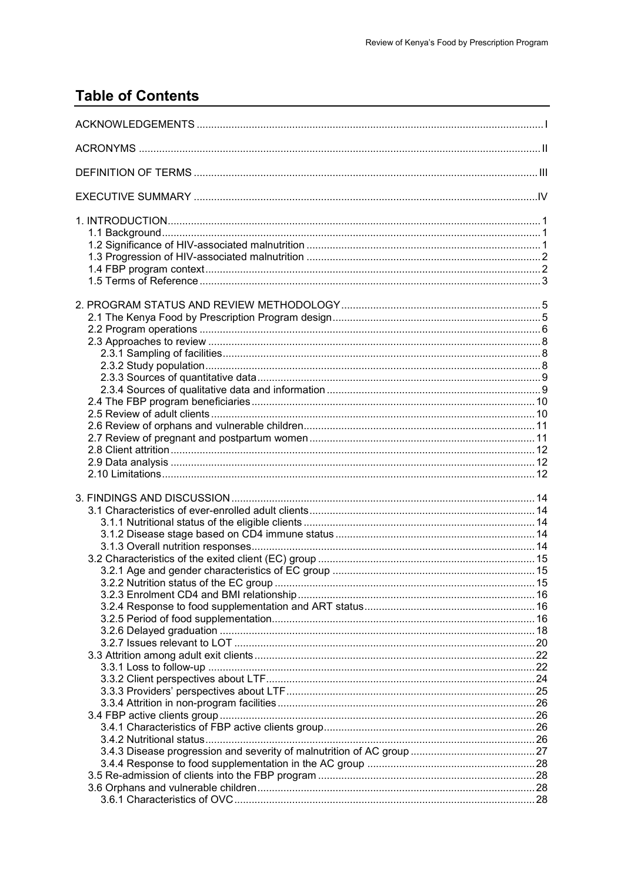# **Table of Contents**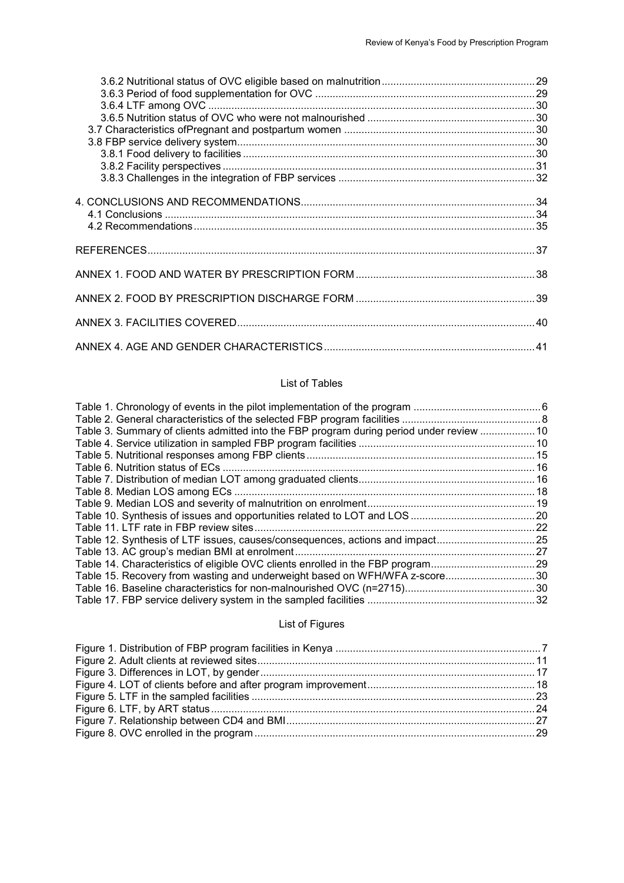### List of Tables

| Table 3. Summary of clients admitted into the FBP program during period under review  10 |  |
|------------------------------------------------------------------------------------------|--|
|                                                                                          |  |
|                                                                                          |  |
|                                                                                          |  |
|                                                                                          |  |
|                                                                                          |  |
|                                                                                          |  |
|                                                                                          |  |
|                                                                                          |  |
| Table 12. Synthesis of LTF issues, causes/consequences, actions and impact25             |  |
|                                                                                          |  |
| Table 14. Characteristics of eligible OVC clients enrolled in the FBP program29          |  |
| Table 15. Recovery from wasting and underweight based on WFH/WFA z-score 30              |  |
|                                                                                          |  |
|                                                                                          |  |
|                                                                                          |  |

## List of Figures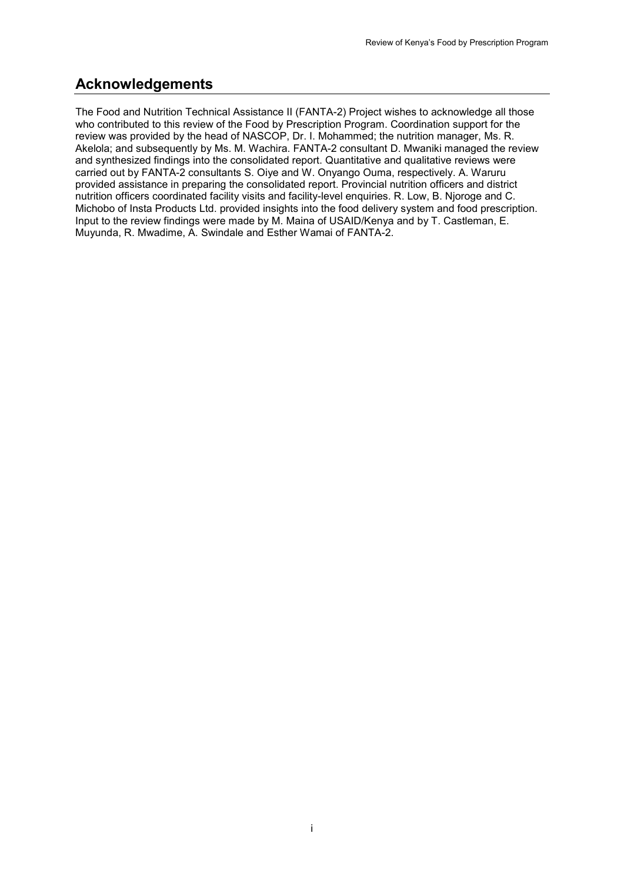# <span id="page-5-0"></span>**Acknowledgements**

The Food and Nutrition Technical Assistance II (FANTA-2) Project wishes to acknowledge all those who contributed to this review of the Food by Prescription Program. Coordination support for the review was provided by the head of NASCOP, Dr. I. Mohammed; the nutrition manager, Ms. R. Akelola; and subsequently by Ms. M. Wachira. FANTA-2 consultant D. Mwaniki managed the review and synthesized findings into the consolidated report. Quantitative and qualitative reviews were carried out by FANTA-2 consultants S. Oiye and W. Onyango Ouma, respectively. A. Waruru provided assistance in preparing the consolidated report. Provincial nutrition officers and district nutrition officers coordinated facility visits and facility-level enquiries. R. Low, B. Njoroge and C. Michobo of Insta Products Ltd. provided insights into the food delivery system and food prescription. Input to the review findings were made by M. Maina of USAID/Kenya and by T. Castleman, E. Muyunda, R. Mwadime, A. Swindale and Esther Wamai of FANTA-2.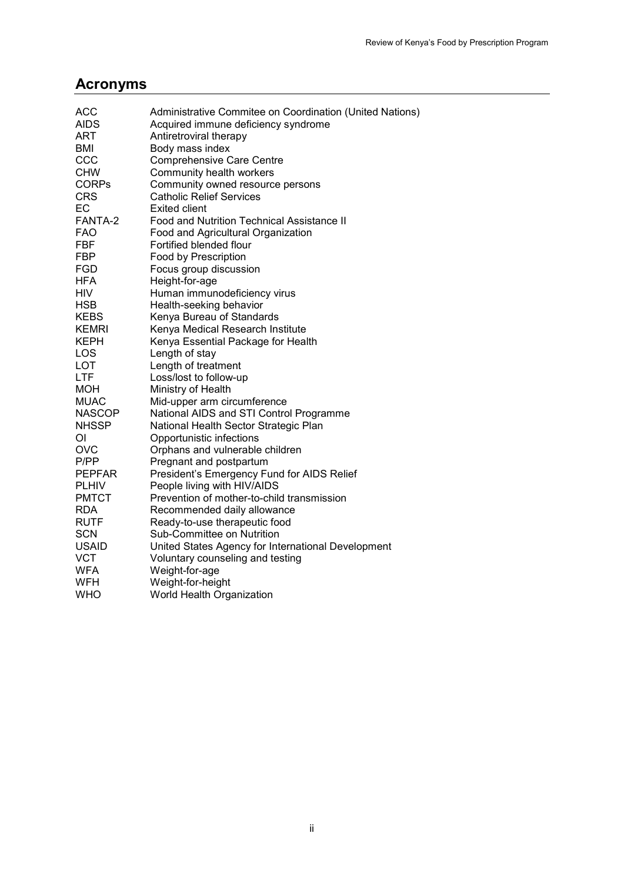# <span id="page-6-0"></span>**Acronyms**

| <b>ACC</b>    | Administrative Commitee on Coordination (United Nations) |
|---------------|----------------------------------------------------------|
| <b>AIDS</b>   | Acquired immune deficiency syndrome                      |
| ART           | Antiretroviral therapy                                   |
| <b>BMI</b>    | Body mass index                                          |
| CCC           | <b>Comprehensive Care Centre</b>                         |
| <b>CHW</b>    | Community health workers                                 |
| <b>CORPs</b>  | Community owned resource persons                         |
| <b>CRS</b>    | <b>Catholic Relief Services</b>                          |
| EC            | <b>Exited client</b>                                     |
| FANTA-2       | <b>Food and Nutrition Technical Assistance II</b>        |
| FAO           | Food and Agricultural Organization                       |
| FBF           | Fortified blended flour                                  |
| <b>FBP</b>    | Food by Prescription                                     |
| FGD           | Focus group discussion                                   |
| <b>HFA</b>    | Height-for-age                                           |
| <b>HIV</b>    | Human immunodeficiency virus                             |
| <b>HSB</b>    | Health-seeking behavior                                  |
| <b>KEBS</b>   | Kenya Bureau of Standards                                |
| <b>KEMRI</b>  | Kenya Medical Research Institute                         |
| KEPH          | Kenya Essential Package for Health                       |
| LOS           | Length of stay                                           |
| LOT           | Length of treatment                                      |
| LTF           | Loss/lost to follow-up                                   |
| <b>MOH</b>    | Ministry of Health                                       |
| <b>MUAC</b>   | Mid-upper arm circumference                              |
| <b>NASCOP</b> | National AIDS and STI Control Programme                  |
| <b>NHSSP</b>  | National Health Sector Strategic Plan                    |
| ΟI            | Opportunistic infections                                 |
| <b>OVC</b>    | Orphans and vulnerable children                          |
| P/PP          | Pregnant and postpartum                                  |
| <b>PEPFAR</b> | President's Emergency Fund for AIDS Relief               |
| <b>PLHIV</b>  | People living with HIV/AIDS                              |
| <b>PMTCT</b>  | Prevention of mother-to-child transmission               |
| <b>RDA</b>    | Recommended daily allowance                              |
| <b>RUTF</b>   | Ready-to-use therapeutic food                            |
| <b>SCN</b>    | Sub-Committee on Nutrition                               |
| <b>USAID</b>  | United States Agency for International Development       |
| <b>VCT</b>    | Voluntary counseling and testing                         |
| <b>WFA</b>    | Weight-for-age                                           |
| WFH           | Weight-for-height                                        |
| WHO           | World Health Organization                                |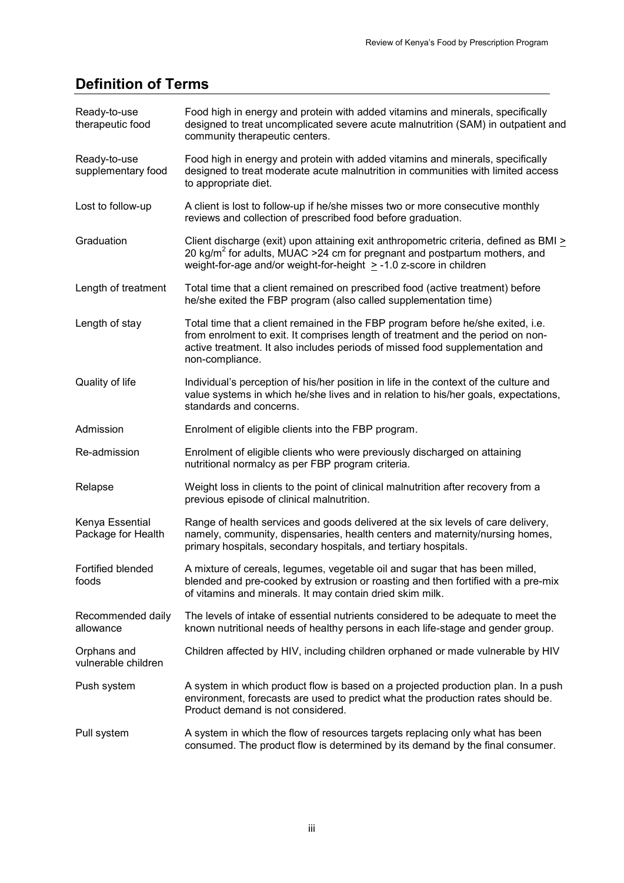# <span id="page-7-0"></span>**Definition of Terms**

| Ready-to-use<br>therapeutic food      | Food high in energy and protein with added vitamins and minerals, specifically<br>designed to treat uncomplicated severe acute malnutrition (SAM) in outpatient and<br>community therapeutic centers.                                                                  |
|---------------------------------------|------------------------------------------------------------------------------------------------------------------------------------------------------------------------------------------------------------------------------------------------------------------------|
| Ready-to-use<br>supplementary food    | Food high in energy and protein with added vitamins and minerals, specifically<br>designed to treat moderate acute malnutrition in communities with limited access<br>to appropriate diet.                                                                             |
| Lost to follow-up                     | A client is lost to follow-up if he/she misses two or more consecutive monthly<br>reviews and collection of prescribed food before graduation.                                                                                                                         |
| Graduation                            | Client discharge (exit) upon attaining exit anthropometric criteria, defined as BMI ><br>20 kg/m <sup>2</sup> for adults, MUAC > 24 cm for pregnant and postpartum mothers, and<br>weight-for-age and/or weight-for-height $\ge$ -1.0 z-score in children              |
| Length of treatment                   | Total time that a client remained on prescribed food (active treatment) before<br>he/she exited the FBP program (also called supplementation time)                                                                                                                     |
| Length of stay                        | Total time that a client remained in the FBP program before he/she exited, i.e.<br>from enrolment to exit. It comprises length of treatment and the period on non-<br>active treatment. It also includes periods of missed food supplementation and<br>non-compliance. |
| Quality of life                       | Individual's perception of his/her position in life in the context of the culture and<br>value systems in which he/she lives and in relation to his/her goals, expectations,<br>standards and concerns.                                                                |
| Admission                             | Enrolment of eligible clients into the FBP program.                                                                                                                                                                                                                    |
| Re-admission                          | Enrolment of eligible clients who were previously discharged on attaining<br>nutritional normalcy as per FBP program criteria.                                                                                                                                         |
| Relapse                               | Weight loss in clients to the point of clinical malnutrition after recovery from a<br>previous episode of clinical malnutrition.                                                                                                                                       |
| Kenya Essential<br>Package for Health | Range of health services and goods delivered at the six levels of care delivery,<br>namely, community, dispensaries, health centers and maternity/nursing homes,<br>primary hospitals, secondary hospitals, and tertiary hospitals.                                    |
| Fortified blended<br>foods            | A mixture of cereals, legumes, vegetable oil and sugar that has been milled,<br>blended and pre-cooked by extrusion or roasting and then fortified with a pre-mix<br>of vitamins and minerals. It may contain dried skim milk.                                         |
| Recommended daily<br>allowance        | The levels of intake of essential nutrients considered to be adequate to meet the<br>known nutritional needs of healthy persons in each life-stage and gender group.                                                                                                   |
| Orphans and<br>vulnerable children    | Children affected by HIV, including children orphaned or made vulnerable by HIV                                                                                                                                                                                        |
| Push system                           | A system in which product flow is based on a projected production plan. In a push<br>environment, forecasts are used to predict what the production rates should be.<br>Product demand is not considered.                                                              |
| Pull system                           | A system in which the flow of resources targets replacing only what has been<br>consumed. The product flow is determined by its demand by the final consumer.                                                                                                          |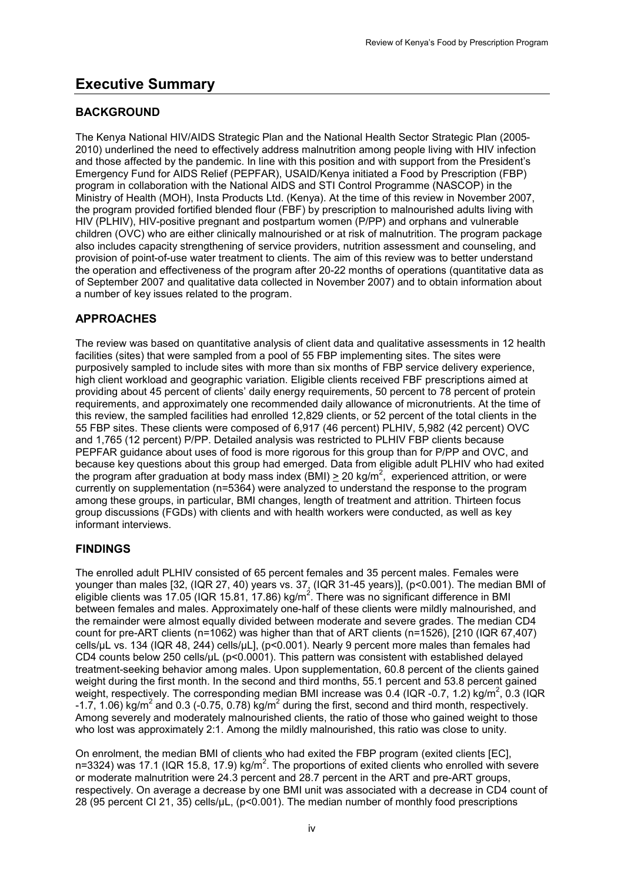# <span id="page-8-0"></span>**Executive Summary**

# **BACKGROUND**

The Kenya National HIV/AIDS Strategic Plan and the National Health Sector Strategic Plan (2005- 2010) underlined the need to effectively address malnutrition among people living with HIV infection and those affected by the pandemic. In line with this position and with support from the President's Emergency Fund for AIDS Relief (PEPFAR), USAID/Kenya initiated a Food by Prescription (FBP) program in collaboration with the National AIDS and STI Control Programme (NASCOP) in the Ministry of Health (MOH), Insta Products Ltd. (Kenya). At the time of this review in November 2007, the program provided fortified blended flour (FBF) by prescription to malnourished adults living with HIV (PLHIV), HIV-positive pregnant and postpartum women (P/PP) and orphans and vulnerable children (OVC) who are either clinically malnourished or at risk of malnutrition. The program package also includes capacity strengthening of service providers, nutrition assessment and counseling, and provision of point-of-use water treatment to clients. The aim of this review was to better understand the operation and effectiveness of the program after 20-22 months of operations (quantitative data as of September 2007 and qualitative data collected in November 2007) and to obtain information about a number of key issues related to the program.

# **APPROACHES**

The review was based on quantitative analysis of client data and qualitative assessments in 12 health facilities (sites) that were sampled from a pool of 55 FBP implementing sites. The sites were purposively sampled to include sites with more than six months of FBP service delivery experience, high client workload and geographic variation. Eligible clients received FBF prescriptions aimed at providing about 45 percent of clients' daily energy requirements, 50 percent to 78 percent of protein requirements, and approximately one recommended daily allowance of micronutrients. At the time of this review, the sampled facilities had enrolled 12,829 clients, or 52 percent of the total clients in the 55 FBP sites. These clients were composed of 6,917 (46 percent) PLHIV, 5,982 (42 percent) OVC and 1,765 (12 percent) P/PP. Detailed analysis was restricted to PLHIV FBP clients because PEPFAR guidance about uses of food is more rigorous for this group than for P/PP and OVC, and because key questions about this group had emerged. Data from eligible adult PLHIV who had exited the program after graduation at body mass index (BMI)  $\geq$  20 kg/m<sup>2</sup>, experienced attrition, or were currently on supplementation (n=5364) were analyzed to understand the response to the program among these groups, in particular, BMI changes, length of treatment and attrition. Thirteen focus group discussions (FGDs) with clients and with health workers were conducted, as well as key informant interviews.

# **FINDINGS**

The enrolled adult PLHIV consisted of 65 percent females and 35 percent males. Females were younger than males [32, (IQR 27, 40) years vs. 37, (IQR 31-45 years)], (p<0.001). The median BMI of eligible clients was 17.05 (IQR 15.81, 17.86) kg/m<sup>2</sup>. There was no significant difference in BMI between females and males. Approximately one-half of these clients were mildly malnourished, and the remainder were almost equally divided between moderate and severe grades. The median CD4 count for pre-ART clients (n=1062) was higher than that of ART clients (n=1526), [210 (IQR 67,407) cells/µL vs. 134 (IQR 48, 244) cells/µL], (p<0.001). Nearly 9 percent more males than females had CD4 counts below 250 cells/µL (p<0.0001). This pattern was consistent with established delayed treatment-seeking behavior among males. Upon supplementation, 60.8 percent of the clients gained weight during the first month. In the second and third months, 55.1 percent and 53.8 percent gained weight, respectively. The corresponding median BMI increase was 0.4 (IQR -0.7, 1.2) kg/m<sup>2</sup>, 0.3 (IQR  $-1.7$ , 1.06) kg/m<sup>2</sup> and 0.3 (-0.75, 0.78) kg/m<sup>2</sup> during the first, second and third month, respectively. Among severely and moderately malnourished clients, the ratio of those who gained weight to those who lost was approximately 2:1. Among the mildly malnourished, this ratio was close to unity.

On enrolment, the median BMI of clients who had exited the FBP program (exited clients [EC], n=3324) was 17.1 (IQR 15.8, 17.9) kg/m<sup>2</sup>. The proportions of exited clients who enrolled with severe or moderate malnutrition were 24.3 percent and 28.7 percent in the ART and pre-ART groups, respectively. On average a decrease by one BMI unit was associated with a decrease in CD4 count of 28 (95 percent CI 21, 35) cells/µL, (p<0.001). The median number of monthly food prescriptions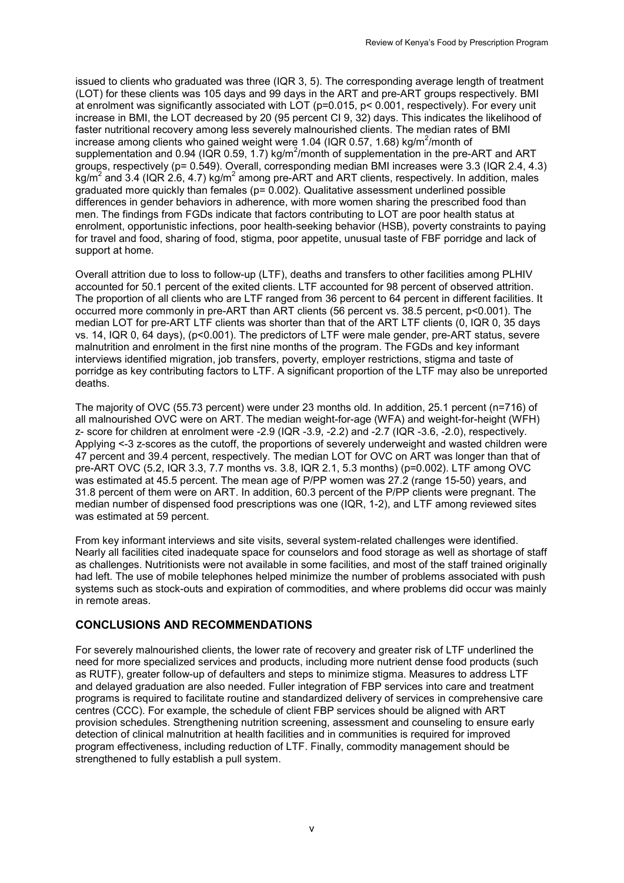issued to clients who graduated was three (IQR 3, 5). The corresponding average length of treatment (LOT) for these clients was 105 days and 99 days in the ART and pre-ART groups respectively. BMI at enrolment was significantly associated with LOT (p=0.015, p< 0.001, respectively). For every unit increase in BMI, the LOT decreased by 20 (95 percent CI 9, 32) days. This indicates the likelihood of faster nutritional recovery among less severely malnourished clients. The median rates of BMI increase among clients who gained weight were 1.04 (IQR 0.57, 1.68) kg/m<sup>2</sup>/month of supplementation and 0.94 (IQR 0.59, 1.7) kg/m<sup>2</sup>/month of supplementation in the pre-ART and ART groups, respectively (p= 0.549). Overall, corresponding median BMI increases were 3.3 (IQR 2.4, 4.3)  $kg/m<sup>2</sup>$  and 3.4 (IQR 2.6, 4.7) kg/m<sup>2</sup> among pre-ART and ART clients, respectively. In addition, males graduated more quickly than females (p= 0.002). Qualitative assessment underlined possible differences in gender behaviors in adherence, with more women sharing the prescribed food than men. The findings from FGDs indicate that factors contributing to LOT are poor health status at enrolment, opportunistic infections, poor health-seeking behavior (HSB), poverty constraints to paying for travel and food, sharing of food, stigma, poor appetite, unusual taste of FBF porridge and lack of support at home.

Overall attrition due to loss to follow-up (LTF), deaths and transfers to other facilities among PLHIV accounted for 50.1 percent of the exited clients. LTF accounted for 98 percent of observed attrition. The proportion of all clients who are LTF ranged from 36 percent to 64 percent in different facilities. It occurred more commonly in pre-ART than ART clients (56 percent vs. 38.5 percent, p<0.001). The median LOT for pre-ART LTF clients was shorter than that of the ART LTF clients (0, IQR 0, 35 days vs. 14, IQR 0, 64 days), (p<0.001). The predictors of LTF were male gender, pre-ART status, severe malnutrition and enrolment in the first nine months of the program. The FGDs and key informant interviews identified migration, job transfers, poverty, employer restrictions, stigma and taste of porridge as key contributing factors to LTF. A significant proportion of the LTF may also be unreported deaths.

The majority of OVC (55.73 percent) were under 23 months old. In addition, 25.1 percent (n=716) of all malnourished OVC were on ART. The median weight-for-age (WFA) and weight-for-height (WFH) z- score for children at enrolment were -2.9 (IQR -3.9, -2.2) and -2.7 (IQR -3.6, -2.0), respectively. Applying <-3 z-scores as the cutoff, the proportions of severely underweight and wasted children were 47 percent and 39.4 percent, respectively. The median LOT for OVC on ART was longer than that of pre-ART OVC (5.2, IQR 3.3, 7.7 months vs. 3.8, IQR 2.1, 5.3 months) (p=0.002). LTF among OVC was estimated at 45.5 percent. The mean age of P/PP women was 27.2 (range 15-50) years, and 31.8 percent of them were on ART. In addition, 60.3 percent of the P/PP clients were pregnant. The median number of dispensed food prescriptions was one (IQR, 1-2), and LTF among reviewed sites was estimated at 59 percent.

From key informant interviews and site visits, several system-related challenges were identified. Nearly all facilities cited inadequate space for counselors and food storage as well as shortage of staff as challenges. Nutritionists were not available in some facilities, and most of the staff trained originally had left. The use of mobile telephones helped minimize the number of problems associated with push systems such as stock-outs and expiration of commodities, and where problems did occur was mainly in remote areas.

## **CONCLUSIONS AND RECOMMENDATIONS**

For severely malnourished clients, the lower rate of recovery and greater risk of LTF underlined the need for more specialized services and products, including more nutrient dense food products (such as RUTF), greater follow-up of defaulters and steps to minimize stigma. Measures to address LTF and delayed graduation are also needed. Fuller integration of FBP services into care and treatment programs is required to facilitate routine and standardized delivery of services in comprehensive care centres (CCC). For example, the schedule of client FBP services should be aligned with ART provision schedules. Strengthening nutrition screening, assessment and counseling to ensure early detection of clinical malnutrition at health facilities and in communities is required for improved program effectiveness, including reduction of LTF. Finally, commodity management should be strengthened to fully establish a pull system.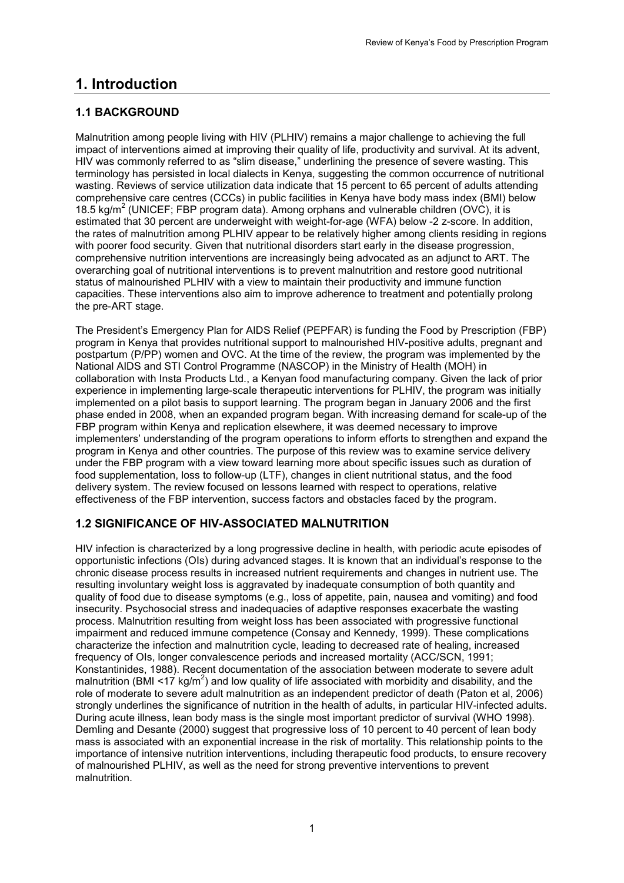# <span id="page-10-0"></span>**1. Introduction**

# <span id="page-10-1"></span>**1.1 BACKGROUND**

Malnutrition among people living with HIV (PLHIV) remains a major challenge to achieving the full impact of interventions aimed at improving their quality of life, productivity and survival. At its advent, HIV was commonly referred to as "slim disease," underlining the presence of severe wasting. This terminology has persisted in local dialects in Kenya, suggesting the common occurrence of nutritional wasting. Reviews of service utilization data indicate that 15 percent to 65 percent of adults attending comprehensive care centres (CCCs) in public facilities in Kenya have body mass index (BMI) below 18.5 kg/m<sup>2</sup> (UNICEF; FBP program data). Among orphans and vulnerable children (OVC), it is estimated that 30 percent are underweight with weight-for-age (WFA) below -2 z-score. In addition, the rates of malnutrition among PLHIV appear to be relatively higher among clients residing in regions with poorer food security. Given that nutritional disorders start early in the disease progression, comprehensive nutrition interventions are increasingly being advocated as an adjunct to ART. The overarching goal of nutritional interventions is to prevent malnutrition and restore good nutritional status of malnourished PLHIV with a view to maintain their productivity and immune function capacities. These interventions also aim to improve adherence to treatment and potentially prolong the pre-ART stage.

The President's Emergency Plan for AIDS Relief (PEPFAR) is funding the Food by Prescription (FBP) program in Kenya that provides nutritional support to malnourished HIV-positive adults, pregnant and postpartum (P/PP) women and OVC. At the time of the review, the program was implemented by the National AIDS and STI Control Programme (NASCOP) in the Ministry of Health (MOH) in collaboration with Insta Products Ltd., a Kenyan food manufacturing company. Given the lack of prior experience in implementing large-scale therapeutic interventions for PLHIV, the program was initially implemented on a pilot basis to support learning. The program began in January 2006 and the first phase ended in 2008, when an expanded program began. With increasing demand for scale-up of the FBP program within Kenya and replication elsewhere, it was deemed necessary to improve implementers' understanding of the program operations to inform efforts to strengthen and expand the program in Kenya and other countries. The purpose of this review was to examine service delivery under the FBP program with a view toward learning more about specific issues such as duration of food supplementation, loss to follow-up (LTF), changes in client nutritional status, and the food delivery system. The review focused on lessons learned with respect to operations, relative effectiveness of the FBP intervention, success factors and obstacles faced by the program.

# <span id="page-10-2"></span>**1.2 SIGNIFICANCE OF HIV-ASSOCIATED MALNUTRITION**

HIV infection is characterized by a long progressive decline in health, with periodic acute episodes of opportunistic infections (OIs) during advanced stages. It is known that an individual's response to the chronic disease process results in increased nutrient requirements and changes in nutrient use. The resulting involuntary weight loss is aggravated by inadequate consumption of both quantity and quality of food due to disease symptoms (e.g., loss of appetite, pain, nausea and vomiting) and food insecurity. Psychosocial stress and inadequacies of adaptive responses exacerbate the wasting process. Malnutrition resulting from weight loss has been associated with progressive functional impairment and reduced immune competence (Consay and Kennedy, 1999). These complications characterize the infection and malnutrition cycle, leading to decreased rate of healing, increased frequency of OIs, longer convalescence periods and increased mortality (ACC/SCN, 1991; Konstantinides, 1988). Recent documentation of the association between moderate to severe adult malnutrition (BMI <17 kg/m<sup>2</sup>) and low quality of life associated with morbidity and disability, and the role of moderate to severe adult malnutrition as an independent predictor of death (Paton et al, 2006) strongly underlines the significance of nutrition in the health of adults, in particular HIV-infected adults. During acute illness, lean body mass is the single most important predictor of survival (WHO 1998). Demling and Desante (2000) suggest that progressive loss of 10 percent to 40 percent of lean body mass is associated with an exponential increase in the risk of mortality. This relationship points to the importance of intensive nutrition interventions, including therapeutic food products, to ensure recovery of malnourished PLHIV, as well as the need for strong preventive interventions to prevent malnutrition.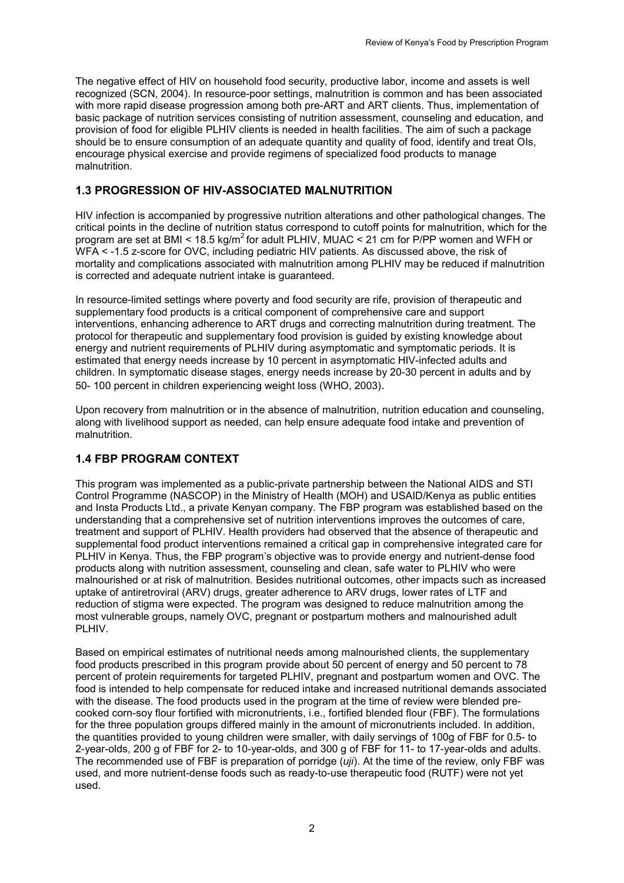The negative effect of HIV on household food security, productive labor, income and assets is well recognized (SCN, 2004). In resource-poor settings, malnutrition is common and has been associated with more rapid disease progression among both pre-ART and ART clients. Thus, implementation of basic package of nutrition services consisting of nutrition assessment, counseling and education, and provision of food for eligible PLHIV clients is needed in health facilities. The aim of such a package should be to ensure consumption of an adequate quantity and quality of food, identify and treat OIs, encourage physical exercise and provide regimens of specialized food products to manage malnutrition.

## <span id="page-11-0"></span>**1.3 PROGRESSION OF HIV-ASSOCIATED MALNUTRITION**

HIV infection is accompanied by progressive nutrition alterations and other pathological changes. The critical points in the decline of nutrition status correspond to cutoff points for malnutrition, which for the program are set at BMI <  $18.5 \text{ kg/m}^2$  for adult PLHIV, MUAC <  $21 \text{ cm}$  for P/PP women and WFH or WFA < -1.5 z-score for OVC, including pediatric HIV patients. As discussed above, the risk of mortality and complications associated with malnutrition among PLHIV may be reduced if malnutrition is corrected and adequate nutrient intake is guaranteed.

In resource-limited settings where poverty and food security are rife, provision of therapeutic and supplementary food products is a critical component of comprehensive care and support interventions, enhancing adherence to ART drugs and correcting malnutrition during treatment. The protocol for therapeutic and supplementary food provision is guided by existing knowledge about energy and nutrient requirements of PLHIV during asymptomatic and symptomatic periods. It is estimated that energy needs increase by 10 percent in asymptomatic HIV-infected adults and children. In symptomatic disease stages, energy needs increase by 20-30 percent in adults and by 50- 100 percent in children experiencing weight loss (WHO, 2003).

Upon recovery from malnutrition or in the absence of malnutrition, nutrition education and counseling, along with livelihood support as needed, can help ensure adequate food intake and prevention of malnutrition.

# <span id="page-11-1"></span>**1.4 FBP PROGRAM CONTEXT**

This program was implemented as a public-private partnership between the National AIDS and STI Control Programme (NASCOP) in the Ministry of Health (MOH) and USAID/Kenya as public entities and Insta Products Ltd., a private Kenyan company. The FBP program was established based on the understanding that a comprehensive set of nutrition interventions improves the outcomes of care, treatment and support of PLHIV. Health providers had observed that the absence of therapeutic and supplemental food product interventions remained a critical gap in comprehensive integrated care for PLHIV in Kenya. Thus, the FBP program's objective was to provide energy and nutrient-dense food products along with nutrition assessment, counseling and clean, safe water to PLHIV who were malnourished or at risk of malnutrition. Besides nutritional outcomes, other impacts such as increased uptake of antiretroviral (ARV) drugs, greater adherence to ARV drugs, lower rates of LTF and reduction of stigma were expected. The program was designed to reduce malnutrition among the most vulnerable groups, namely OVC, pregnant or postpartum mothers and malnourished adult PL HIV.

Based on empirical estimates of nutritional needs among malnourished clients, the supplementary food products prescribed in this program provide about 50 percent of energy and 50 percent to 78 percent of protein requirements for targeted PLHIV, pregnant and postpartum women and OVC. The food is intended to help compensate for reduced intake and increased nutritional demands associated with the disease. The food products used in the program at the time of review were blended precooked corn-soy flour fortified with micronutrients, i.e., fortified blended flour (FBF). The formulations for the three population groups differed mainly in the amount of micronutrients included. In addition, the quantities provided to young children were smaller, with daily servings of 100g of FBF for 0.5- to 2-year-olds, 200 g of FBF for 2- to 10-year-olds, and 300 g of FBF for 11- to 17-year-olds and adults. The recommended use of FBF is preparation of porridge (*uji*). At the time of the review, only FBF was used, and more nutrient-dense foods such as ready-to-use therapeutic food (RUTF) were not yet used.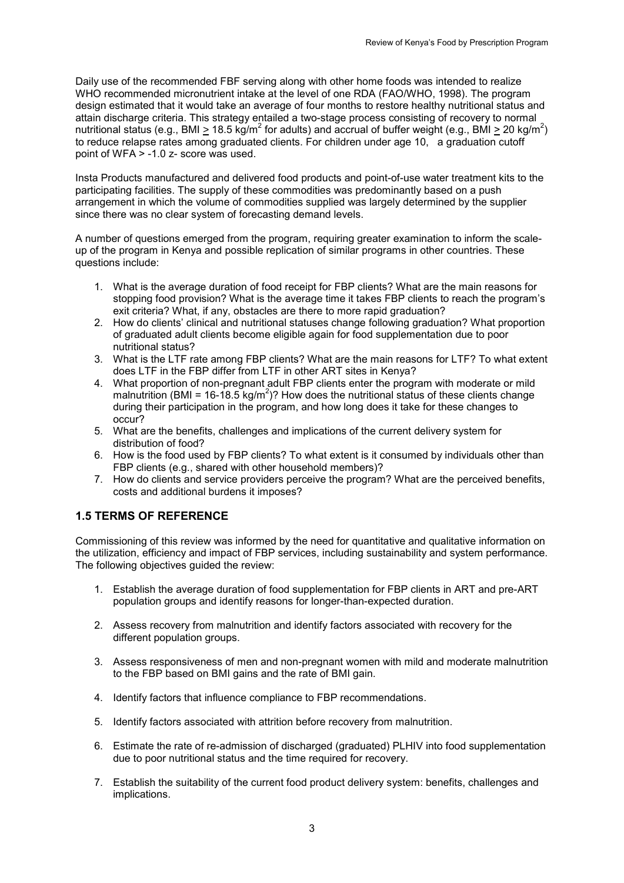Daily use of the recommended FBF serving along with other home foods was intended to realize WHO recommended micronutrient intake at the level of one RDA (FAO/WHO, 1998). The program design estimated that it would take an average of four months to restore healthy nutritional status and attain discharge criteria. This strategy entailed a two-stage process consisting of recovery to normal nutritional status (e.g., BMI  $\geq 18.5$  kg/m<sup>2</sup> for adults) and accrual of buffer weight (e.g., BMI  $\geq 20$  kg/m<sup>2</sup>) to reduce relapse rates among graduated clients. For children under age 10, a graduation cutoff point of WFA > -1.0 z- score was used.

Insta Products manufactured and delivered food products and point-of-use water treatment kits to the participating facilities. The supply of these commodities was predominantly based on a push arrangement in which the volume of commodities supplied was largely determined by the supplier since there was no clear system of forecasting demand levels.

A number of questions emerged from the program, requiring greater examination to inform the scaleup of the program in Kenya and possible replication of similar programs in other countries. These questions include:

- 1. What is the average duration of food receipt for FBP clients? What are the main reasons for stopping food provision? What is the average time it takes FBP clients to reach the program's exit criteria? What, if any, obstacles are there to more rapid graduation?
- 2. How do clients' clinical and nutritional statuses change following graduation? What proportion of graduated adult clients become eligible again for food supplementation due to poor nutritional status?
- 3. What is the LTF rate among FBP clients? What are the main reasons for LTF? To what extent does LTF in the FBP differ from LTF in other ART sites in Kenya?
- 4. What proportion of non-pregnant adult FBP clients enter the program with moderate or mild malnutrition (BMI = 16-18.5 kg/m<sup>2</sup>)? How does the nutritional status of these clients change during their participation in the program, and how long does it take for these changes to occur?
- 5. What are the benefits, challenges and implications of the current delivery system for distribution of food?
- 6. How is the food used by FBP clients? To what extent is it consumed by individuals other than FBP clients (e.g., shared with other household members)?
- 7. How do clients and service providers perceive the program? What are the perceived benefits, costs and additional burdens it imposes?

# <span id="page-12-0"></span>**1.5 TERMS OF REFERENCE**

Commissioning of this review was informed by the need for quantitative and qualitative information on the utilization, efficiency and impact of FBP services, including sustainability and system performance. The following objectives guided the review:

- 1. Establish the average duration of food supplementation for FBP clients in ART and pre-ART population groups and identify reasons for longer-than-expected duration.
- 2. Assess recovery from malnutrition and identify factors associated with recovery for the different population groups.
- 3. Assess responsiveness of men and non-pregnant women with mild and moderate malnutrition to the FBP based on BMI gains and the rate of BMI gain.
- 4. Identify factors that influence compliance to FBP recommendations.
- 5. Identify factors associated with attrition before recovery from malnutrition.
- 6. Estimate the rate of re-admission of discharged (graduated) PLHIV into food supplementation due to poor nutritional status and the time required for recovery.
- 7. Establish the suitability of the current food product delivery system: benefits, challenges and implications.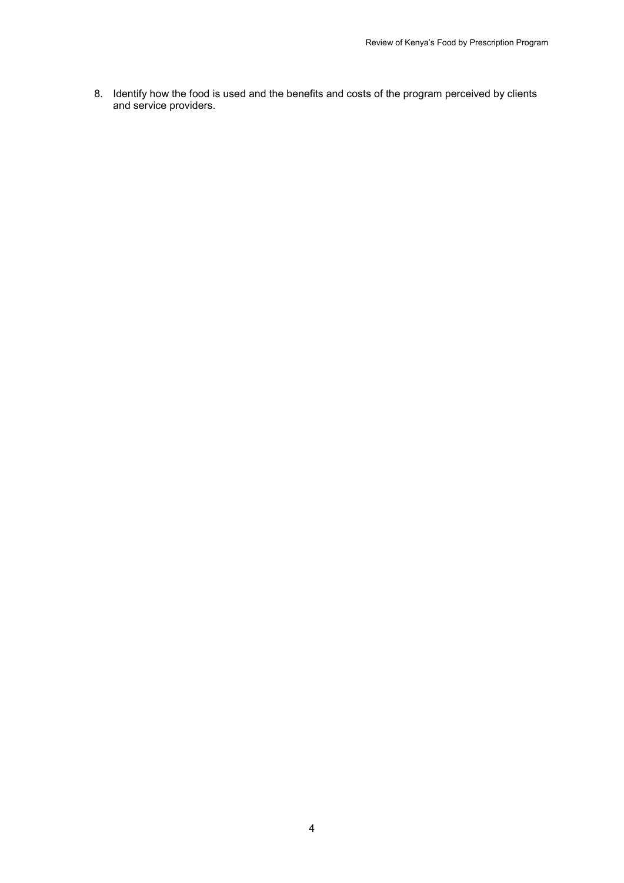8. Identify how the food is used and the benefits and costs of the program perceived by clients and service providers.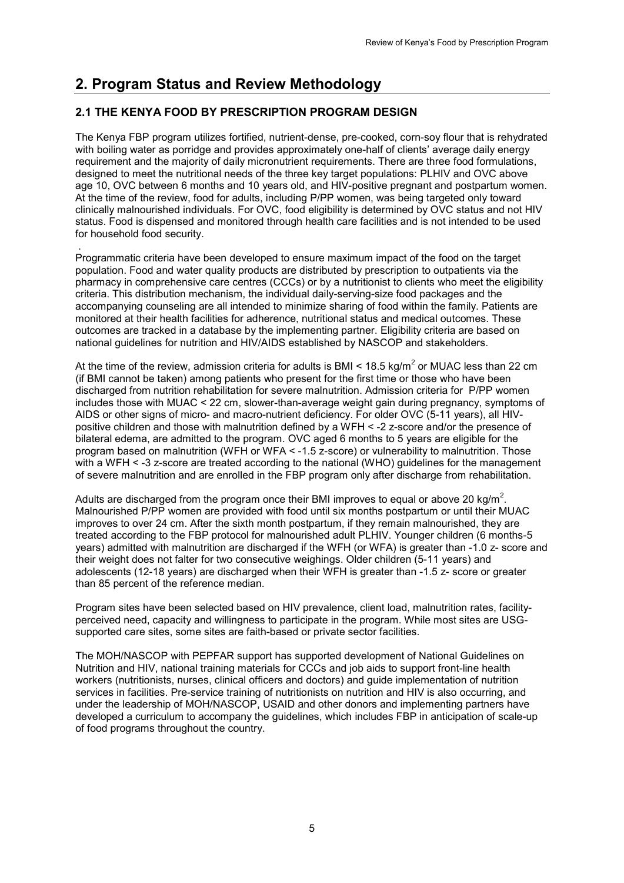# <span id="page-14-0"></span>**2. Program Status and Review Methodology**

# <span id="page-14-1"></span>**2.1 THE KENYA FOOD BY PRESCRIPTION PROGRAM DESIGN**

The Kenya FBP program utilizes fortified, nutrient-dense, pre-cooked, corn-soy flour that is rehydrated with boiling water as porridge and provides approximately one-half of clients' average daily energy requirement and the majority of daily micronutrient requirements. There are three food formulations, designed to meet the nutritional needs of the three key target populations: PLHIV and OVC above age 10, OVC between 6 months and 10 years old, and HIV-positive pregnant and postpartum women. At the time of the review, food for adults, including P/PP women, was being targeted only toward clinically malnourished individuals. For OVC, food eligibility is determined by OVC status and not HIV status. Food is dispensed and monitored through health care facilities and is not intended to be used for household food security.

 . Programmatic criteria have been developed to ensure maximum impact of the food on the target population. Food and water quality products are distributed by prescription to outpatients via the pharmacy in comprehensive care centres (CCCs) or by a nutritionist to clients who meet the eligibility criteria. This distribution mechanism, the individual daily-serving-size food packages and the accompanying counseling are all intended to minimize sharing of food within the family. Patients are monitored at their health facilities for adherence, nutritional status and medical outcomes. These outcomes are tracked in a database by the implementing partner. Eligibility criteria are based on national guidelines for nutrition and HIV/AIDS established by NASCOP and stakeholders.

At the time of the review, admission criteria for adults is BMI <  $18.5 \text{ kg/m}^2$  or MUAC less than 22 cm (if BMI cannot be taken) among patients who present for the first time or those who have been discharged from nutrition rehabilitation for severe malnutrition. Admission criteria for P/PP women includes those with MUAC < 22 cm, slower-than-average weight gain during pregnancy, symptoms of AIDS or other signs of micro- and macro-nutrient deficiency. For older OVC (5-11 years), all HIVpositive children and those with malnutrition defined by a WFH < -2 z-score and/or the presence of bilateral edema, are admitted to the program. OVC aged 6 months to 5 years are eligible for the program based on malnutrition (WFH or WFA < -1.5 z-score) or vulnerability to malnutrition. Those with a WFH < -3 z-score are treated according to the national (WHO) guidelines for the management of severe malnutrition and are enrolled in the FBP program only after discharge from rehabilitation.

Adults are discharged from the program once their BMI improves to equal or above 20 kg/m<sup>2</sup>. Malnourished P/PP women are provided with food until six months postpartum or until their MUAC improves to over 24 cm. After the sixth month postpartum, if they remain malnourished, they are treated according to the FBP protocol for malnourished adult PLHIV. Younger children (6 months-5 years) admitted with malnutrition are discharged if the WFH (or WFA) is greater than -1.0 z- score and their weight does not falter for two consecutive weighings. Older children (5-11 years) and adolescents (12-18 years) are discharged when their WFH is greater than -1.5 z- score or greater than 85 percent of the reference median.

Program sites have been selected based on HIV prevalence, client load, malnutrition rates, facilityperceived need, capacity and willingness to participate in the program. While most sites are USGsupported care sites, some sites are faith-based or private sector facilities.

The MOH/NASCOP with PEPFAR support has supported development of National Guidelines on Nutrition and HIV, national training materials for CCCs and job aids to support front-line health workers (nutritionists, nurses, clinical officers and doctors) and guide implementation of nutrition services in facilities. Pre-service training of nutritionists on nutrition and HIV is also occurring, and under the leadership of MOH/NASCOP, USAID and other donors and implementing partners have developed a curriculum to accompany the guidelines, which includes FBP in anticipation of scale-up of food programs throughout the country.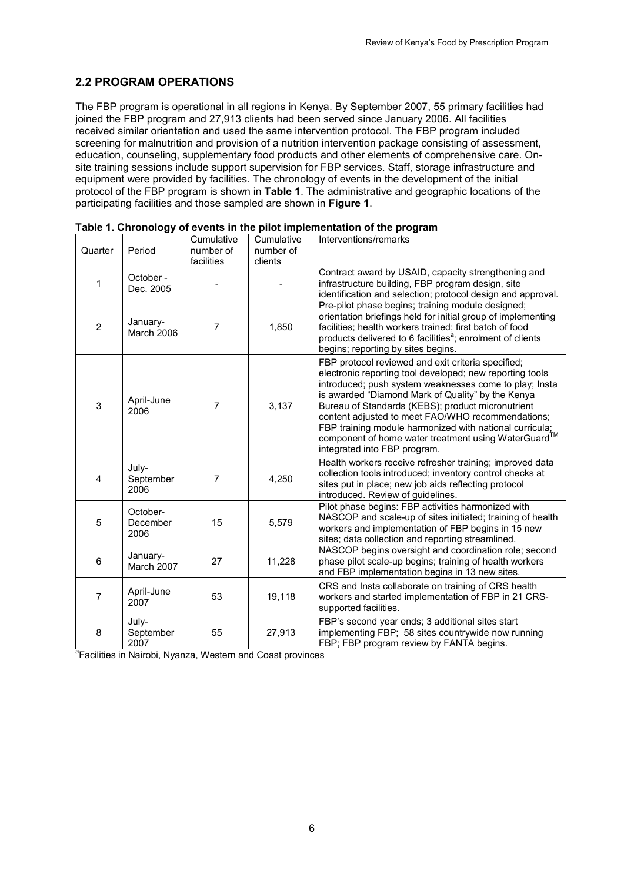# <span id="page-15-0"></span>**2.2 PROGRAM OPERATIONS**

The FBP program is operational in all regions in Kenya. By September 2007, 55 primary facilities had joined the FBP program and 27,913 clients had been served since January 2006. All facilities received similar orientation and used the same intervention protocol. The FBP program included screening for malnutrition and provision of a nutrition intervention package consisting of assessment, education, counseling, supplementary food products and other elements of comprehensive care. Onsite training sessions include support supervision for FBP services. Staff, storage infrastructure and equipment were provided by facilities. The chronology of events in the development of the initial protocol of the FBP program is shown in **Table 1**. The administrative and geographic locations of the participating facilities and those sampled are shown in **Figure 1**.

| Quarter        | Period                       | Cumulative<br>number of<br>facilities | Cumulative<br>number of<br>clients                                                | Interventions/remarks                                                                                                                                                                                                                                                                                                                                                                                                                                                                     |
|----------------|------------------------------|---------------------------------------|-----------------------------------------------------------------------------------|-------------------------------------------------------------------------------------------------------------------------------------------------------------------------------------------------------------------------------------------------------------------------------------------------------------------------------------------------------------------------------------------------------------------------------------------------------------------------------------------|
| 1              | October -<br>Dec. 2005       |                                       |                                                                                   | Contract award by USAID, capacity strengthening and<br>infrastructure building, FBP program design, site<br>identification and selection; protocol design and approval.                                                                                                                                                                                                                                                                                                                   |
| $\overline{2}$ | January-<br>March 2006       | 7                                     | 1,850                                                                             | Pre-pilot phase begins; training module designed;<br>orientation briefings held for initial group of implementing<br>facilities; health workers trained; first batch of food<br>products delivered to 6 facilities <sup>a</sup> ; enrolment of clients<br>begins; reporting by sites begins.                                                                                                                                                                                              |
| 3              | April-June<br>2006           | $\overline{7}$                        | 3,137                                                                             | FBP protocol reviewed and exit criteria specified;<br>electronic reporting tool developed; new reporting tools<br>introduced; push system weaknesses come to play; Insta<br>is awarded "Diamond Mark of Quality" by the Kenya<br>Bureau of Standards (KEBS); product micronutrient<br>content adjusted to meet FAO/WHO recommendations;<br>FBP training module harmonized with national curricula;<br>component of home water treatment using WaterGuard™<br>integrated into FBP program. |
| 4              | July-<br>September<br>2006   | $\overline{7}$                        | 4,250                                                                             | Health workers receive refresher training; improved data<br>collection tools introduced; inventory control checks at<br>sites put in place; new job aids reflecting protocol<br>introduced. Review of guidelines.                                                                                                                                                                                                                                                                         |
| 5              | October-<br>December<br>2006 | 15                                    | 5,579                                                                             | Pilot phase begins: FBP activities harmonized with<br>NASCOP and scale-up of sites initiated; training of health<br>workers and implementation of FBP begins in 15 new<br>sites; data collection and reporting streamlined.                                                                                                                                                                                                                                                               |
| 6              | January-<br>March 2007       | 27                                    | 11,228                                                                            | NASCOP begins oversight and coordination role; second<br>phase pilot scale-up begins; training of health workers<br>and FBP implementation begins in 13 new sites.                                                                                                                                                                                                                                                                                                                        |
| $\overline{7}$ | April-June<br>2007           | 53                                    | 19,118                                                                            | CRS and Insta collaborate on training of CRS health<br>workers and started implementation of FBP in 21 CRS-<br>supported facilities.                                                                                                                                                                                                                                                                                                                                                      |
| 8              | July-<br>September<br>2007   | 55                                    | 27,913<br><sup>a</sup> Facilities in Nairobi, Nyanza, Western and Coast provinces | FBP's second year ends; 3 additional sites start<br>implementing FBP; 58 sites countrywide now running<br>FBP; FBP program review by FANTA begins.                                                                                                                                                                                                                                                                                                                                        |

<span id="page-15-1"></span>

| Table 1. Chronology of events in the pilot implementation of the program |  |  |  |
|--------------------------------------------------------------------------|--|--|--|
|--------------------------------------------------------------------------|--|--|--|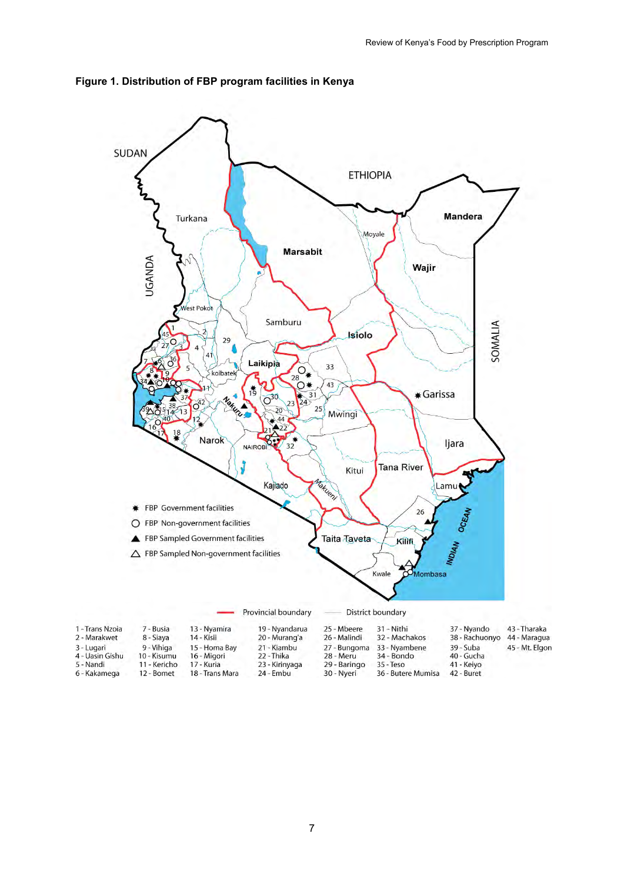

<span id="page-16-0"></span>**Figure 1. Distribution of FBP program facilities in Kenya**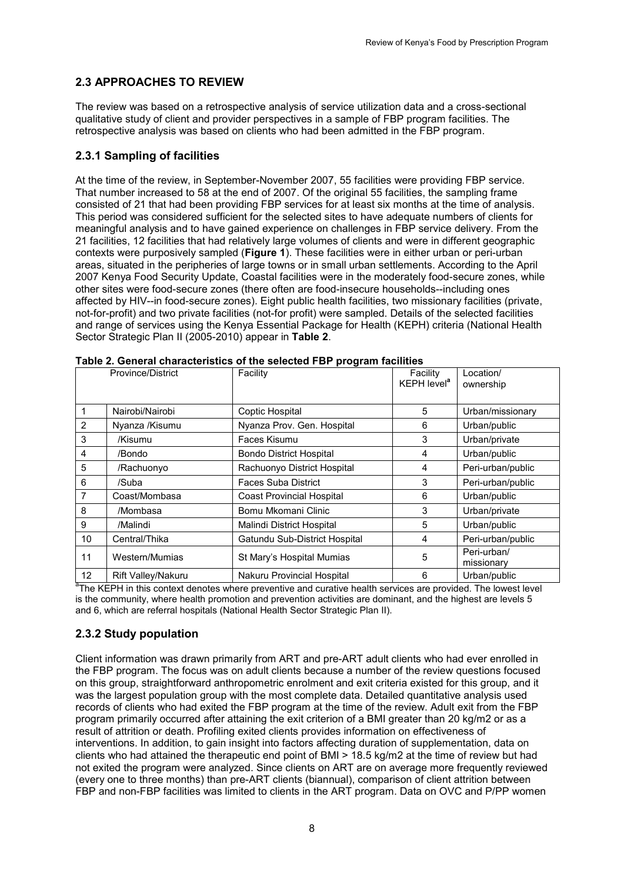# <span id="page-17-0"></span>**2.3 APPROACHES TO REVIEW**

The review was based on a retrospective analysis of service utilization data and a cross-sectional qualitative study of client and provider perspectives in a sample of FBP program facilities. The retrospective analysis was based on clients who had been admitted in the FBP program.

## <span id="page-17-1"></span>**2.3.1 Sampling of facilities**

At the time of the review, in September-November 2007, 55 facilities were providing FBP service. That number increased to 58 at the end of 2007. Of the original 55 facilities, the sampling frame consisted of 21 that had been providing FBP services for at least six months at the time of analysis. This period was considered sufficient for the selected sites to have adequate numbers of clients for meaningful analysis and to have gained experience on challenges in FBP service delivery. From the 21 facilities, 12 facilities that had relatively large volumes of clients and were in different geographic contexts were purposively sampled (**Figure 1**). These facilities were in either urban or peri-urban areas, situated in the peripheries of large towns or in small urban settlements. According to the April 2007 Kenya Food Security Update, Coastal facilities were in the moderately food-secure zones, while other sites were food-secure zones (there often are food-insecure households--including ones affected by HIV--in food-secure zones). Eight public health facilities, two missionary facilities (private, not-for-profit) and two private facilities (not-for profit) were sampled. Details of the selected facilities and range of services using the Kenya Essential Package for Health (KEPH) criteria (National Health Sector Strategic Plan II (2005-2010) appear in **Table 2**.

| rable 2. General characteristics of the selected FBP program facilities |                           |                                  |                                     |                           |  |
|-------------------------------------------------------------------------|---------------------------|----------------------------------|-------------------------------------|---------------------------|--|
|                                                                         | <b>Province/District</b>  | Facility                         | Facility<br>KEPH level <sup>a</sup> | Location/<br>ownership    |  |
|                                                                         |                           |                                  |                                     |                           |  |
|                                                                         | Nairobi/Nairobi           | Coptic Hospital                  | 5                                   | Urban/missionary          |  |
| 2                                                                       | Nyanza /Kisumu            | Nyanza Prov. Gen. Hospital       | 6                                   | Urban/public              |  |
| 3                                                                       | /Kisumu                   | Faces Kisumu                     | 3                                   | Urban/private             |  |
| 4                                                                       | /Bondo                    | <b>Bondo District Hospital</b>   | 4                                   | Urban/public              |  |
| 5                                                                       | /Rachuonyo                | Rachuonyo District Hospital      | 4                                   | Peri-urban/public         |  |
| 6                                                                       | /Suba                     | <b>Faces Suba District</b>       | 3                                   | Peri-urban/public         |  |
| 7                                                                       | Coast/Mombasa             | <b>Coast Provincial Hospital</b> | 6                                   | Urban/public              |  |
| 8                                                                       | /Mombasa                  | Bomu Mkomani Clinic              | 3                                   | Urban/private             |  |
| 9                                                                       | /Malindi                  | Malindi District Hospital        | 5                                   | Urban/public              |  |
| 10                                                                      | Central/Thika             | Gatundu Sub-District Hospital    | 4                                   | Peri-urban/public         |  |
| 11                                                                      | Western/Mumias            | St Mary's Hospital Mumias        | 5                                   | Peri-urban/<br>missionary |  |
| $12 \overline{ }$                                                       | <b>Rift Valley/Nakuru</b> | Nakuru Provincial Hospital       | 6                                   | Urban/public              |  |

<span id="page-17-3"></span>**Table 2. General characteristics of the selected FBP program facilities** 

<sup>a</sup>The KEPH in this context denotes where preventive and curative health services are provided. The lowest level is the community, where health promotion and prevention activities are dominant, and the highest are levels 5 and 6, which are referral hospitals (National Health Sector Strategic Plan II).

## <span id="page-17-2"></span>**2.3.2 Study population**

Client information was drawn primarily from ART and pre-ART adult clients who had ever enrolled in the FBP program. The focus was on adult clients because a number of the review questions focused on this group, straightforward anthropometric enrolment and exit criteria existed for this group, and it was the largest population group with the most complete data. Detailed quantitative analysis used records of clients who had exited the FBP program at the time of the review. Adult exit from the FBP program primarily occurred after attaining the exit criterion of a BMI greater than 20 kg/m2 or as a result of attrition or death. Profiling exited clients provides information on effectiveness of interventions. In addition, to gain insight into factors affecting duration of supplementation, data on clients who had attained the therapeutic end point of BMI > 18.5 kg/m2 at the time of review but had not exited the program were analyzed. Since clients on ART are on average more frequently reviewed (every one to three months) than pre-ART clients (biannual), comparison of client attrition between FBP and non-FBP facilities was limited to clients in the ART program. Data on OVC and P/PP women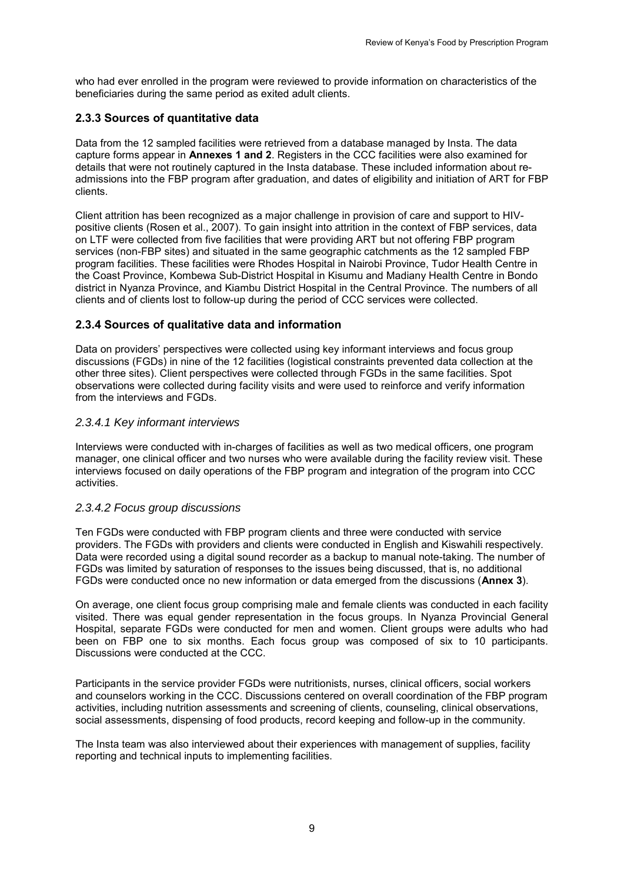who had ever enrolled in the program were reviewed to provide information on characteristics of the beneficiaries during the same period as exited adult clients.

## <span id="page-18-0"></span>**2.3.3 Sources of quantitative data**

Data from the 12 sampled facilities were retrieved from a database managed by Insta. The data capture forms appear in **Annexes 1 and 2**. Registers in the CCC facilities were also examined for details that were not routinely captured in the Insta database. These included information about readmissions into the FBP program after graduation, and dates of eligibility and initiation of ART for FBP clients.

Client attrition has been recognized as a major challenge in provision of care and support to HIVpositive clients (Rosen et al., 2007). To gain insight into attrition in the context of FBP services, data on LTF were collected from five facilities that were providing ART but not offering FBP program services (non-FBP sites) and situated in the same geographic catchments as the 12 sampled FBP program facilities. These facilities were Rhodes Hospital in Nairobi Province, Tudor Health Centre in the Coast Province, Kombewa Sub-District Hospital in Kisumu and Madiany Health Centre in Bondo district in Nyanza Province, and Kiambu District Hospital in the Central Province. The numbers of all clients and of clients lost to follow-up during the period of CCC services were collected.

## <span id="page-18-1"></span>**2.3.4 Sources of qualitative data and information**

Data on providers' perspectives were collected using key informant interviews and focus group discussions (FGDs) in nine of the 12 facilities (logistical constraints prevented data collection at the other three sites). Client perspectives were collected through FGDs in the same facilities. Spot observations were collected during facility visits and were used to reinforce and verify information from the interviews and FGDs.

### *2.3.4.1 Key informant interviews*

Interviews were conducted with in-charges of facilities as well as two medical officers, one program manager, one clinical officer and two nurses who were available during the facility review visit. These interviews focused on daily operations of the FBP program and integration of the program into CCC activities.

## *2.3.4.2 Focus group discussions*

Ten FGDs were conducted with FBP program clients and three were conducted with service providers. The FGDs with providers and clients were conducted in English and Kiswahili respectively. Data were recorded using a digital sound recorder as a backup to manual note-taking. The number of FGDs was limited by saturation of responses to the issues being discussed, that is, no additional FGDs were conducted once no new information or data emerged from the discussions (**Annex 3**).

On average, one client focus group comprising male and female clients was conducted in each facility visited. There was equal gender representation in the focus groups. In Nyanza Provincial General Hospital, separate FGDs were conducted for men and women. Client groups were adults who had been on FBP one to six months. Each focus group was composed of six to 10 participants. Discussions were conducted at the CCC.

Participants in the service provider FGDs were nutritionists, nurses, clinical officers, social workers and counselors working in the CCC. Discussions centered on overall coordination of the FBP program activities, including nutrition assessments and screening of clients, counseling, clinical observations, social assessments, dispensing of food products, record keeping and follow-up in the community.

The Insta team was also interviewed about their experiences with management of supplies, facility reporting and technical inputs to implementing facilities.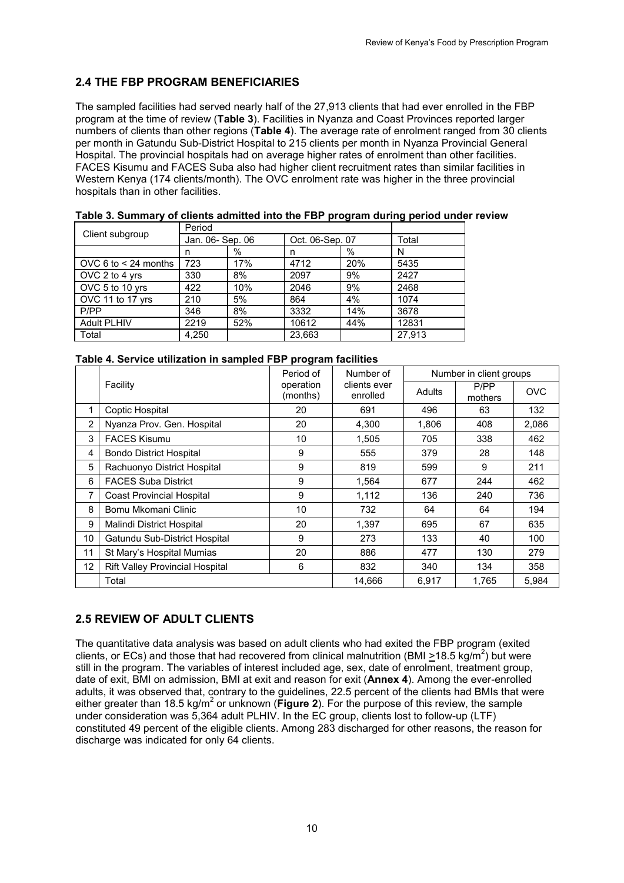# <span id="page-19-0"></span>**2.4 THE FBP PROGRAM BENEFICIARIES**

The sampled facilities had served nearly half of the 27,913 clients that had ever enrolled in the FBP program at the time of review (**Table 3**). Facilities in Nyanza and Coast Provinces reported larger numbers of clients than other regions (**Table 4**). The average rate of enrolment ranged from 30 clients per month in Gatundu Sub-District Hospital to 215 clients per month in Nyanza Provincial General Hospital. The provincial hospitals had on average higher rates of enrolment than other facilities. FACES Kisumu and FACES Suba also had higher client recruitment rates than similar facilities in Western Kenya (174 clients/month). The OVC enrolment rate was higher in the three provincial hospitals than in other facilities.

| Client subgroup        | Period           |     |                 |            |        |
|------------------------|------------------|-----|-----------------|------------|--------|
|                        | Jan. 06- Sep. 06 |     | Oct. 06-Sep. 07 |            | Total  |
|                        | n                | %   | n               | %          | N      |
| OVC 6 to $<$ 24 months | 723              | 17% | 4712            | <b>20%</b> | 5435   |
| OVC 2 to 4 yrs         | 330              | 8%  | 2097            | 9%         | 2427   |
| OVC 5 to 10 yrs        | 422              | 10% | 2046            | 9%         | 2468   |
| OVC 11 to 17 yrs       | 210              | 5%  | 864             | 4%         | 1074   |
| P/PP                   | 346              | 8%  | 3332            | 14%        | 3678   |
| <b>Adult PLHIV</b>     | 2219             | 52% | 10612           | 44%        | 12831  |
| Total                  | 4.250            |     | 23.663          |            | 27.913 |

<span id="page-19-2"></span>

|  | Table 3. Summary of clients admitted into the FBP program during period under review |  |  |
|--|--------------------------------------------------------------------------------------|--|--|
|--|--------------------------------------------------------------------------------------|--|--|

<span id="page-19-3"></span>

|  | Table 4. Service utilization in sampled FBP program facilities |  |  |  |
|--|----------------------------------------------------------------|--|--|--|
|  |                                                                |  |  |  |

|    |                                        | Period of             | Number of                | Number in client groups |                 |            |  |
|----|----------------------------------------|-----------------------|--------------------------|-------------------------|-----------------|------------|--|
|    | Facility                               | operation<br>(months) | clients ever<br>enrolled | Adults                  | P/PP<br>mothers | <b>OVC</b> |  |
| 1  | Coptic Hospital                        | 20                    | 691                      | 496                     | 63              | 132        |  |
| 2  | Nyanza Prov. Gen. Hospital             | 20                    | 4.300                    | 1.806                   | 408             | 2.086      |  |
| 3  | <b>FACES Kisumu</b>                    | 10                    | 1,505                    | 705                     | 338             | 462        |  |
| 4  | <b>Bondo District Hospital</b>         | 9                     | 555                      | 379                     | 28              | 148        |  |
| 5  | Rachuonyo District Hospital            | 9                     | 819                      | 599                     | 9               | 211        |  |
| 6  | <b>FACES Suba District</b>             | 9                     | 1,564                    | 677                     | 244             | 462        |  |
| 7  | <b>Coast Provincial Hospital</b>       | 9                     | 1,112                    | 136                     | 240             | 736        |  |
| 8  | Bomu Mkomani Clinic                    | 10                    | 732                      | 64                      | 64              | 194        |  |
| 9  | Malindi District Hospital              | 20                    | 1,397                    | 695                     | 67              | 635        |  |
| 10 | Gatundu Sub-District Hospital          | 9                     | 273                      | 133                     | 40              | 100        |  |
| 11 | St Mary's Hospital Mumias              | 20                    | 886                      | 477                     | 130             | 279        |  |
| 12 | <b>Rift Valley Provincial Hospital</b> | 6                     | 832                      | 340                     | 134             | 358        |  |
|    | Total                                  |                       | 14,666                   | 6,917                   | 1,765           | 5,984      |  |

# <span id="page-19-1"></span>**2.5 REVIEW OF ADULT CLIENTS**

The quantitative data analysis was based on adult clients who had exited the FBP program (exited clients, or ECs) and those that had recovered from clinical malnutrition (BMI  $\geq$ 18.5 kg/m<sup>2</sup>) but were still in the program. The variables of interest included age, sex, date of enrolment, treatment group, date of exit, BMI on admission, BMI at exit and reason for exit (**Annex 4**). Among the ever-enrolled adults, it was observed that, contrary to the guidelines, 22.5 percent of the clients had BMIs that were either greater than 18.5 kg/m<sup>2</sup> or unknown (**Figure 2**). For the purpose of this review, the sample under consideration was 5,364 adult PLHIV. In the EC group, clients lost to follow-up (LTF) constituted 49 percent of the eligible clients. Among 283 discharged for other reasons, the reason for discharge was indicated for only 64 clients.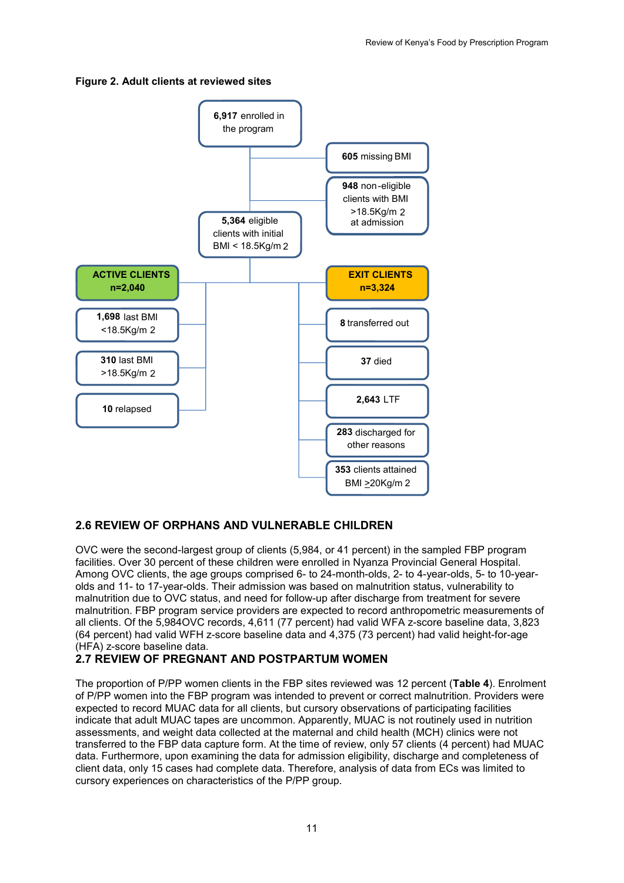#### <span id="page-20-2"></span>**Figure 2. Adult clients at reviewed sites**



## <span id="page-20-0"></span>**2.6 REVIEW OF ORPHANS AND VULNERABLE CHILDREN**

OVC were the second-largest group of clients (5,984, or 41 percent) in the sampled FBP program facilities. Over 30 percent of these children were enrolled in Nyanza Provincial General Hospital. Among OVC clients, the age groups comprised 6- to 24-month-olds, 2- to 4-year-olds, 5- to 10-yearolds and 11- to 17-year-olds. Their admission was based on malnutrition status, vulnerability to malnutrition due to OVC status, and need for follow-up after discharge from treatment for severe malnutrition. FBP program service providers are expected to record anthropometric measurements of all clients. Of the 5,984OVC records, 4,611 (77 percent) had valid WFA z-score baseline data, 3,823 (64 percent) had valid WFH z-score baseline data and 4,375 (73 percent) had valid height-for-age (HFA) z-score baseline data.

## <span id="page-20-1"></span>**2.7 REVIEW OF PREGNANT AND POSTPARTUM WOMEN**

The proportion of P/PP women clients in the FBP sites reviewed was 12 percent (**Table 4**). Enrolment of P/PP women into the FBP program was intended to prevent or correct malnutrition. Providers were expected to record MUAC data for all clients, but cursory observations of participating facilities indicate that adult MUAC tapes are uncommon. Apparently, MUAC is not routinely used in nutrition assessments, and weight data collected at the maternal and child health (MCH) clinics were not transferred to the FBP data capture form. At the time of review, only 57 clients (4 percent) had MUAC data. Furthermore, upon examining the data for admission eligibility, discharge and completeness of client data, only 15 cases had complete data. Therefore, analysis of data from ECs was limited to cursory experiences on characteristics of the P/PP group.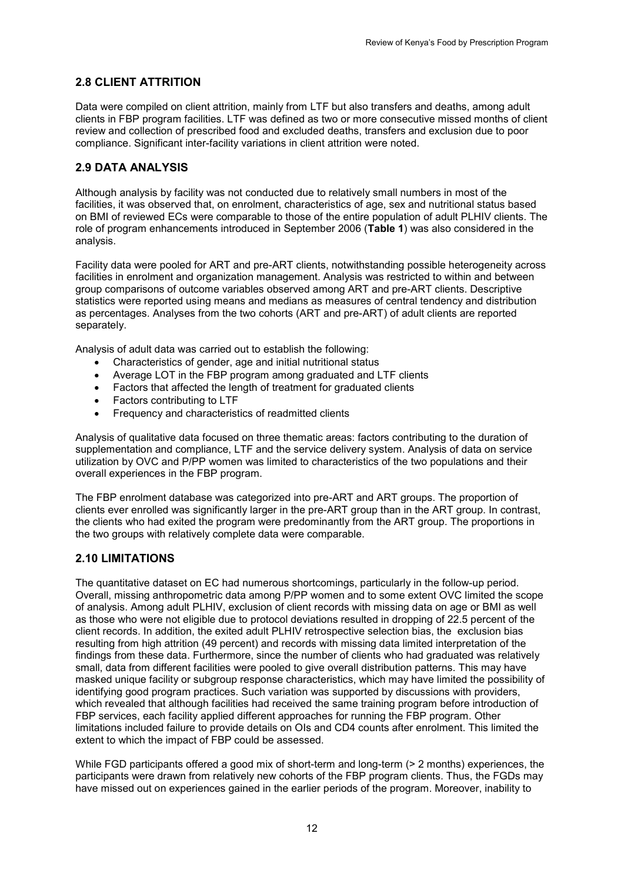## <span id="page-21-0"></span>**2.8 CLIENT ATTRITION**

Data were compiled on client attrition, mainly from LTF but also transfers and deaths, among adult clients in FBP program facilities. LTF was defined as two or more consecutive missed months of client review and collection of prescribed food and excluded deaths, transfers and exclusion due to poor compliance. Significant inter-facility variations in client attrition were noted.

## <span id="page-21-1"></span>**2.9 DATA ANALYSIS**

Although analysis by facility was not conducted due to relatively small numbers in most of the facilities, it was observed that, on enrolment, characteristics of age, sex and nutritional status based on BMI of reviewed ECs were comparable to those of the entire population of adult PLHIV clients. The role of program enhancements introduced in September 2006 (**Table 1**) was also considered in the analysis.

Facility data were pooled for ART and pre-ART clients, notwithstanding possible heterogeneity across facilities in enrolment and organization management. Analysis was restricted to within and between group comparisons of outcome variables observed among ART and pre-ART clients. Descriptive statistics were reported using means and medians as measures of central tendency and distribution as percentages. Analyses from the two cohorts (ART and pre-ART) of adult clients are reported separately.

Analysis of adult data was carried out to establish the following:

- Characteristics of gender, age and initial nutritional status
- Average LOT in the FBP program among graduated and LTF clients
- Factors that affected the length of treatment for graduated clients
- Factors contributing to LTF
- Frequency and characteristics of readmitted clients

Analysis of qualitative data focused on three thematic areas: factors contributing to the duration of supplementation and compliance, LTF and the service delivery system. Analysis of data on service utilization by OVC and P/PP women was limited to characteristics of the two populations and their overall experiences in the FBP program.

The FBP enrolment database was categorized into pre-ART and ART groups. The proportion of clients ever enrolled was significantly larger in the pre-ART group than in the ART group. In contrast, the clients who had exited the program were predominantly from the ART group. The proportions in the two groups with relatively complete data were comparable.

## <span id="page-21-2"></span>**2.10 LIMITATIONS**

The quantitative dataset on EC had numerous shortcomings, particularly in the follow-up period. Overall, missing anthropometric data among P/PP women and to some extent OVC limited the scope of analysis. Among adult PLHIV, exclusion of client records with missing data on age or BMI as well as those who were not eligible due to protocol deviations resulted in dropping of 22.5 percent of the client records. In addition, the exited adult PLHIV retrospective selection bias, the exclusion bias resulting from high attrition (49 percent) and records with missing data limited interpretation of the findings from these data. Furthermore, since the number of clients who had graduated was relatively small, data from different facilities were pooled to give overall distribution patterns. This may have masked unique facility or subgroup response characteristics, which may have limited the possibility of identifying good program practices. Such variation was supported by discussions with providers, which revealed that although facilities had received the same training program before introduction of FBP services, each facility applied different approaches for running the FBP program. Other limitations included failure to provide details on OIs and CD4 counts after enrolment. This limited the extent to which the impact of FBP could be assessed.

While FGD participants offered a good mix of short-term and long-term ( $>$  2 months) experiences, the participants were drawn from relatively new cohorts of the FBP program clients. Thus, the FGDs may have missed out on experiences gained in the earlier periods of the program. Moreover, inability to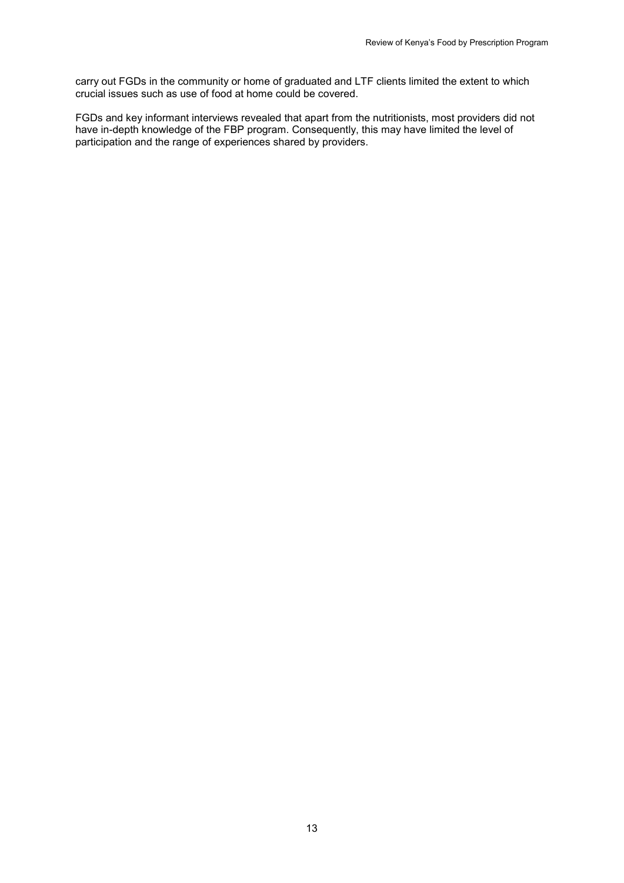carry out FGDs in the community or home of graduated and LTF clients limited the extent to which crucial issues such as use of food at home could be covered.

FGDs and key informant interviews revealed that apart from the nutritionists, most providers did not have in-depth knowledge of the FBP program. Consequently, this may have limited the level of participation and the range of experiences shared by providers.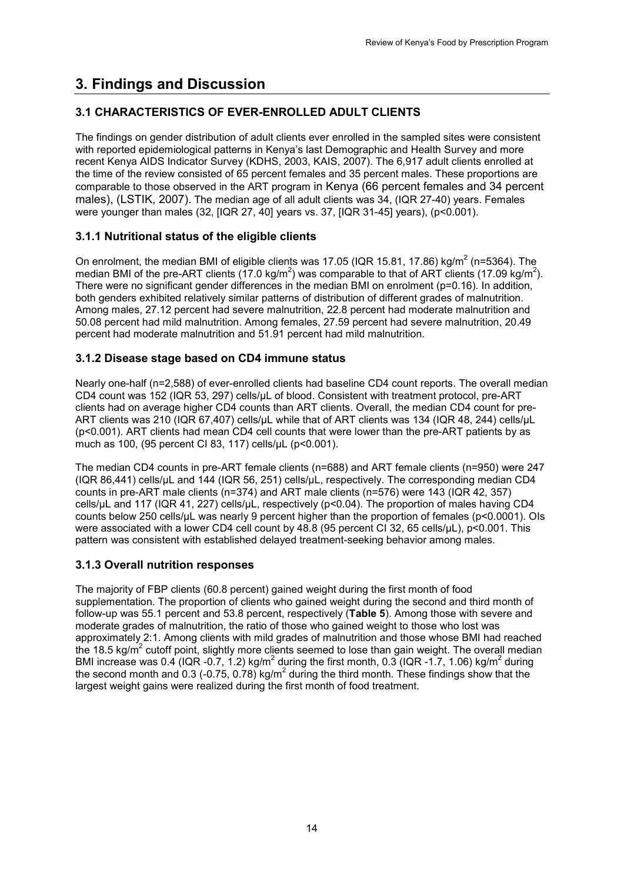# <span id="page-23-0"></span>**3. Findings and Discussion**

## <span id="page-23-1"></span>**3.1 CHARACTERISTICS OF EVER-ENROLLED ADULT CLIENTS**

The findings on gender distribution of adult clients ever enrolled in the sampled sites were consistent with reported epidemiological patterns in Kenya's last Demographic and Health Survey and more recent Kenya AIDS Indicator Survey (KDHS, 2003, KAIS, 2007). The 6,917 adult clients enrolled at the time of the review consisted of 65 percent females and 35 percent males. These proportions are comparable to those observed in the ART program in Kenya (66 percent females and 34 percent males), (LSTIK, 2007). The median age of all adult clients was 34, (IQR 27-40) years. Females were younger than males (32, [IQR 27, 40] years vs. 37, [IQR 31-45] years), (p<0.001).

## <span id="page-23-2"></span>**3.1.1 Nutritional status of the eligible clients**

On enrolment, the median BMI of eligible clients was 17.05 (IQR 15.81, 17.86) kg/m<sup>2</sup> (n=5364). The median BMI of the pre-ART clients (17.0 kg/m<sup>2</sup>) was comparable to that of ART clients (17.09 kg/m<sup>2</sup>). There were no significant gender differences in the median BMI on enrolment (p=0.16). In addition, both genders exhibited relatively similar patterns of distribution of different grades of malnutrition. Among males, 27.12 percent had severe malnutrition, 22.8 percent had moderate malnutrition and 50.08 percent had mild malnutrition. Among females, 27.59 percent had severe malnutrition, 20.49 percent had moderate malnutrition and 51.91 percent had mild malnutrition.

## <span id="page-23-3"></span>**3.1.2 Disease stage based on CD4 immune status**

Nearly one-half (n=2,588) of ever-enrolled clients had baseline CD4 count reports. The overall median CD4 count was 152 (IQR 53, 297) cells/µL of blood. Consistent with treatment protocol, pre-ART clients had on average higher CD4 counts than ART clients. Overall, the median CD4 count for pre-ART clients was 210 (IQR 67,407) cells/µL while that of ART clients was 134 (IQR 48, 244) cells/µL (p<0.001). ART clients had mean CD4 cell counts that were lower than the pre-ART patients by as much as 100, (95 percent CI 83, 117) cells/µL (p<0.001).

The median CD4 counts in pre-ART female clients (n=688) and ART female clients (n=950) were 247 (IQR 86,441) cells/µL and 144 (IQR 56, 251) cells/µL, respectively. The corresponding median CD4 counts in pre-ART male clients (n=374) and ART male clients (n=576) were 143 (IQR 42, 357) cells/µL and 117 (IQR 41, 227) cells/µL, respectively (p<0.04). The proportion of males having CD4 counts below 250 cells/µL was nearly 9 percent higher than the proportion of females (p<0.0001). OIs were associated with a lower CD4 cell count by 48.8 (95 percent CI 32, 65 cells/µL), p<0.001. This pattern was consistent with established delayed treatment-seeking behavior among males.

## <span id="page-23-4"></span>**3.1.3 Overall nutrition responses**

The majority of FBP clients (60.8 percent) gained weight during the first month of food supplementation. The proportion of clients who gained weight during the second and third month of follow-up was 55.1 percent and 53.8 percent, respectively (**Table 5**). Among those with severe and moderate grades of malnutrition, the ratio of those who gained weight to those who lost was approximately 2:1. Among clients with mild grades of malnutrition and those whose BMI had reached the 18.5 kg/ $m^2$  cutoff point, slightly more clients seemed to lose than gain weight. The overall median BMI increase was 0.4 (IQR -0.7, 1.2) kg/m<sup>2</sup> during the first month, 0.3 (IQR -1.7, 1.06) kg/m<sup>2</sup> during the second month and 0.3 (-0.75, 0.78) kg/m<sup>2</sup> during the third month. These findings show that the largest weight gains were realized during the first month of food treatment.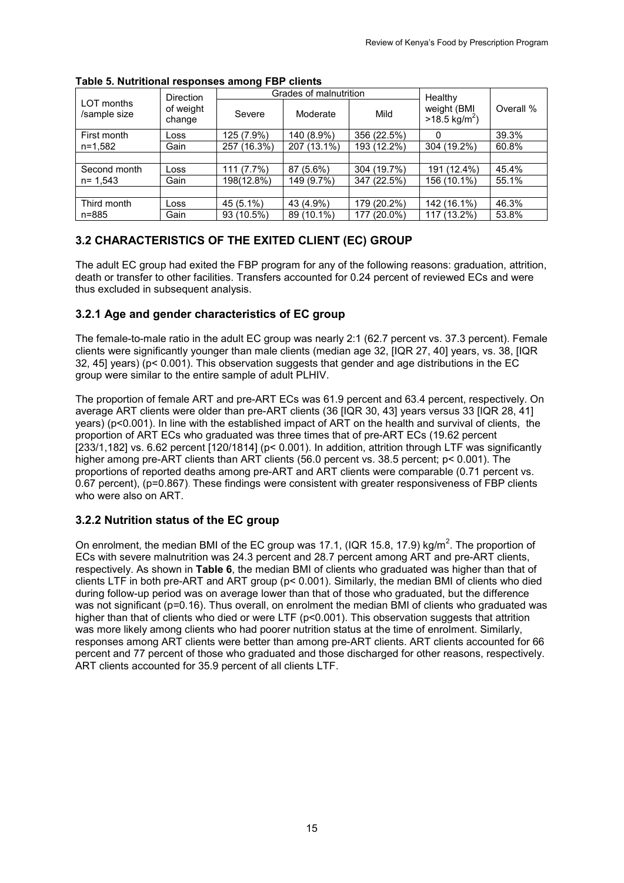|                            | <b>Direction</b>    | $\sim$      | Grades of malnutrition | Healthy           |                                         |           |
|----------------------------|---------------------|-------------|------------------------|-------------------|-----------------------------------------|-----------|
| LOT months<br>/sample size | of weight<br>change | Severe      | Moderate               | Mild              | weight (BMI<br>$>18.5 \text{ kg/m}^2$ ) | Overall % |
| First month                | Loss                | 125 (7.9%)  | 140 (8.9%)             | 356 (22.5%)       |                                         | 39.3%     |
| n=1,582                    | Gain                | 257 (16.3%) | 207 (13.1%)            | 193 (12.2%)       | 304 (19.2%)                             | 60.8%     |
|                            |                     |             |                        |                   |                                         |           |
| Second month               | Loss                | 111 (7.7%)  | 87 (5.6%)              | 304 (19.7%)       | 191 (12.4%)                             | 45.4%     |
| $n = 1.543$                | Gain                | 198(12.8%)  | 149 (9.7%)             | 347 (22.5%)       | 156 (10.1%)                             | 55.1%     |
|                            |                     |             |                        |                   |                                         |           |
| Third month                | Loss                | 45 (5.1%)   | 43 (4.9%)              | 179 (20.2%)       | 142 (16.1%)                             | 46.3%     |
| n=885                      | Gain                | 93 (10.5%)  | 89 (10.1%)             | $(20.0\%)$<br>177 | 117 (13.2%)                             | 53.8%     |

#### <span id="page-24-3"></span>**Table 5. Nutritional responses among FBP clients**

## <span id="page-24-0"></span>**3.2 CHARACTERISTICS OF THE EXITED CLIENT (EC) GROUP**

The adult EC group had exited the FBP program for any of the following reasons: graduation, attrition, death or transfer to other facilities. Transfers accounted for 0.24 percent of reviewed ECs and were thus excluded in subsequent analysis.

## <span id="page-24-1"></span>**3.2.1 Age and gender characteristics of EC group**

The female-to-male ratio in the adult EC group was nearly 2:1 (62.7 percent vs. 37.3 percent). Female clients were significantly younger than male clients (median age 32, [IQR 27, 40] years, vs. 38, [IQR 32, 45] years) ( $p < 0.001$ ). This observation suggests that gender and age distributions in the EC group were similar to the entire sample of adult PLHIV.

The proportion of female ART and pre-ART ECs was 61.9 percent and 63.4 percent, respectively. On average ART clients were older than pre-ART clients (36 [IQR 30, 43] years versus 33 [IQR 28, 41] years) (p<0.001). In line with the established impact of ART on the health and survival of clients, the proportion of ART ECs who graduated was three times that of pre-ART ECs (19.62 percent [233/1,182] vs. 6.62 percent [120/1814] (p< 0.001). In addition, attrition through LTF was significantly higher among pre-ART clients than ART clients (56.0 percent vs. 38.5 percent; p< 0.001). The proportions of reported deaths among pre-ART and ART clients were comparable (0.71 percent vs. 0.67 percent), (p=0.867). These findings were consistent with greater responsiveness of FBP clients who were also on ART.

## <span id="page-24-2"></span>**3.2.2 Nutrition status of the EC group**

On enrolment, the median BMI of the EC group was 17.1, (IQR 15.8, 17.9) kg/m<sup>2</sup>. The proportion of ECs with severe malnutrition was 24.3 percent and 28.7 percent among ART and pre-ART clients, respectively. As shown in **Table 6**, the median BMI of clients who graduated was higher than that of clients LTF in both pre-ART and ART group (p< 0.001). Similarly, the median BMI of clients who died during follow-up period was on average lower than that of those who graduated, but the difference was not significant (p=0.16). Thus overall, on enrolment the median BMI of clients who graduated was higher than that of clients who died or were LTF (p<0.001). This observation suggests that attrition was more likely among clients who had poorer nutrition status at the time of enrolment. Similarly, responses among ART clients were better than among pre-ART clients. ART clients accounted for 66 percent and 77 percent of those who graduated and those discharged for other reasons, respectively. ART clients accounted for 35.9 percent of all clients LTF.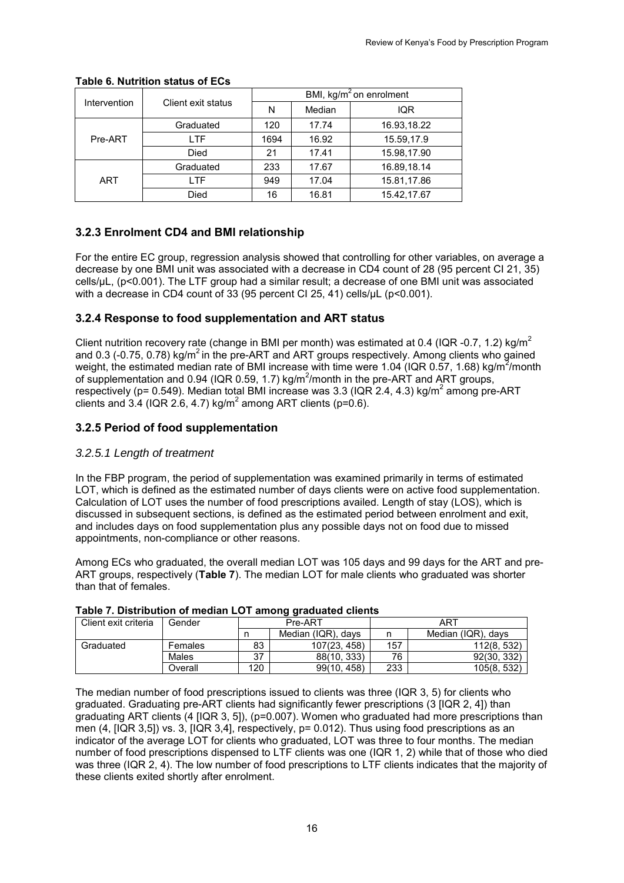|              |                    | BMI, kg/ $m^2$ on enrolment |        |             |  |  |
|--------------|--------------------|-----------------------------|--------|-------------|--|--|
| Intervention | Client exit status | N                           | Median | <b>IQR</b>  |  |  |
|              | Graduated          | 120                         | 17.74  | 16.93,18.22 |  |  |
| Pre-ART      | LTF                | 1694                        | 16.92  | 15.59,17.9  |  |  |
|              | Died               | 21                          | 17.41  | 15.98,17.90 |  |  |
|              | Graduated          | 233                         | 17.67  | 16.89,18.14 |  |  |
| <b>ART</b>   | I TF               | 949                         | 17.04  | 15.81,17.86 |  |  |
|              | Died               | 16                          | 16.81  | 15.42,17.67 |  |  |

### <span id="page-25-3"></span>**Table 6. Nutrition status of ECs**

## <span id="page-25-0"></span>**3.2.3 Enrolment CD4 and BMI relationship**

For the entire EC group, regression analysis showed that controlling for other variables, on average a decrease by one BMI unit was associated with a decrease in CD4 count of 28 (95 percent CI 21, 35) cells/µL, (p<0.001). The LTF group had a similar result; a decrease of one BMI unit was associated with a decrease in CD4 count of 33 (95 percent CI 25, 41) cells/uL (p<0.001).

## <span id="page-25-1"></span>**3.2.4 Response to food supplementation and ART status**

Client nutrition recovery rate (change in BMI per month) was estimated at 0.4 (IQR -0.7, 1.2) kg/m<sup>2</sup> and 0.3 (-0.75, 0.78) kg/m<sup>2</sup> in the pre-ART and ART groups respectively. Among clients who gained weight, the estimated median rate of BMI increase with time were 1.04 (IQR 0.57, 1.68) kg/m<sup>2</sup>/month of supplementation and 0.94 (IQR 0.59, 1.7) kg/m<sup>2</sup>/month in the pre-ART and ART groups, respectively (p=  $0.549$ ). Median total BMI increase was 3.3 (IQR 2.4, 4.3) kg/m<sup>2</sup> among pre-ART clients and 3.4 (IQR 2.6, 4.7) kg/m<sup>2</sup> among ART clients (p=0.6).

## <span id="page-25-2"></span>**3.2.5 Period of food supplementation**

#### *3.2.5.1 Length of treatment*

In the FBP program, the period of supplementation was examined primarily in terms of estimated LOT, which is defined as the estimated number of days clients were on active food supplementation. Calculation of LOT uses the number of food prescriptions availed. Length of stay (LOS), which is discussed in subsequent sections, is defined as the estimated period between enrolment and exit, and includes days on food supplementation plus any possible days not on food due to missed appointments, non-compliance or other reasons.

Among ECs who graduated, the overall median LOT was 105 days and 99 days for the ART and pre-ART groups, respectively (**Table 7**). The median LOT for male clients who graduated was shorter than that of females.

|                      | - 3 3 - - - - - - - - - - - - - - - - |                    |              |     |                    |  |  |  |
|----------------------|---------------------------------------|--------------------|--------------|-----|--------------------|--|--|--|
| Client exit criteria | Gender                                |                    | Pre-ART      | ART |                    |  |  |  |
|                      |                                       | Median (IQR), days |              | n   | Median (IQR), days |  |  |  |
| Graduated            | Females                               | 83                 | 107(23, 458) | 157 | 112(8, 532)        |  |  |  |
|                      | Males                                 | 37                 | 88(10.333)   | 76  | 92(30, 332)        |  |  |  |
|                      | Overall                               | 120                | 99(10, 458)  | 233 | 105(8, 532)        |  |  |  |

#### <span id="page-25-4"></span>**Table 7. Distribution of median LOT among graduated clients**

The median number of food prescriptions issued to clients was three (IQR 3, 5) for clients who graduated. Graduating pre-ART clients had significantly fewer prescriptions (3 [IQR 2, 4]) than graduating ART clients (4 [IQR 3, 5]), (p=0.007). Women who graduated had more prescriptions than men (4, [IQR 3,5]) vs. 3, [IQR 3,4], respectively, p= 0.012). Thus using food prescriptions as an indicator of the average LOT for clients who graduated, LOT was three to four months. The median number of food prescriptions dispensed to LTF clients was one (IQR 1, 2) while that of those who died was three (IQR 2, 4). The low number of food prescriptions to LTF clients indicates that the majority of these clients exited shortly after enrolment.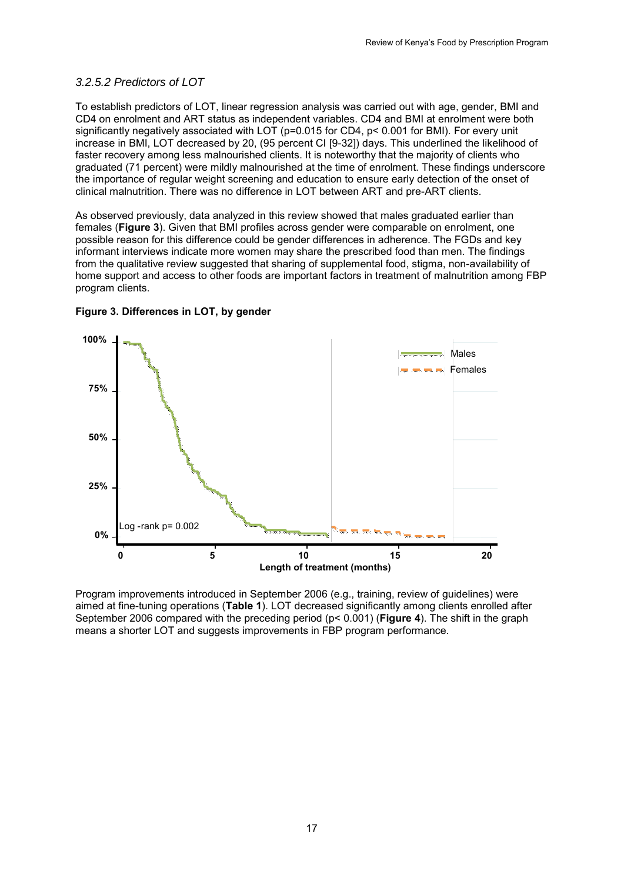#### *3.2.5.2 Predictors of LOT*

To establish predictors of LOT, linear regression analysis was carried out with age, gender, BMI and CD4 on enrolment and ART status as independent variables. CD4 and BMI at enrolment were both significantly negatively associated with LOT (p=0.015 for CD4, p< 0.001 for BMI). For every unit increase in BMI, LOT decreased by 20, (95 percent CI [9-32]) days. This underlined the likelihood of faster recovery among less malnourished clients. It is noteworthy that the majority of clients who graduated (71 percent) were mildly malnourished at the time of enrolment. These findings underscore the importance of regular weight screening and education to ensure early detection of the onset of clinical malnutrition. There was no difference in LOT between ART and pre-ART clients.

As observed previously, data analyzed in this review showed that males graduated earlier than females (**Figure 3**). Given that BMI profiles across gender were comparable on enrolment, one possible reason for this difference could be gender differences in adherence. The FGDs and key informant interviews indicate more women may share the prescribed food than men. The findings from the qualitative review suggested that sharing of supplemental food, stigma, non-availability of home support and access to other foods are important factors in treatment of malnutrition among FBP program clients.



#### <span id="page-26-0"></span>**Figure 3. Differences in LOT, by gender**

Program improvements introduced in September 2006 (e.g., training, review of guidelines) were aimed at fine-tuning operations (**Table 1**). LOT decreased significantly among clients enrolled after September 2006 compared with the preceding period (p< 0.001) (**Figure 4**). The shift in the graph means a shorter LOT and suggests improvements in FBP program performance.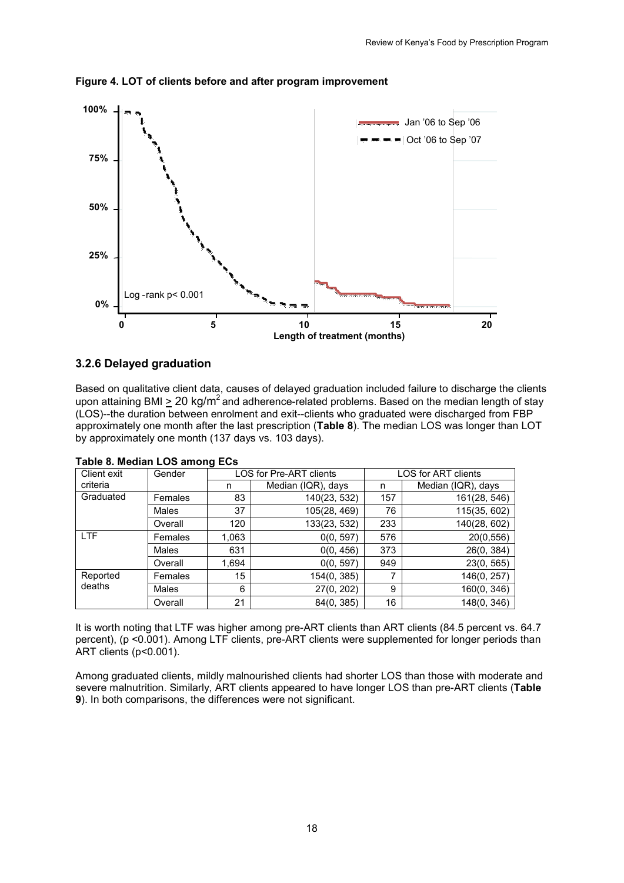

<span id="page-27-2"></span>**Figure 4. LOT of clients before and after program improvement**

### <span id="page-27-0"></span>**3.2.6 Delayed graduation**

Based on qualitative client data, causes of delayed graduation included failure to discharge the clients upon attaining BMI > 20 kg/m<sup>2</sup> and adherence-related problems. Based on the median length of stay (LOS)--the duration between enrolment and exit--clients who graduated were discharged from FBP approximately one month after the last prescription (**Table 8**). The median LOS was longer than LOT by approximately one month (137 days vs. 103 days).

<span id="page-27-1"></span>

|  | Table 8. Median LOS among ECs |  |  |  |
|--|-------------------------------|--|--|--|
|--|-------------------------------|--|--|--|

| Client exit | Gender       |       | <b>LOS for Pre-ART clients</b> | LOS for ART clients |                    |  |
|-------------|--------------|-------|--------------------------------|---------------------|--------------------|--|
| criteria    |              | n     | Median (IQR), days             | n                   | Median (IQR), days |  |
| Graduated   | Females      | 83    | 140(23, 532)                   | 157                 | 161(28, 546)       |  |
|             | Males        | 37    | 105(28, 469)                   | 76                  | 115(35, 602)       |  |
|             | Overall      | 120   | 133(23, 532)                   | 233                 | 140(28, 602)       |  |
| LTF         | Females      | 1,063 | 0(0, 597)                      | 576                 | 20(0,556)          |  |
|             | <b>Males</b> | 631   | 0(0, 456)                      | 373                 | 26(0, 384)         |  |
|             | Overall      | 1.694 | 0(0, 597)                      | 949                 | 23(0, 565)         |  |
| Reported    | Females      | 15    | 154(0, 385)                    | 7                   | 146(0, 257)        |  |
| deaths      | Males        | 6     | 27(0, 202)                     | 9                   | 160(0, 346)        |  |
|             | Overall      | 21    | 84(0, 385)                     | 16                  | 148(0, 346)        |  |

It is worth noting that LTF was higher among pre-ART clients than ART clients (84.5 percent vs. 64.7 percent), (p <0.001). Among LTF clients, pre-ART clients were supplemented for longer periods than ART clients (p<0.001).

Among graduated clients, mildly malnourished clients had shorter LOS than those with moderate and severe malnutrition. Similarly, ART clients appeared to have longer LOS than pre-ART clients (**Table 9**). In both comparisons, the differences were not significant.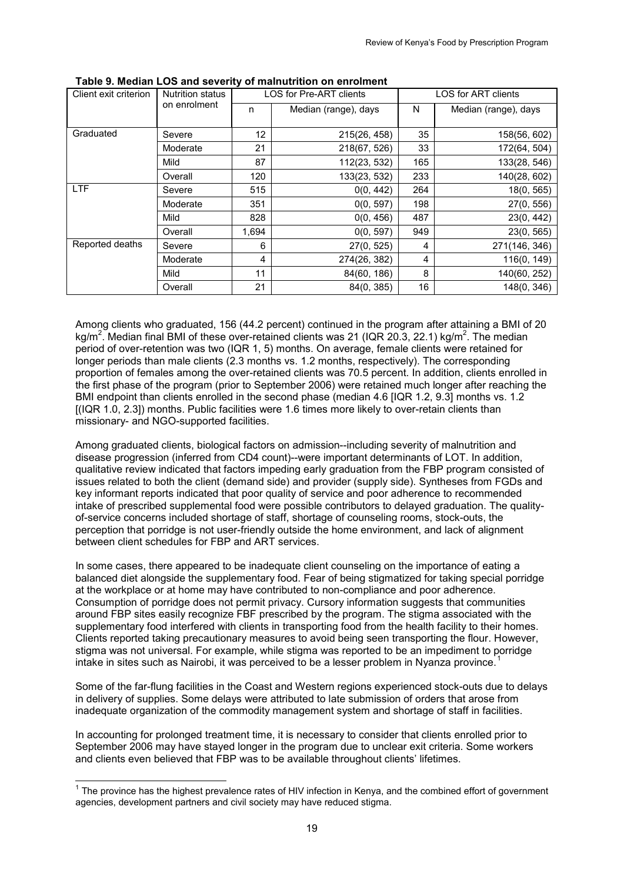| Client exit criterion | Nutrition status |       | LOS for Pre-ART clients | LOS for ART clients |                      |  |
|-----------------------|------------------|-------|-------------------------|---------------------|----------------------|--|
|                       | on enrolment     | n     | Median (range), days    | N                   | Median (range), days |  |
|                       |                  |       |                         |                     |                      |  |
| Graduated             | Severe           | 12    | 215(26, 458)            | 35                  | 158(56, 602)         |  |
|                       | Moderate         | 21    | 218(67, 526)            | 33                  | 172(64, 504)         |  |
|                       | Mild             | 87    | 112(23, 532)            | 165                 | 133(28, 546)         |  |
|                       | Overall          | 120   | 133(23, 532)            | 233                 | 140(28, 602)         |  |
| <b>LTF</b>            | Severe           | 515   | 0(0, 442)               | 264                 | 18(0, 565)           |  |
|                       | Moderate         | 351   | 0(0, 597)               | 198                 | 27(0, 556)           |  |
|                       | Mild             | 828   | 0(0, 456)               | 487                 | 23(0, 442)           |  |
|                       | Overall          | 1,694 | 0(0, 597)               | 949                 | 23(0, 565)           |  |
| Reported deaths       | Severe           | 6     | 27(0, 525)              | 4                   | 271(146, 346)        |  |
|                       | Moderate         | 4     | 274(26, 382)            | 4                   | 116(0, 149)          |  |
|                       | Mild             | 11    | 84(60, 186)             | 8                   | 140(60, 252)         |  |
|                       | Overall          | 21    | 84(0, 385)              | 16                  | 148(0, 346)          |  |

<span id="page-28-0"></span>**Table 9. Median LOS and severity of malnutrition on enrolment** 

Among clients who graduated, 156 (44.2 percent) continued in the program after attaining a BMI of 20 kg/m<sup>2</sup>. Median final BMI of these over-retained clients was 21 (IQR 20.3, 22.1) kg/m<sup>2</sup>. The median period of over-retention was two (IQR 1, 5) months. On average, female clients were retained for longer periods than male clients (2.3 months vs. 1.2 months, respectively). The corresponding proportion of females among the over-retained clients was 70.5 percent. In addition, clients enrolled in the first phase of the program (prior to September 2006) were retained much longer after reaching the BMI endpoint than clients enrolled in the second phase (median 4.6 [IQR 1.2, 9.3] months vs. 1.2 [(IQR 1.0, 2.3]) months. Public facilities were 1.6 times more likely to over-retain clients than missionary- and NGO-supported facilities.

Among graduated clients, biological factors on admission--including severity of malnutrition and disease progression (inferred from CD4 count)--were important determinants of LOT. In addition, qualitative review indicated that factors impeding early graduation from the FBP program consisted of issues related to both the client (demand side) and provider (supply side). Syntheses from FGDs and key informant reports indicated that poor quality of service and poor adherence to recommended intake of prescribed supplemental food were possible contributors to delayed graduation. The qualityof-service concerns included shortage of staff, shortage of counseling rooms, stock-outs, the perception that porridge is not user-friendly outside the home environment, and lack of alignment between client schedules for FBP and ART services.

In some cases, there appeared to be inadequate client counseling on the importance of eating a balanced diet alongside the supplementary food. Fear of being stigmatized for taking special porridge at the workplace or at home may have contributed to non-compliance and poor adherence. Consumption of porridge does not permit privacy. Cursory information suggests that communities around FBP sites easily recognize FBF prescribed by the program. The stigma associated with the supplementary food interfered with clients in transporting food from the health facility to their homes. Clients reported taking precautionary measures to avoid being seen transporting the flour. However, stigma was not universal. For example, while stigma was reported to be an impediment to porridge intake in sites such as Nairobi, it was perceived to be a lesser problem in Nyanza province.<sup>[1](#page-28-1)</sup>

Some of the far-flung facilities in the Coast and Western regions experienced stock-outs due to delays in delivery of supplies. Some delays were attributed to late submission of orders that arose from inadequate organization of the commodity management system and shortage of staff in facilities.

In accounting for prolonged treatment time, it is necessary to consider that clients enrolled prior to September 2006 may have stayed longer in the program due to unclear exit criteria. Some workers and clients even believed that FBP was to be available throughout clients' lifetimes.

 $\overline{a}$ 

<span id="page-28-1"></span> $1$  The province has the highest prevalence rates of HIV infection in Kenya, and the combined effort of government agencies, development partners and civil society may have reduced stigma.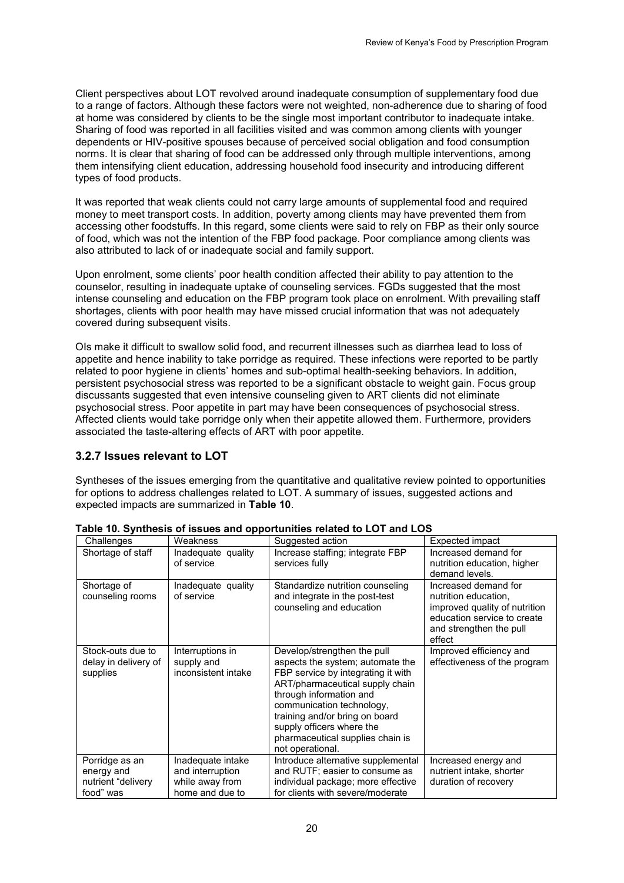Client perspectives about LOT revolved around inadequate consumption of supplementary food due to a range of factors. Although these factors were not weighted, non-adherence due to sharing of food at home was considered by clients to be the single most important contributor to inadequate intake. Sharing of food was reported in all facilities visited and was common among clients with younger dependents or HIV-positive spouses because of perceived social obligation and food consumption norms. It is clear that sharing of food can be addressed only through multiple interventions, among them intensifying client education, addressing household food insecurity and introducing different types of food products.

It was reported that weak clients could not carry large amounts of supplemental food and required money to meet transport costs. In addition, poverty among clients may have prevented them from accessing other foodstuffs. In this regard, some clients were said to rely on FBP as their only source of food, which was not the intention of the FBP food package. Poor compliance among clients was also attributed to lack of or inadequate social and family support.

Upon enrolment, some clients' poor health condition affected their ability to pay attention to the counselor, resulting in inadequate uptake of counseling services. FGDs suggested that the most intense counseling and education on the FBP program took place on enrolment. With prevailing staff shortages, clients with poor health may have missed crucial information that was not adequately covered during subsequent visits.

OIs make it difficult to swallow solid food, and recurrent illnesses such as diarrhea lead to loss of appetite and hence inability to take porridge as required. These infections were reported to be partly related to poor hygiene in clients' homes and sub-optimal health-seeking behaviors. In addition, persistent psychosocial stress was reported to be a significant obstacle to weight gain. Focus group discussants suggested that even intensive counseling given to ART clients did not eliminate psychosocial stress. Poor appetite in part may have been consequences of psychosocial stress. Affected clients would take porridge only when their appetite allowed them. Furthermore, providers associated the taste-altering effects of ART with poor appetite.

#### <span id="page-29-0"></span>**3.2.7 Issues relevant to LOT**

Syntheses of the issues emerging from the quantitative and qualitative review pointed to opportunities for options to address challenges related to LOT. A summary of issues, suggested actions and expected impacts are summarized in **Table 10**.

| Challenges                                                      | Weakness                                                                    | Suggested action                                                                                                                                                                                                                                                                                                        | Expected impact                                                                                                                                   |
|-----------------------------------------------------------------|-----------------------------------------------------------------------------|-------------------------------------------------------------------------------------------------------------------------------------------------------------------------------------------------------------------------------------------------------------------------------------------------------------------------|---------------------------------------------------------------------------------------------------------------------------------------------------|
| Shortage of staff                                               | Inadequate quality<br>of service                                            | Increase staffing; integrate FBP<br>services fully                                                                                                                                                                                                                                                                      | Increased demand for<br>nutrition education, higher<br>demand levels.                                                                             |
| Shortage of<br>counseling rooms                                 | Inadequate quality<br>of service                                            | Standardize nutrition counseling<br>and integrate in the post-test<br>counseling and education                                                                                                                                                                                                                          | Increased demand for<br>nutrition education,<br>improved quality of nutrition<br>education service to create<br>and strengthen the pull<br>effect |
| Stock-outs due to<br>delay in delivery of<br>supplies           | Interruptions in<br>supply and<br>inconsistent intake                       | Develop/strengthen the pull<br>aspects the system; automate the<br>FBP service by integrating it with<br>ART/pharmaceutical supply chain<br>through information and<br>communication technology,<br>training and/or bring on board<br>supply officers where the<br>pharmaceutical supplies chain is<br>not operational. | Improved efficiency and<br>effectiveness of the program                                                                                           |
| Porridge as an<br>energy and<br>nutrient "delivery<br>food" was | Inadequate intake<br>and interruption<br>while away from<br>home and due to | Introduce alternative supplemental<br>and RUTF; easier to consume as<br>individual package; more effective<br>for clients with severe/moderate                                                                                                                                                                          | Increased energy and<br>nutrient intake, shorter<br>duration of recovery                                                                          |

<span id="page-29-1"></span>**Table 10. Synthesis of issues and opportunities related to LOT and LOS**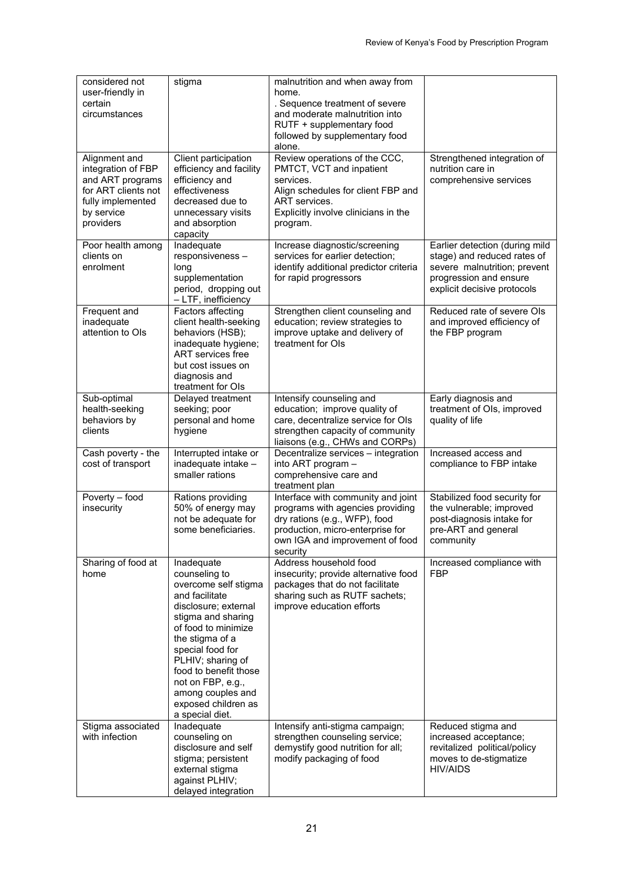| considered not<br>user-friendly in<br>certain<br>circumstances                                                                 | stigma                                                                                                                                                                                                                                                                                                              | malnutrition and when away from<br>home.<br>. Sequence treatment of severe<br>and moderate malnutrition into<br>RUTF + supplementary food<br>followed by supplementary food<br>alone.      |                                                                                                                                                        |
|--------------------------------------------------------------------------------------------------------------------------------|---------------------------------------------------------------------------------------------------------------------------------------------------------------------------------------------------------------------------------------------------------------------------------------------------------------------|--------------------------------------------------------------------------------------------------------------------------------------------------------------------------------------------|--------------------------------------------------------------------------------------------------------------------------------------------------------|
| Alignment and<br>integration of FBP<br>and ART programs<br>for ART clients not<br>fully implemented<br>by service<br>providers | Client participation<br>efficiency and facility<br>efficiency and<br>effectiveness<br>decreased due to<br>unnecessary visits<br>and absorption<br>capacity                                                                                                                                                          | Review operations of the CCC,<br>PMTCT, VCT and inpatient<br>services.<br>Align schedules for client FBP and<br>ART services.<br>Explicitly involve clinicians in the<br>program.          | Strengthened integration of<br>nutrition care in<br>comprehensive services                                                                             |
| Poor health among<br>clients on<br>enrolment                                                                                   | Inadequate<br>responsiveness-<br>long<br>supplementation<br>period, dropping out<br>- LTF, inefficiency                                                                                                                                                                                                             | Increase diagnostic/screening<br>services for earlier detection;<br>identify additional predictor criteria<br>for rapid progressors                                                        | Earlier detection (during mild<br>stage) and reduced rates of<br>severe malnutrition; prevent<br>progression and ensure<br>explicit decisive protocols |
| Frequent and<br>inadequate<br>attention to OIs                                                                                 | Factors affecting<br>client health-seeking<br>behaviors (HSB);<br>inadequate hygiene;<br>ART services free<br>but cost issues on<br>diagnosis and<br>treatment for OIs                                                                                                                                              | Strengthen client counseling and<br>education; review strategies to<br>improve uptake and delivery of<br>treatment for OIs                                                                 | Reduced rate of severe Ols<br>and improved efficiency of<br>the FBP program                                                                            |
| Sub-optimal<br>health-seeking<br>behaviors by<br>clients                                                                       | Delayed treatment<br>seeking; poor<br>personal and home<br>hygiene                                                                                                                                                                                                                                                  | Intensify counseling and<br>education; improve quality of<br>care, decentralize service for OIs<br>strengthen capacity of community<br>liaisons (e.g., CHWs and CORPs)                     | Early diagnosis and<br>treatment of OIs, improved<br>quality of life                                                                                   |
| Cash poverty - the<br>cost of transport                                                                                        | Interrupted intake or<br>inadequate intake -<br>smaller rations                                                                                                                                                                                                                                                     | Decentralize services - integration<br>into ART program -<br>comprehensive care and<br>treatment plan                                                                                      | Increased access and<br>compliance to FBP intake                                                                                                       |
| Poverty - food<br>insecurity                                                                                                   | Rations providing<br>50% of energy may<br>not be adequate for<br>some beneficiaries.                                                                                                                                                                                                                                | Interface with community and joint<br>programs with agencies providing<br>dry rations (e.g., WFP), food<br>production, micro-enterprise for<br>own IGA and improvement of food<br>security | Stabilized food security for<br>the vulnerable; improved<br>post-diagnosis intake for<br>pre-ART and general<br>community                              |
| Sharing of food at<br>home                                                                                                     | Inadequate<br>counseling to<br>overcome self stigma<br>and facilitate<br>disclosure; external<br>stigma and sharing<br>of food to minimize<br>the stigma of a<br>special food for<br>PLHIV; sharing of<br>food to benefit those<br>not on FBP, e.g.,<br>among couples and<br>exposed children as<br>a special diet. | Address household food<br>insecurity; provide alternative food<br>packages that do not facilitate<br>sharing such as RUTF sachets;<br>improve education efforts                            | Increased compliance with<br><b>FBP</b>                                                                                                                |
| Stigma associated<br>with infection                                                                                            | Inadequate<br>counseling on<br>disclosure and self<br>stigma; persistent<br>external stigma<br>against PLHIV;<br>delayed integration                                                                                                                                                                                | Intensify anti-stigma campaign;<br>strengthen counseling service;<br>demystify good nutrition for all;<br>modify packaging of food                                                         | Reduced stigma and<br>increased acceptance;<br>revitalized political/policy<br>moves to de-stigmatize<br><b>HIV/AIDS</b>                               |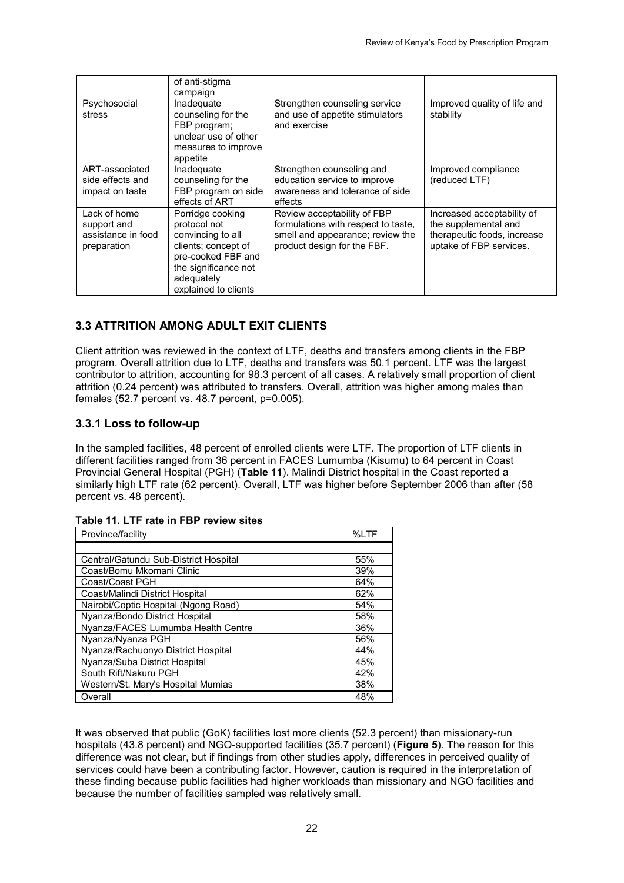|                                                                                                                                                                                                                                      | of anti-stigma<br>campaign                                                                                  |                                                                                                                                       |                                                                                                              |
|--------------------------------------------------------------------------------------------------------------------------------------------------------------------------------------------------------------------------------------|-------------------------------------------------------------------------------------------------------------|---------------------------------------------------------------------------------------------------------------------------------------|--------------------------------------------------------------------------------------------------------------|
| Psychosocial<br>stress                                                                                                                                                                                                               | Inadeguate<br>counseling for the<br>FBP program;<br>unclear use of other<br>measures to improve<br>appetite | Strengthen counseling service<br>and use of appetite stimulators<br>and exercise                                                      | Improved quality of life and<br>stability                                                                    |
| ART-associated<br>side effects and<br>impact on taste                                                                                                                                                                                | Inadequate<br>counseling for the<br>FBP program on side<br>effects of ART                                   | Strengthen counseling and<br>education service to improve<br>awareness and tolerance of side<br>effects                               | Improved compliance<br>(reduced LTF)                                                                         |
| Lack of home<br>Porridge cooking<br>protocol not<br>support and<br>assistance in food<br>convincing to all<br>clients; concept of<br>preparation<br>pre-cooked FBF and<br>the significance not<br>adequately<br>explained to clients |                                                                                                             | Review acceptability of FBP<br>formulations with respect to taste,<br>smell and appearance; review the<br>product design for the FBF. | Increased acceptability of<br>the supplemental and<br>therapeutic foods, increase<br>uptake of FBP services. |

## <span id="page-31-0"></span>**3.3 ATTRITION AMONG ADULT EXIT CLIENTS**

Client attrition was reviewed in the context of LTF, deaths and transfers among clients in the FBP program. Overall attrition due to LTF, deaths and transfers was 50.1 percent. LTF was the largest contributor to attrition, accounting for 98.3 percent of all cases. A relatively small proportion of client attrition (0.24 percent) was attributed to transfers. Overall, attrition was higher among males than females (52.7 percent vs. 48.7 percent, p=0.005).

### <span id="page-31-1"></span>**3.3.1 Loss to follow-up**

In the sampled facilities, 48 percent of enrolled clients were LTF. The proportion of LTF clients in different facilities ranged from 36 percent in FACES Lumumba (Kisumu) to 64 percent in Coast Provincial General Hospital (PGH) (**Table 11**). Malindi District hospital in the Coast reported a similarly high LTF rate (62 percent). Overall, LTF was higher before September 2006 than after (58 percent vs. 48 percent).

<span id="page-31-2"></span>

|  |  |  |  |  |  | Table 11. LTF rate in FBP review sites |  |
|--|--|--|--|--|--|----------------------------------------|--|
|--|--|--|--|--|--|----------------------------------------|--|

| Province/facility                     | %LTF |
|---------------------------------------|------|
|                                       |      |
| Central/Gatundu Sub-District Hospital | 55%  |
| Coast/Bomu Mkomani Clinic             | 39%  |
| Coast/Coast PGH                       | 64%  |
| Coast/Malindi District Hospital       | 62%  |
| Nairobi/Coptic Hospital (Ngong Road)  | 54%  |
| Nyanza/Bondo District Hospital        | 58%  |
| Nyanza/FACES Lumumba Health Centre    | 36%  |
| Nyanza/Nyanza PGH                     | 56%  |
| Nyanza/Rachuonyo District Hospital    | 44%  |
| Nyanza/Suba District Hospital         | 45%  |
| South Rift/Nakuru PGH                 | 42%  |
| Western/St. Mary's Hospital Mumias    | 38%  |
| Overall                               | 48%  |

It was observed that public (GoK) facilities lost more clients (52.3 percent) than missionary-run hospitals (43.8 percent) and NGO-supported facilities (35.7 percent) (**Figure 5**). The reason for this difference was not clear, but if findings from other studies apply, differences in perceived quality of services could have been a contributing factor. However, caution is required in the interpretation of these finding because public facilities had higher workloads than missionary and NGO facilities and because the number of facilities sampled was relatively small.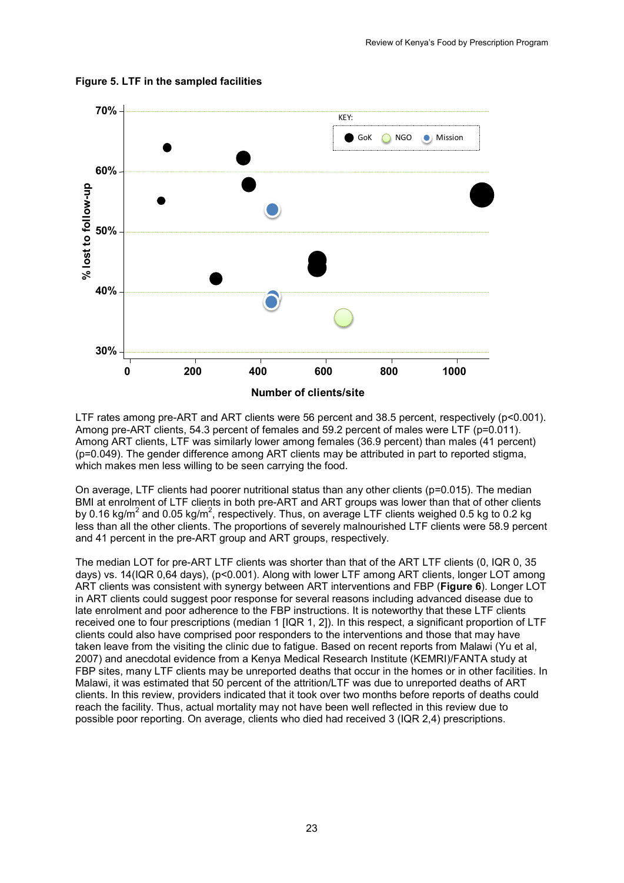

#### <span id="page-32-0"></span>**Figure 5. LTF in the sampled facilities**

LTF rates among pre-ART and ART clients were 56 percent and 38.5 percent, respectively (p<0.001). Among pre-ART clients, 54.3 percent of females and 59.2 percent of males were LTF (p=0.011). Among ART clients, LTF was similarly lower among females (36.9 percent) than males (41 percent) (p=0.049). The gender difference among ART clients may be attributed in part to reported stigma, which makes men less willing to be seen carrying the food.

On average, LTF clients had poorer nutritional status than any other clients (p=0.015). The median BMI at enrolment of LTF clients in both pre-ART and ART groups was lower than that of other clients by 0.16 kg/m<sup>2</sup> and 0.05 kg/m<sup>2</sup>, respectively. Thus, on average LTF clients weighed 0.5 kg to 0.2 kg less than all the other clients. The proportions of severely malnourished LTF clients were 58.9 percent and 41 percent in the pre-ART group and ART groups, respectively.

The median LOT for pre-ART LTF clients was shorter than that of the ART LTF clients (0, IQR 0, 35 days) vs. 14(IQR 0,64 days), (p<0.001). Along with lower LTF among ART clients, longer LOT among ART clients was consistent with synergy between ART interventions and FBP (**Figure 6**). Longer LOT in ART clients could suggest poor response for several reasons including advanced disease due to late enrolment and poor adherence to the FBP instructions. It is noteworthy that these LTF clients received one to four prescriptions (median 1 [IQR 1, 2]). In this respect, a significant proportion of LTF clients could also have comprised poor responders to the interventions and those that may have taken leave from the visiting the clinic due to fatigue. Based on recent reports from Malawi (Yu et al, 2007) and anecdotal evidence from a Kenya Medical Research Institute (KEMRI)/FANTA study at FBP sites, many LTF clients may be unreported deaths that occur in the homes or in other facilities. In Malawi, it was estimated that 50 percent of the attrition/LTF was due to unreported deaths of ART clients. In this review, providers indicated that it took over two months before reports of deaths could reach the facility. Thus, actual mortality may not have been well reflected in this review due to possible poor reporting. On average, clients who died had received 3 (IQR 2,4) prescriptions.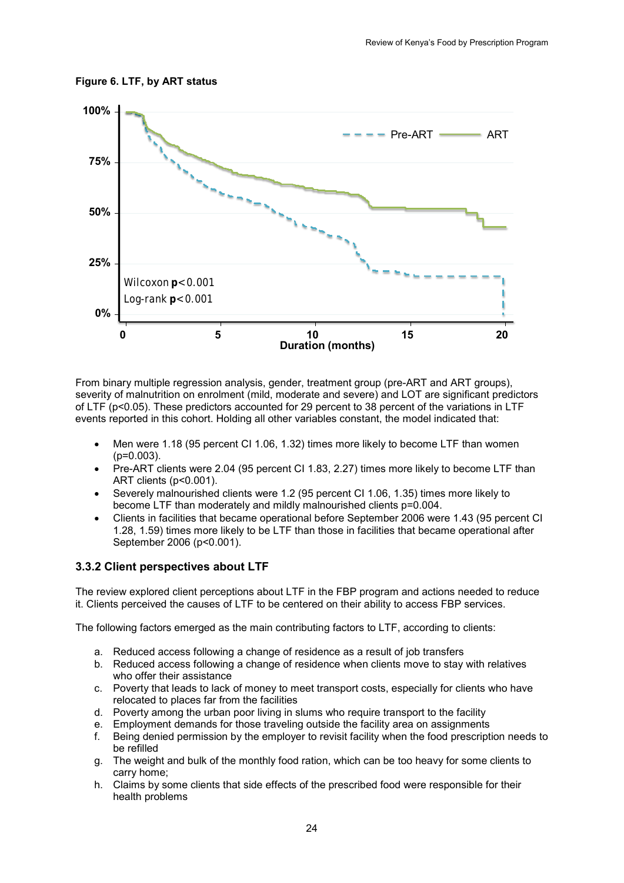<span id="page-33-1"></span>



From binary multiple regression analysis, gender, treatment group (pre-ART and ART groups), severity of malnutrition on enrolment (mild, moderate and severe) and LOT are significant predictors of LTF (p<0.05). These predictors accounted for 29 percent to 38 percent of the variations in LTF events reported in this cohort. Holding all other variables constant, the model indicated that:

- Men were 1.18 (95 percent CI 1.06, 1.32) times more likely to become LTF than women  $(p=0.003)$ .
- Pre-ART clients were 2.04 (95 percent CI 1.83, 2.27) times more likely to become LTF than ART clients (p<0.001).
- Severely malnourished clients were 1.2 (95 percent CI 1.06, 1.35) times more likely to become LTF than moderately and mildly malnourished clients p=0.004.
- Clients in facilities that became operational before September 2006 were 1.43 (95 percent CI 1.28, 1.59) times more likely to be LTF than those in facilities that became operational after September 2006 (p<0.001).

#### <span id="page-33-0"></span>**3.3.2 Client perspectives about LTF**

The review explored client perceptions about LTF in the FBP program and actions needed to reduce it. Clients perceived the causes of LTF to be centered on their ability to access FBP services.

The following factors emerged as the main contributing factors to LTF, according to clients:

- a. Reduced access following a change of residence as a result of job transfers
- b. Reduced access following a change of residence when clients move to stay with relatives who offer their assistance
- c. Poverty that leads to lack of money to meet transport costs, especially for clients who have relocated to places far from the facilities
- 
- d. Poverty among the urban poor living in slums who require transport to the facility e. Employment demands for those traveling outside the facility area on assignments Employment demands for those traveling outside the facility area on assignments
- f. Being denied permission by the employer to revisit facility when the food prescription needs to be refilled
- g. The weight and bulk of the monthly food ration, which can be too heavy for some clients to carry home;
- h. Claims by some clients that side effects of the prescribed food were responsible for their health problems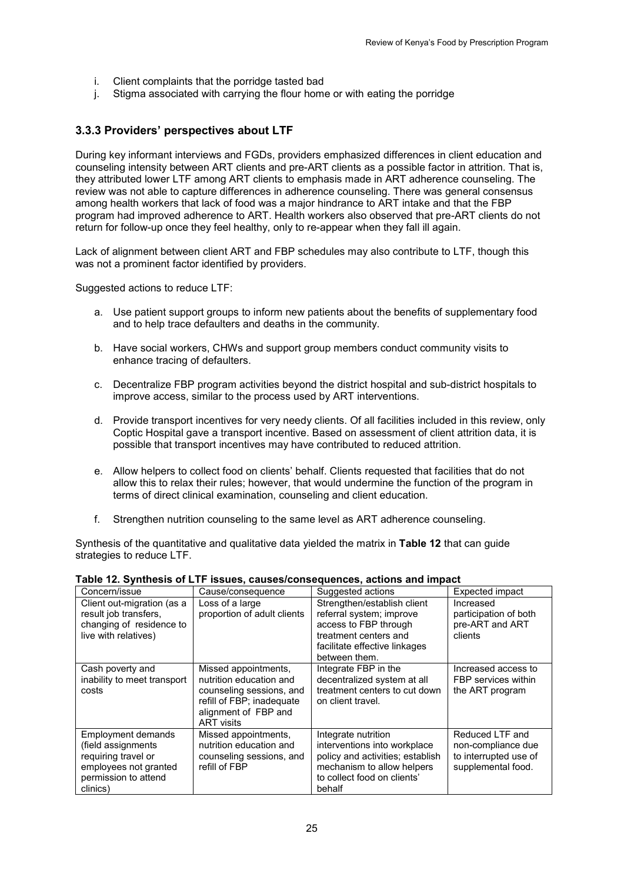- i. Client complaints that the porridge tasted bad
- j. Stigma associated with carrying the flour home or with eating the porridge

## <span id="page-34-0"></span>**3.3.3 Providers' perspectives about LTF**

During key informant interviews and FGDs, providers emphasized differences in client education and counseling intensity between ART clients and pre-ART clients as a possible factor in attrition. That is, they attributed lower LTF among ART clients to emphasis made in ART adherence counseling. The review was not able to capture differences in adherence counseling. There was general consensus among health workers that lack of food was a major hindrance to ART intake and that the FBP program had improved adherence to ART. Health workers also observed that pre-ART clients do not return for follow-up once they feel healthy, only to re-appear when they fall ill again.

Lack of alignment between client ART and FBP schedules may also contribute to LTF, though this was not a prominent factor identified by providers.

Suggested actions to reduce LTF:

- a. Use patient support groups to inform new patients about the benefits of supplementary food and to help trace defaulters and deaths in the community.
- b. Have social workers, CHWs and support group members conduct community visits to enhance tracing of defaulters.
- c. Decentralize FBP program activities beyond the district hospital and sub-district hospitals to improve access, similar to the process used by ART interventions.
- d. Provide transport incentives for very needy clients. Of all facilities included in this review, only Coptic Hospital gave a transport incentive. Based on assessment of client attrition data, it is possible that transport incentives may have contributed to reduced attrition.
- e. Allow helpers to collect food on clients' behalf. Clients requested that facilities that do not allow this to relax their rules; however, that would undermine the function of the program in terms of direct clinical examination, counseling and client education.
- f. Strengthen nutrition counseling to the same level as ART adherence counseling.

Synthesis of the quantitative and qualitative data yielded the matrix in **Table 12** that can guide strategies to reduce LTF.

|                             |                             | able 12. Officients of LTT 1550es, CauseS/Consequences, actions and impact |                       |
|-----------------------------|-----------------------------|----------------------------------------------------------------------------|-----------------------|
| Concern/issue               | Cause/consequence           | Suggested actions                                                          | Expected impact       |
| Client out-migration (as a  | Loss of a large             | Strengthen/establish client                                                | Increased             |
| result job transfers,       | proportion of adult clients | referral system; improve                                                   | participation of both |
| changing of residence to    |                             | access to FBP through                                                      | pre-ART and ART       |
| live with relatives)        |                             | treatment centers and                                                      | clients               |
|                             |                             | facilitate effective linkages                                              |                       |
|                             |                             | between them.                                                              |                       |
| Cash poverty and            | Missed appointments,        | Integrate FBP in the                                                       | Increased access to   |
| inability to meet transport | nutrition education and     | decentralized system at all                                                | FBP services within   |
| costs                       | counseling sessions, and    | treatment centers to cut down                                              | the ART program       |
|                             | refill of FBP; inadequate   | on client travel.                                                          |                       |
|                             | alignment of FBP and        |                                                                            |                       |
|                             | <b>ART</b> visits           |                                                                            |                       |
| <b>Employment demands</b>   | Missed appointments,        | Integrate nutrition                                                        | Reduced LTF and       |
| (field assignments)         | nutrition education and     | interventions into workplace                                               | non-compliance due    |
| requiring travel or         | counseling sessions, and    | policy and activities; establish                                           | to interrupted use of |
| employees not granted       | refill of FBP               | mechanism to allow helpers                                                 | supplemental food.    |
| permission to attend        |                             | to collect food on clients'                                                |                       |
| clinics)                    |                             | behalf                                                                     |                       |

#### <span id="page-34-1"></span>**Table 12. Synthesis of LTF issues, causes/consequences, actions and impact**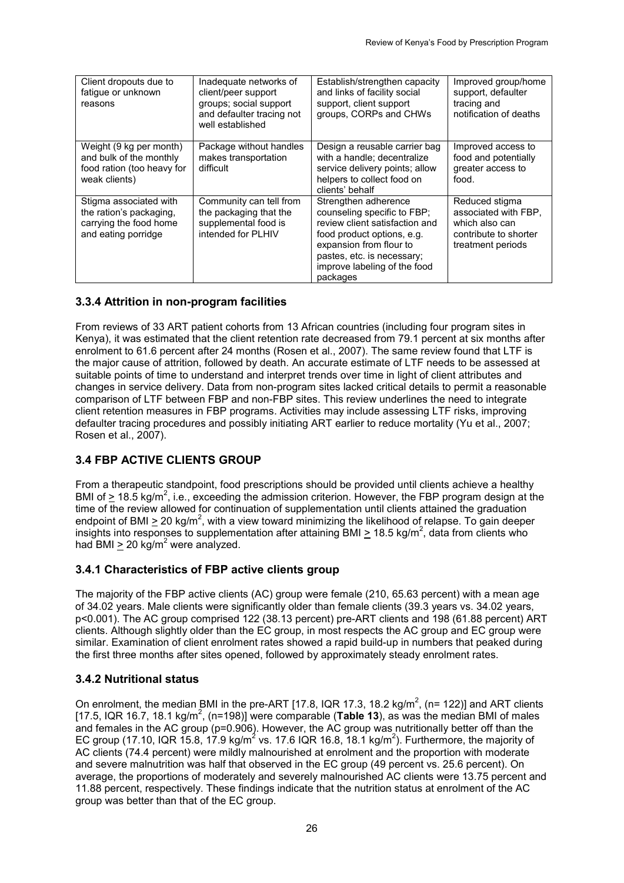| Client dropouts due to<br>fatique or unknown<br>reasons                                            | Inadequate networks of<br>client/peer support<br>groups; social support<br>and defaulter tracing not<br>well established | Establish/strengthen capacity<br>and links of facility social<br>support, client support<br>groups, CORPs and CHWs                                                                                                       | Improved group/home<br>support, defaulter<br>tracing and<br>notification of deaths                     |
|----------------------------------------------------------------------------------------------------|--------------------------------------------------------------------------------------------------------------------------|--------------------------------------------------------------------------------------------------------------------------------------------------------------------------------------------------------------------------|--------------------------------------------------------------------------------------------------------|
| Weight (9 kg per month)<br>and bulk of the monthly<br>food ration (too heavy for<br>weak clients)  | Package without handles<br>makes transportation<br>difficult                                                             | Design a reusable carrier bag<br>with a handle; decentralize<br>service delivery points; allow<br>helpers to collect food on<br>clients' behalf                                                                          | Improved access to<br>food and potentially<br>greater access to<br>food.                               |
| Stigma associated with<br>the ration's packaging,<br>carrying the food home<br>and eating porridge | Community can tell from<br>the packaging that the<br>supplemental food is<br>intended for PLHIV                          | Strengthen adherence<br>counseling specific to FBP;<br>review client satisfaction and<br>food product options, e.g.<br>expansion from flour to<br>pastes, etc. is necessary;<br>improve labeling of the food<br>packages | Reduced stigma<br>associated with FBP,<br>which also can<br>contribute to shorter<br>treatment periods |

## <span id="page-35-0"></span>**3.3.4 Attrition in non-program facilities**

From reviews of 33 ART patient cohorts from 13 African countries (including four program sites in Kenya), it was estimated that the client retention rate decreased from 79.1 percent at six months after enrolment to 61.6 percent after 24 months (Rosen et al., 2007). The same review found that LTF is the major cause of attrition, followed by death. An accurate estimate of LTF needs to be assessed at suitable points of time to understand and interpret trends over time in light of client attributes and changes in service delivery. Data from non-program sites lacked critical details to permit a reasonable comparison of LTF between FBP and non-FBP sites. This review underlines the need to integrate client retention measures in FBP programs. Activities may include assessing LTF risks, improving defaulter tracing procedures and possibly initiating ART earlier to reduce mortality (Yu et al., 2007; Rosen et al., 2007).

# <span id="page-35-1"></span>**3.4 FBP ACTIVE CLIENTS GROUP**

From a therapeutic standpoint, food prescriptions should be provided until clients achieve a healthy BMI of  $\geq$  18.5 kg/m<sup>2</sup>, i.e., exceeding the admission criterion. However, the FBP program design at the time of the review allowed for continuation of supplementation until clients attained the graduation endpoint of BMI  $\geq$  20 kg/m<sup>2</sup>, with a view toward minimizing the likelihood of relapse. To gain deeper insights into responses to supplementation after attaining BMI  $\geq$  18.5 kg/m<sup>2</sup>, data from clients who had BMI  $\geq$  20 kg/m<sup>2</sup> were analyzed.

## <span id="page-35-2"></span>**3.4.1 Characteristics of FBP active clients group**

The majority of the FBP active clients (AC) group were female (210, 65.63 percent) with a mean age of 34.02 years. Male clients were significantly older than female clients (39.3 years vs. 34.02 years, p<0.001). The AC group comprised 122 (38.13 percent) pre-ART clients and 198 (61.88 percent) ART clients. Although slightly older than the EC group, in most respects the AC group and EC group were similar. Examination of client enrolment rates showed a rapid build-up in numbers that peaked during the first three months after sites opened, followed by approximately steady enrolment rates.

## <span id="page-35-3"></span>**3.4.2 Nutritional status**

On enrolment, the median BMI in the pre-ART [17.8, IQR 17.3, 18.2 kg/m<sup>2</sup>, (n= 122)] and ART clients [17.5, IQR 16.7, 18.1 kg/m<sup>2</sup>, (n=198)] were comparable (**Table 13**), as was the median BMI of males and females in the AC group (p=0.906). However, the AC group was nutritionally better off than the EC group (17.10, IQR 15.8, 17.9 kg/m<sup>2</sup> vs. 17.6 IQR 16.8, 18.1 kg/m<sup>2</sup>). Furthermore, the majority of AC clients (74.4 percent) were mildly malnourished at enrolment and the proportion with moderate and severe malnutrition was half that observed in the EC group (49 percent vs. 25.6 percent). On average, the proportions of moderately and severely malnourished AC clients were 13.75 percent and 11.88 percent, respectively. These findings indicate that the nutrition status at enrolment of the AC group was better than that of the EC group.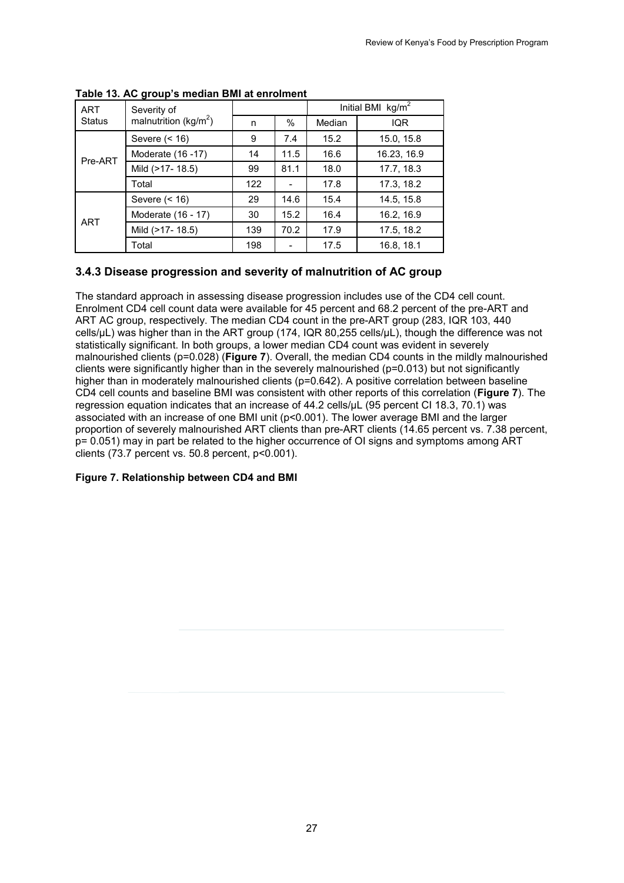| <b>ART</b> | Severity of              |     |      |        | Initial BMI $kg/m2$ |
|------------|--------------------------|-----|------|--------|---------------------|
| Status     | malnutrition ( $kg/m2$ ) | n   | %    | Median | <b>IQR</b>          |
|            | Severe $($ < 16)         | 9   | 7.4  | 15.2   | 15.0, 15.8          |
| Pre-ART    | Moderate (16 - 17)       | 14  | 11.5 | 16.6   | 16.23, 16.9         |
|            | Mild (>17-18.5)          | 99  | 81.1 | 18.0   | 17.7, 18.3          |
|            | Total                    | 122 |      | 17.8   | 17.3, 18.2          |
|            | Severe $($ < 16)         | 29  | 14.6 | 15.4   | 14.5, 15.8          |
| <b>ART</b> | Moderate (16 - 17)       | 30  | 15.2 | 16.4   | 16.2, 16.9          |
|            | Mild (>17-18.5)          | 139 | 70.2 | 17.9   | 17.5, 18.2          |
|            | Total                    | 198 |      | 17.5   | 16.8, 18.1          |

<span id="page-36-2"></span>**Table 13. AC group's median BMI at enrolment**

## <span id="page-36-0"></span>**3.4.3 Disease progression and severity of malnutrition of AC group**

The standard approach in assessing disease progression includes use of the CD4 cell count. Enrolment CD4 cell count data were available for 45 percent and 68.2 percent of the pre-ART and ART AC group, respectively. The median CD4 count in the pre-ART group (283, IQR 103, 440 cells/µL) was higher than in the ART group (174, IQR 80,255 cells/µL), though the difference was not statistically significant. In both groups, a lower median CD4 count was evident in severely malnourished clients (p=0.028) (**Figure 7**). Overall, the median CD4 counts in the mildly malnourished clients were significantly higher than in the severely malnourished (p=0.013) but not significantly higher than in moderately malnourished clients (p=0.642). A positive correlation between baseline CD4 cell counts and baseline BMI was consistent with other reports of this correlation (**Figure 7**). The regression equation indicates that an increase of 44.2 cells/µL (95 percent CI 18.3, 70.1) was associated with an increase of one BMI unit (p<0.001). The lower average BMI and the larger proportion of severely malnourished ART clients than pre-ART clients (14.65 percent vs. 7.38 percent, p= 0.051) may in part be related to the higher occurrence of OI signs and symptoms among ART clients  $(73.7$  percent vs. 50.8 percent,  $p < 0.001$ ).

#### <span id="page-36-3"></span><span id="page-36-1"></span>**Figure 7. Relationship between CD4 and BMI**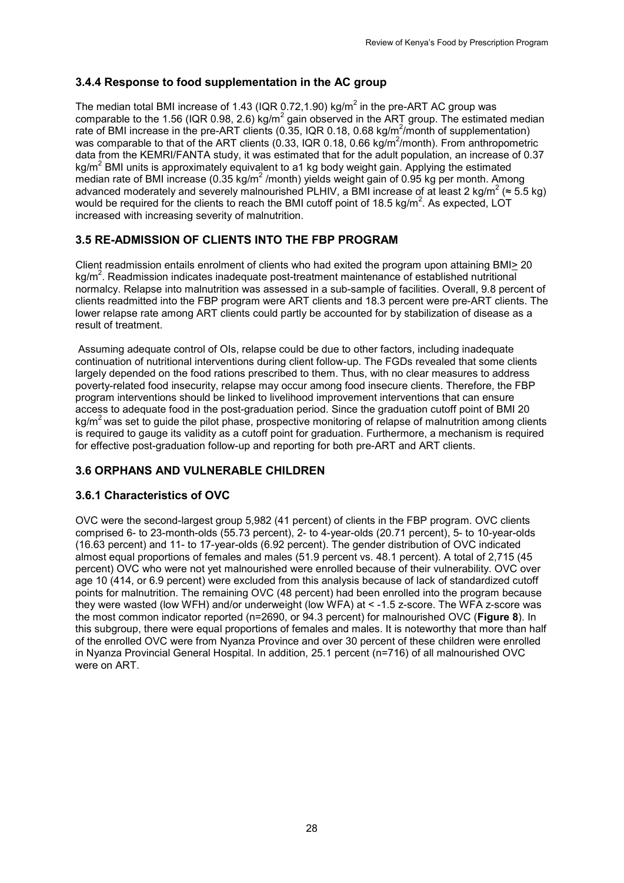# **3.4.4 Response to food supplementation in the AC group**

The median total BMI increase of 1.43 (IQR 0.72,1.90) kg/ $m^2$  in the pre-ART AC group was comparable to the 1.56 (IQR 0.98, 2.6) kg/ $m^2$  gain observed in the ART group. The estimated median rate of BMI increase in the pre-ART clients (0.35, IQR 0.18, 0.68 kg/m<sup>2</sup>/month of supplementation) was comparable to that of the ART clients (0.33, IQR 0.18, 0.66 kg/m<sup>2</sup>/month). From anthropometric data from the KEMRI/FANTA study, it was estimated that for the adult population, an increase of 0.37 kg/ $m^2$  BMI units is approximately equivalent to a1 kg body weight gain. Applying the estimated median rate of BMI increase (0.35 kg/m<sup>2</sup> /month) yields weight gain of 0.95 kg per month. Among advanced moderately and severely malnourished PLHIV, a BMI increase of at least 2 kg/m<sup>2</sup> ( $\approx$  5.5 kg) would be required for the clients to reach the BMI cutoff point of 18.5 kg/m<sup>2</sup>. As expected, LOT increased with increasing severity of malnutrition.

# <span id="page-37-0"></span>**3.5 RE-ADMISSION OF CLIENTS INTO THE FBP PROGRAM**

Client readmission entails enrolment of clients who had exited the program upon attaining BMI> 20 kg/m<sup>2</sup>. Readmission indicates inadequate post-treatment maintenance of established nutritional normalcy. Relapse into malnutrition was assessed in a sub-sample of facilities. Overall, 9.8 percent of clients readmitted into the FBP program were ART clients and 18.3 percent were pre-ART clients. The lower relapse rate among ART clients could partly be accounted for by stabilization of disease as a result of treatment.

Assuming adequate control of OIs, relapse could be due to other factors, including inadequate continuation of nutritional interventions during client follow-up. The FGDs revealed that some clients largely depended on the food rations prescribed to them. Thus, with no clear measures to address poverty-related food insecurity, relapse may occur among food insecure clients. Therefore, the FBP program interventions should be linked to livelihood improvement interventions that can ensure access to adequate food in the post-graduation period. Since the graduation cutoff point of BMI 20 kg/m<sup>2</sup> was set to guide the pilot phase, prospective monitoring of relapse of malnutrition among clients is required to gauge its validity as a cutoff point for graduation. Furthermore, a mechanism is required for effective post-graduation follow-up and reporting for both pre-ART and ART clients.

# <span id="page-37-1"></span>**3.6 ORPHANS AND VULNERABLE CHILDREN**

# <span id="page-37-2"></span>**3.6.1 Characteristics of OVC**

OVC were the second-largest group 5,982 (41 percent) of clients in the FBP program. OVC clients comprised 6- to 23-month-olds (55.73 percent), 2- to 4-year-olds (20.71 percent), 5- to 10-year-olds (16.63 percent) and 11- to 17-year-olds (6.92 percent). The gender distribution of OVC indicated almost equal proportions of females and males (51.9 percent vs. 48.1 percent). A total of 2,715 (45 percent) OVC who were not yet malnourished were enrolled because of their vulnerability. OVC over age 10 (414, or 6.9 percent) were excluded from this analysis because of lack of standardized cutoff points for malnutrition. The remaining OVC (48 percent) had been enrolled into the program because they were wasted (low WFH) and/or underweight (low WFA) at < -1.5 z-score. The WFA z-score was the most common indicator reported (n=2690, or 94.3 percent) for malnourished OVC (**Figure 8**). In this subgroup, there were equal proportions of females and males. It is noteworthy that more than half of the enrolled OVC were from Nyanza Province and over 30 percent of these children were enrolled in Nyanza Provincial General Hospital. In addition, 25.1 percent (n=716) of all malnourished OVC were on ART.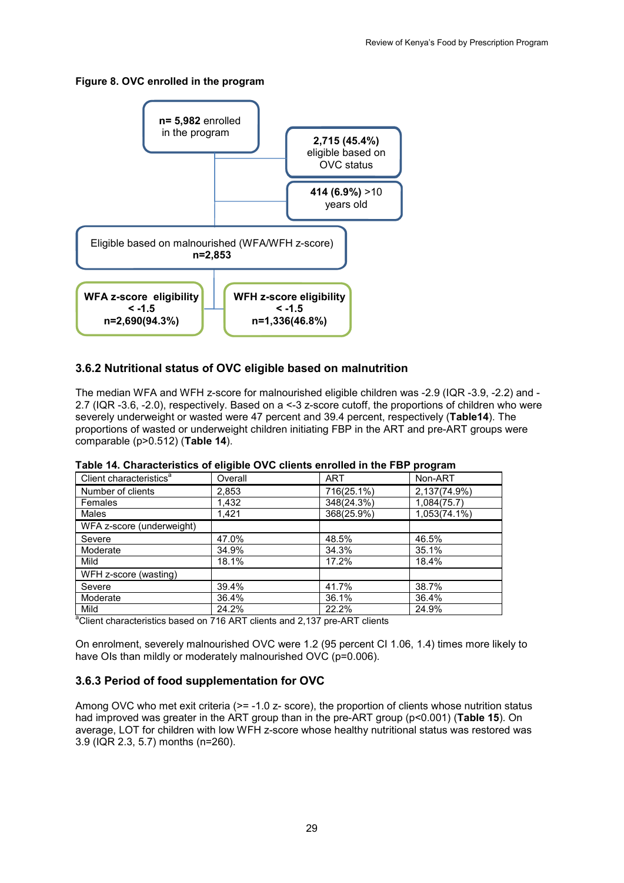### <span id="page-38-4"></span>**Figure 8. OVC enrolled in the program**



## <span id="page-38-0"></span>**3.6.2 Nutritional status of OVC eligible based on malnutrition**

The median WFA and WFH z-score for malnourished eligible children was -2.9 (IQR -3.9, -2.2) and - 2.7 (IQR -3.6, -2.0), respectively. Based on a <-3 z-score cutoff, the proportions of children who were severely underweight or wasted were 47 percent and 39.4 percent, respectively (**Table14**). The proportions of wasted or underweight children initiating FBP in the ART and pre-ART groups were comparable (p>0.512) (**Table 14**).

|                                     | -- - - - - |            | .            |
|-------------------------------------|------------|------------|--------------|
| Client characteristics <sup>a</sup> | Overall    | <b>ART</b> | Non-ART      |
| Number of clients                   | 2,853      | 716(25.1%) | 2,137(74.9%) |
| Females                             | 1,432      | 348(24.3%) | 1,084(75.7)  |
| Males                               | 1,421      | 368(25.9%) | 1,053(74.1%) |
| WFA z-score (underweight)           |            |            |              |
| Severe                              | 47.0%      | 48.5%      | 46.5%        |
| Moderate                            | 34.9%      | 34.3%      | 35.1%        |
| Mild                                | 18.1%      | 17.2%      | 18.4%        |
| WFH z-score (wasting)               |            |            |              |
| Severe                              | 39.4%      | 41.7%      | 38.7%        |
| Moderate                            | 36.4%      | 36.1%      | 36.4%        |
| Mild                                | 24.2%      | 22.2%      | 24.9%        |

<span id="page-38-2"></span>

|  | Table 14. Characteristics of eligible OVC clients enrolled in the FBP program |  |
|--|-------------------------------------------------------------------------------|--|
|--|-------------------------------------------------------------------------------|--|

Mild 24.2% 22.2% 24.9% <sup>a</sup> Client characteristics based on 716 ART clients and 2,137 pre-ART clients

On enrolment, severely malnourished OVC were 1.2 (95 percent CI 1.06, 1.4) times more likely to have OIs than mildly or moderately malnourished OVC (p=0.006).

## <span id="page-38-1"></span>**3.6.3 Period of food supplementation for OVC**

<span id="page-38-3"></span>Among OVC who met exit criteria (>= -1.0 z- score), the proportion of clients whose nutrition status had improved was greater in the ART group than in the pre-ART group (p<0.001) (**Table 15**). On average, LOT for children with low WFH z-score whose healthy nutritional status was restored was 3.9 (IQR 2.3, 5.7) months (n=260).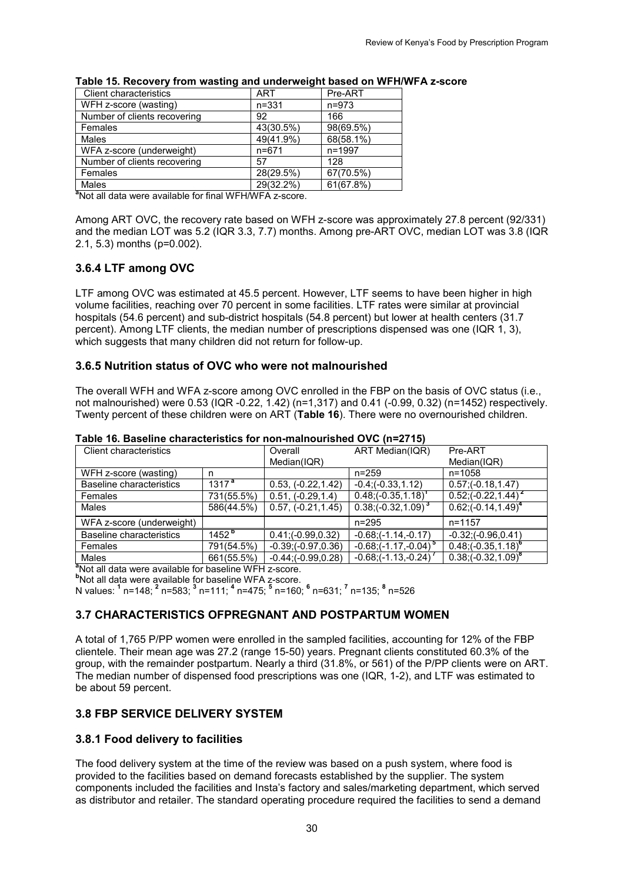| Client characteristics                                              | ART       | Pre-ART   |
|---------------------------------------------------------------------|-----------|-----------|
| WFH z-score (wasting)                                               | $n = 331$ | $n = 973$ |
| Number of clients recovering                                        | 92        | 166       |
| Females                                                             | 43(30.5%) | 98(69.5%) |
| Males                                                               | 49(41.9%) | 68(58.1%) |
| WFA z-score (underweight)                                           | $n = 671$ | n=1997    |
| Number of clients recovering                                        | 57        | 128       |
| Females                                                             | 28(29.5%) | 67(70.5%) |
| Males                                                               | 29(32.2%) | 61(67.8%) |
| <sup>a</sup> Not all data were available for final WFH/WFA z-score. |           |           |

#### **Table 15. Recovery from wasting and underweight based on WFH/WFA z-score**

Among ART OVC, the recovery rate based on WFH z-score was approximately 27.8 percent (92/331) and the median LOT was 5.2 (IQR 3.3, 7.7) months. Among pre-ART OVC, median LOT was 3.8 (IQR 2.1, 5.3) months (p=0.002).

### <span id="page-39-0"></span>**3.6.4 LTF among OVC**

LTF among OVC was estimated at 45.5 percent. However, LTF seems to have been higher in high volume facilities, reaching over 70 percent in some facilities. LTF rates were similar at provincial hospitals (54.6 percent) and sub-district hospitals (54.8 percent) but lower at health centers (31.7 percent). Among LTF clients, the median number of prescriptions dispensed was one (IQR 1, 3), which suggests that many children did not return for follow-up.

#### <span id="page-39-1"></span>**3.6.5 Nutrition status of OVC who were not malnourished**

The overall WFH and WFA z-score among OVC enrolled in the FBP on the basis of OVC status (i.e., not malnourished) were 0.53 (IQR -0.22, 1.42) (n=1,317) and 0.41 (-0.99, 0.32) (n=1452) respectively. Twenty percent of these children were on ART (**Table 16**). There were no overnourished children.

| <b>Client characteristics</b> |                   | Overall                | ART Median(IQR)          | Pre-ART                             |
|-------------------------------|-------------------|------------------------|--------------------------|-------------------------------------|
|                               |                   | Median(IQR)            |                          | Median(IQR)                         |
| WFH z-score (wasting)         | n                 |                        | $n = 259$                | $n = 1058$                          |
| Baseline characteristics      | 1317 <sup>a</sup> | $0.53, (-0.22, 1.42)$  | $-0.4$ ; $(-0.33, 1.12)$ | $0.57; (-0.18, 1.47)$               |
| Females                       | 731(55.5%)        | $0.51, (-0.29, 1.4)$   | $0.48; (-0.35, 1.18)$    | $0.52; (-0.22, 1.44)$               |
| Males                         | 586(44.5%)        | $0.57, (-0.21, 1.45)$  | $0.38(-0.32, 1.09)^{3}$  | $0.62(-0.14, 1.49)^4$               |
| WFA z-score (underweight)     |                   |                        | $n = 295$                | n=1157                              |
| Baseline characteristics      | 1452 <sup>b</sup> | $0.41; (-0.99, 0.32)$  | $-0.68; (-1.14, -0.17)$  | $-0.32; (-0.96, 0.41)$              |
| Females                       | 791(54.5%)        | $-0.39; (-0.97, 0.36)$ | $-0.68; (-1.17, -0.04)$  | $0.48$ ; (-0.35, 1.18) <sup>o</sup> |
| <b>Males</b>                  | 661(55.5%)        | $-0.44; (-0.99, 0.28)$ | $-0.68; (-1.13, -0.24)$  | $0.38( -0.32, 1.09)^6$              |

#### <span id="page-39-5"></span>**Table 16. Baseline characteristics for non-malnourished OVC (n=2715)**

<sup>a</sup> Not all data were available for baseline WFH z-score. <sup>e</sup>Not all data were available for baseline WFH z-score.<br><sup>b</sup>Not all data were available for baseline WFA z-score.

N values: **<sup>1</sup>** n=148; **<sup>2</sup>** n=583; **<sup>3</sup>** n=111; **<sup>4</sup>** n=475; **<sup>5</sup>** n=160; **<sup>6</sup>** n=631; **<sup>7</sup>** n=135; **<sup>8</sup>** n=526

### <span id="page-39-2"></span>**3.7 CHARACTERISTICS OFPREGNANT AND POSTPARTUM WOMEN**

A total of 1,765 P/PP women were enrolled in the sampled facilities, accounting for 12% of the FBP clientele. Their mean age was 27.2 (range 15-50) years. Pregnant clients constituted 60.3% of the group, with the remainder postpartum. Nearly a third (31.8%, or 561) of the P/PP clients were on ART. The median number of dispensed food prescriptions was one (IQR, 1-2), and LTF was estimated to be about 59 percent.

#### <span id="page-39-3"></span>**3.8 FBP SERVICE DELIVERY SYSTEM**

#### <span id="page-39-4"></span>**3.8.1 Food delivery to facilities**

The food delivery system at the time of the review was based on a push system, where food is provided to the facilities based on demand forecasts established by the supplier. The system components included the facilities and Insta's factory and sales/marketing department, which served as distributor and retailer. The standard operating procedure required the facilities to send a demand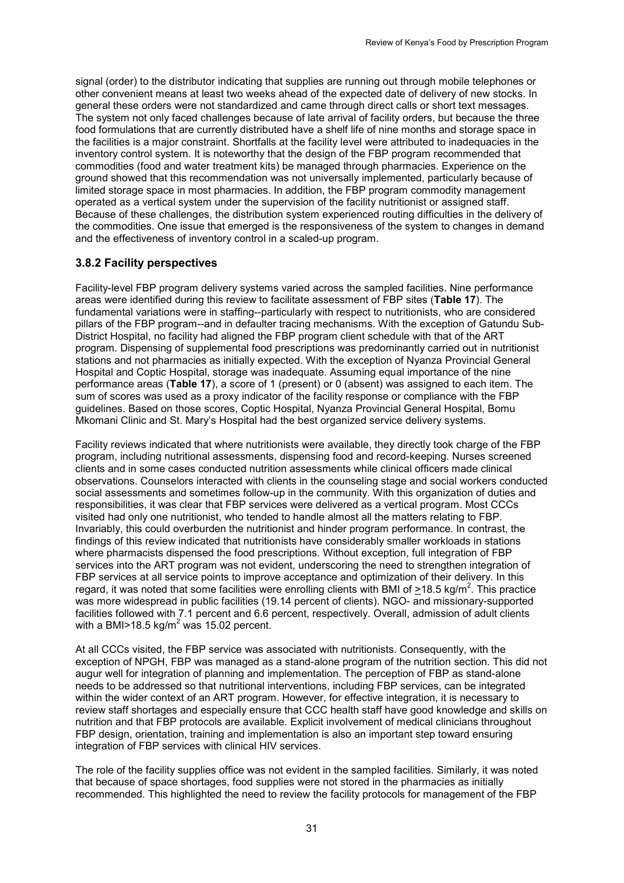signal (order) to the distributor indicating that supplies are running out through mobile telephones or other convenient means at least two weeks ahead of the expected date of delivery of new stocks. In general these orders were not standardized and came through direct calls or short text messages. The system not only faced challenges because of late arrival of facility orders, but because the three food formulations that are currently distributed have a shelf life of nine months and storage space in the facilities is a major constraint. Shortfalls at the facility level were attributed to inadequacies in the inventory control system. It is noteworthy that the design of the FBP program recommended that commodities (food and water treatment kits) be managed through pharmacies. Experience on the ground showed that this recommendation was not universally implemented, particularly because of limited storage space in most pharmacies. In addition, the FBP program commodity management operated as a vertical system under the supervision of the facility nutritionist or assigned staff. Because of these challenges, the distribution system experienced routing difficulties in the delivery of the commodities. One issue that emerged is the responsiveness of the system to changes in demand and the effectiveness of inventory control in a scaled-up program.

### <span id="page-40-0"></span>**3.8.2 Facility perspectives**

Facility-level FBP program delivery systems varied across the sampled facilities. Nine performance areas were identified during this review to facilitate assessment of FBP sites (**Table 17**). The fundamental variations were in staffing--particularly with respect to nutritionists, who are considered pillars of the FBP program--and in defaulter tracing mechanisms. With the exception of Gatundu Sub-District Hospital, no facility had aligned the FBP program client schedule with that of the ART program. Dispensing of supplemental food prescriptions was predominantly carried out in nutritionist stations and not pharmacies as initially expected. With the exception of Nyanza Provincial General Hospital and Coptic Hospital, storage was inadequate. Assuming equal importance of the nine performance areas (**Table 17**), a score of 1 (present) or 0 (absent) was assigned to each item. The sum of scores was used as a proxy indicator of the facility response or compliance with the FBP guidelines. Based on those scores, Coptic Hospital, Nyanza Provincial General Hospital, Bomu Mkomani Clinic and St. Mary's Hospital had the best organized service delivery systems.

Facility reviews indicated that where nutritionists were available, they directly took charge of the FBP program, including nutritional assessments, dispensing food and record-keeping. Nurses screened clients and in some cases conducted nutrition assessments while clinical officers made clinical observations. Counselors interacted with clients in the counseling stage and social workers conducted social assessments and sometimes follow-up in the community. With this organization of duties and responsibilities, it was clear that FBP services were delivered as a vertical program. Most CCCs visited had only one nutritionist, who tended to handle almost all the matters relating to FBP. Invariably, this could overburden the nutritionist and hinder program performance. In contrast, the findings of this review indicated that nutritionists have considerably smaller workloads in stations where pharmacists dispensed the food prescriptions. Without exception, full integration of FBP services into the ART program was not evident, underscoring the need to strengthen integration of FBP services at all service points to improve acceptance and optimization of their delivery. In this regard, it was noted that some facilities were enrolling clients with BMI of  $\geq$ 18.5 kg/m<sup>2</sup>. This practice was more widespread in public facilities (19.14 percent of clients). NGO- and missionary-supported facilities followed with 7.1 percent and 6.6 percent, respectively. Overall, admission of adult clients with a BMI > 18.5 kg/m<sup>2</sup> was 15.02 percent.

At all CCCs visited, the FBP service was associated with nutritionists. Consequently, with the exception of NPGH, FBP was managed as a stand-alone program of the nutrition section. This did not augur well for integration of planning and implementation. The perception of FBP as stand-alone needs to be addressed so that nutritional interventions, including FBP services, can be integrated within the wider context of an ART program. However, for effective integration, it is necessary to review staff shortages and especially ensure that CCC health staff have good knowledge and skills on nutrition and that FBP protocols are available. Explicit involvement of medical clinicians throughout FBP design, orientation, training and implementation is also an important step toward ensuring integration of FBP services with clinical HIV services.

The role of the facility supplies office was not evident in the sampled facilities. Similarly, it was noted that because of space shortages, food supplies were not stored in the pharmacies as initially recommended. This highlighted the need to review the facility protocols for management of the FBP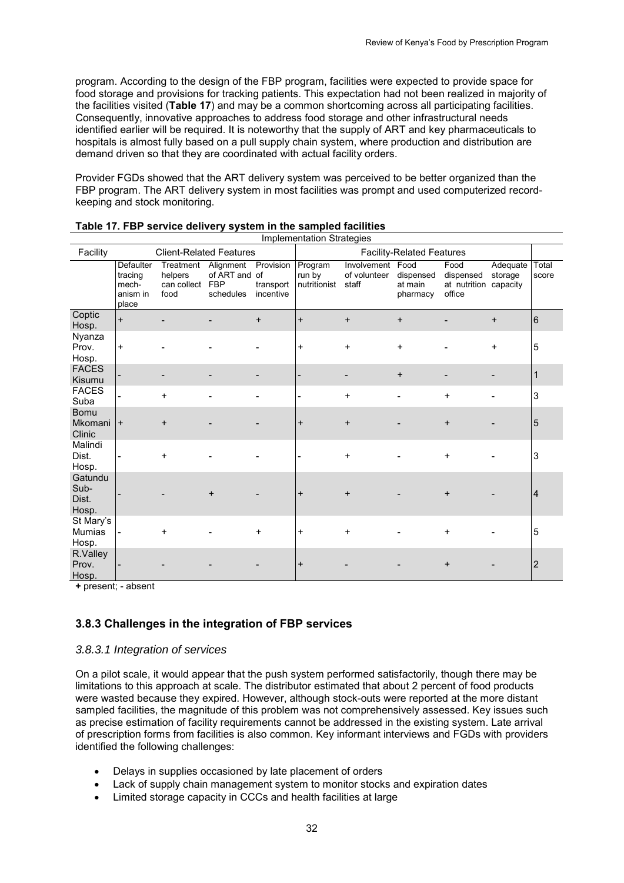program. According to the design of the FBP program, facilities were expected to provide space for food storage and provisions for tracking patients. This expectation had not been realized in majority of the facilities visited (**Table 17**) and may be a common shortcoming across all participating facilities. Consequently, innovative approaches to address food storage and other infrastructural needs identified earlier will be required. It is noteworthy that the supply of ART and key pharmaceuticals to hospitals is almost fully based on a pull supply chain system, where production and distribution are demand driven so that they are coordinated with actual facility orders.

Provider FGDs showed that the ART delivery system was perceived to be better organized than the FBP program. The ART delivery system in most facilities was prompt and used computerized recordkeeping and stock monitoring.

|                                     |                                                    |                                             |                                                       |                                     | Implementation Strategies         |                                      |                                          |                                             |                                 |                |
|-------------------------------------|----------------------------------------------------|---------------------------------------------|-------------------------------------------------------|-------------------------------------|-----------------------------------|--------------------------------------|------------------------------------------|---------------------------------------------|---------------------------------|----------------|
| Facility                            |                                                    |                                             | <b>Client-Related Features</b>                        |                                     |                                   |                                      | <b>Facility-Related Features</b>         |                                             |                                 |                |
|                                     | Defaulter<br>tracing<br>mech-<br>anism in<br>place | Treatment<br>helpers<br>can collect<br>food | Alignment<br>of ART and of<br><b>FBP</b><br>schedules | Provision<br>transport<br>incentive | Program<br>run by<br>nutritionist | Involvement<br>of volunteer<br>staff | Food<br>dispensed<br>at main<br>pharmacy | Food<br>dispensed<br>at nutrition<br>office | Adequate<br>storage<br>capacity | Total<br>score |
| Coptic<br>Hosp.                     | $\ddot{}$                                          |                                             |                                                       | $\ddot{}$                           | $\ddot{}$                         | $\ddot{}$                            | $\ddot{}$                                |                                             | $\ddot{}$                       | 6              |
| Nyanza<br>Prov.<br>Hosp.            | $\ddot{}$                                          |                                             |                                                       |                                     | $\ddot{}$                         | $\ddot{}$                            | $\ddot{}$                                |                                             | $\ddot{}$                       | 5              |
| <b>FACES</b><br>Kisumu              |                                                    |                                             |                                                       |                                     |                                   |                                      | $\ddot{}$                                |                                             |                                 | $\mathbf 1$    |
| <b>FACES</b><br>Suba                |                                                    | $\ddot{}$                                   |                                                       |                                     | $\overline{\phantom{a}}$          | $\ddot{}$                            |                                          | $\ddot{}$                                   |                                 | 3              |
| <b>Bomu</b><br>Mkomani<br>Clinic    | $+$                                                | $\ddot{}$                                   |                                                       |                                     | $\ddot{}$                         | $\ddot{}$                            |                                          | $\ddot{}$                                   |                                 | 5              |
| Malindi<br>Dist.<br>Hosp.           |                                                    | $\ddot{}$                                   |                                                       |                                     | ۰                                 | $\ddot{}$                            |                                          | +                                           |                                 | 3              |
| Gatundu<br>Sub-<br>Dist.<br>Hosp.   |                                                    |                                             |                                                       |                                     | $\ddot{}$                         | $\ddot{}$                            |                                          | $\ddot{}$                                   |                                 | $\overline{4}$ |
| St Mary's<br><b>Mumias</b><br>Hosp. |                                                    | $\ddot{}$                                   |                                                       | $\ddot{}$                           | $\ddot{}$                         | $\ddot{}$                            |                                          | $\ddot{}$                                   |                                 | 5              |
| R.Valley<br>Prov.<br>Hosp.          |                                                    |                                             |                                                       |                                     | $\ddot{}$                         |                                      |                                          | $\ddot{}$                                   |                                 | $\overline{2}$ |

<span id="page-41-1"></span>

| Table 17. FBP service delivery system in the sampled facilities |  |  |  |
|-----------------------------------------------------------------|--|--|--|
|-----------------------------------------------------------------|--|--|--|

**+** present; - absent

## <span id="page-41-0"></span>**3.8.3 Challenges in the integration of FBP services**

#### *3.8.3.1 Integration of services*

On a pilot scale, it would appear that the push system performed satisfactorily, though there may be limitations to this approach at scale. The distributor estimated that about 2 percent of food products were wasted because they expired. However, although stock-outs were reported at the more distant sampled facilities, the magnitude of this problem was not comprehensively assessed. Key issues such as precise estimation of facility requirements cannot be addressed in the existing system. Late arrival of prescription forms from facilities is also common. Key informant interviews and FGDs with providers identified the following challenges:

- Delays in supplies occasioned by late placement of orders
- Lack of supply chain management system to monitor stocks and expiration dates
- Limited storage capacity in CCCs and health facilities at large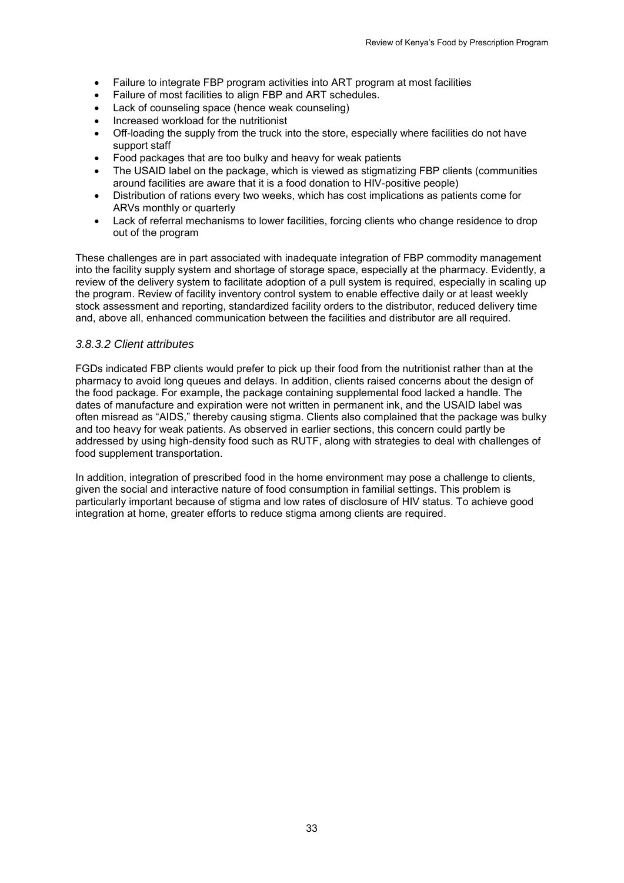- Failure to integrate FBP program activities into ART program at most facilities
- Failure of most facilities to align FBP and ART schedules.
- Lack of counseling space (hence weak counseling)
- Increased workload for the nutritionist
- Off-loading the supply from the truck into the store, especially where facilities do not have support staff
- Food packages that are too bulky and heavy for weak patients
- The USAID label on the package, which is viewed as stigmatizing FBP clients (communities around facilities are aware that it is a food donation to HIV-positive people)
- Distribution of rations every two weeks, which has cost implications as patients come for ARVs monthly or quarterly
- Lack of referral mechanisms to lower facilities, forcing clients who change residence to drop out of the program

These challenges are in part associated with inadequate integration of FBP commodity management into the facility supply system and shortage of storage space, especially at the pharmacy. Evidently, a review of the delivery system to facilitate adoption of a pull system is required, especially in scaling up the program. Review of facility inventory control system to enable effective daily or at least weekly stock assessment and reporting, standardized facility orders to the distributor, reduced delivery time and, above all, enhanced communication between the facilities and distributor are all required.

#### *3.8.3.2 Client attributes*

FGDs indicated FBP clients would prefer to pick up their food from the nutritionist rather than at the pharmacy to avoid long queues and delays. In addition, clients raised concerns about the design of the food package. For example, the package containing supplemental food lacked a handle. The dates of manufacture and expiration were not written in permanent ink, and the USAID label was often misread as "AIDS," thereby causing stigma. Clients also complained that the package was bulky and too heavy for weak patients. As observed in earlier sections, this concern could partly be addressed by using high-density food such as RUTF, along with strategies to deal with challenges of food supplement transportation.

In addition, integration of prescribed food in the home environment may pose a challenge to clients, given the social and interactive nature of food consumption in familial settings. This problem is particularly important because of stigma and low rates of disclosure of HIV status. To achieve good integration at home, greater efforts to reduce stigma among clients are required.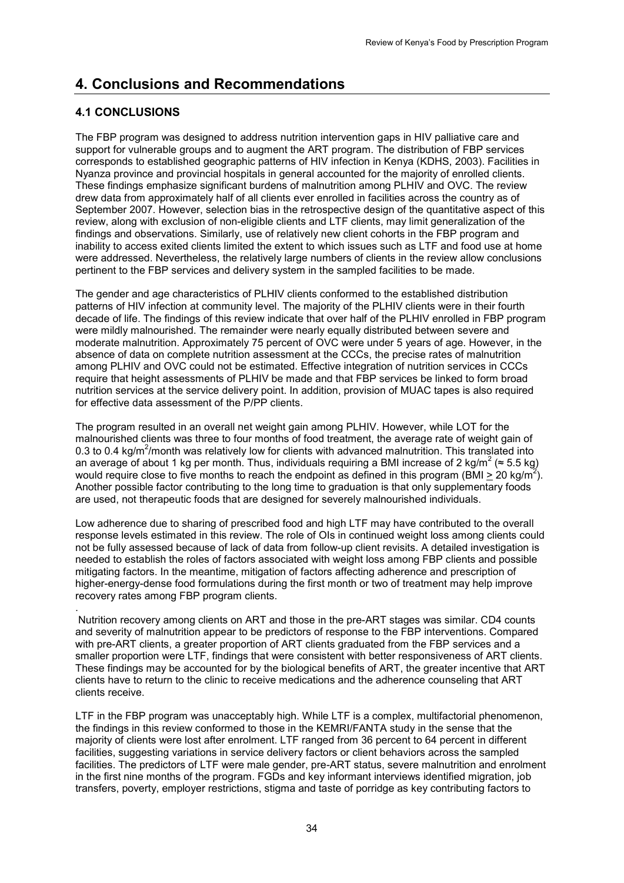# <span id="page-43-0"></span>**4. Conclusions and Recommendations**

# <span id="page-43-1"></span>**4.1 CONCLUSIONS**

The FBP program was designed to address nutrition intervention gaps in HIV palliative care and support for vulnerable groups and to augment the ART program. The distribution of FBP services corresponds to established geographic patterns of HIV infection in Kenya (KDHS, 2003). Facilities in Nyanza province and provincial hospitals in general accounted for the majority of enrolled clients. These findings emphasize significant burdens of malnutrition among PLHIV and OVC. The review drew data from approximately half of all clients ever enrolled in facilities across the country as of September 2007. However, selection bias in the retrospective design of the quantitative aspect of this review, along with exclusion of non-eligible clients and LTF clients, may limit generalization of the findings and observations. Similarly, use of relatively new client cohorts in the FBP program and inability to access exited clients limited the extent to which issues such as LTF and food use at home were addressed. Nevertheless, the relatively large numbers of clients in the review allow conclusions pertinent to the FBP services and delivery system in the sampled facilities to be made.

The gender and age characteristics of PLHIV clients conformed to the established distribution patterns of HIV infection at community level. The majority of the PLHIV clients were in their fourth decade of life. The findings of this review indicate that over half of the PLHIV enrolled in FBP program were mildly malnourished. The remainder were nearly equally distributed between severe and moderate malnutrition. Approximately 75 percent of OVC were under 5 years of age. However, in the absence of data on complete nutrition assessment at the CCCs, the precise rates of malnutrition among PLHIV and OVC could not be estimated. Effective integration of nutrition services in CCCs require that height assessments of PLHIV be made and that FBP services be linked to form broad nutrition services at the service delivery point. In addition, provision of MUAC tapes is also required for effective data assessment of the P/PP clients.

The program resulted in an overall net weight gain among PLHIV. However, while LOT for the malnourished clients was three to four months of food treatment, the average rate of weight gain of 0.3 to 0.4 kg/m<sup>2</sup>/month was relatively low for clients with advanced malnutrition. This translated into an average of about 1 kg per month. Thus, individuals requiring a BMI increase of 2 kg/m<sup>2</sup> ( $\approx$  5.5 kg) would require close to five months to reach the endpoint as defined in this program (BMI  $\geq$  20 kg/m<sup>2</sup>). Another possible factor contributing to the long time to graduation is that only supplementary foods are used, not therapeutic foods that are designed for severely malnourished individuals.

Low adherence due to sharing of prescribed food and high LTF may have contributed to the overall response levels estimated in this review. The role of OIs in continued weight loss among clients could not be fully assessed because of lack of data from follow-up client revisits. A detailed investigation is needed to establish the roles of factors associated with weight loss among FBP clients and possible mitigating factors. In the meantime, mitigation of factors affecting adherence and prescription of higher-energy-dense food formulations during the first month or two of treatment may help improve recovery rates among FBP program clients.

. Nutrition recovery among clients on ART and those in the pre-ART stages was similar. CD4 counts and severity of malnutrition appear to be predictors of response to the FBP interventions. Compared with pre-ART clients, a greater proportion of ART clients graduated from the FBP services and a smaller proportion were LTF, findings that were consistent with better responsiveness of ART clients. These findings may be accounted for by the biological benefits of ART, the greater incentive that ART clients have to return to the clinic to receive medications and the adherence counseling that ART clients receive.

LTF in the FBP program was unacceptably high. While LTF is a complex, multifactorial phenomenon, the findings in this review conformed to those in the KEMRI/FANTA study in the sense that the majority of clients were lost after enrolment. LTF ranged from 36 percent to 64 percent in different facilities, suggesting variations in service delivery factors or client behaviors across the sampled facilities. The predictors of LTF were male gender, pre-ART status, severe malnutrition and enrolment in the first nine months of the program. FGDs and key informant interviews identified migration, job transfers, poverty, employer restrictions, stigma and taste of porridge as key contributing factors to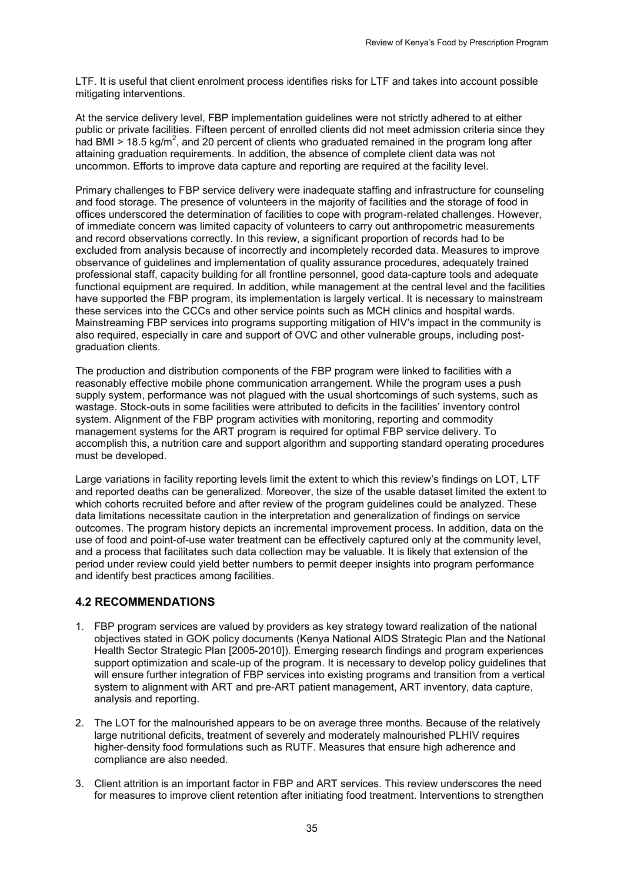LTF. It is useful that client enrolment process identifies risks for LTF and takes into account possible mitigating interventions.

At the service delivery level, FBP implementation guidelines were not strictly adhered to at either public or private facilities. Fifteen percent of enrolled clients did not meet admission criteria since they had BMI  $>$  18.5 kg/m<sup>2</sup>, and 20 percent of clients who graduated remained in the program long after attaining graduation requirements. In addition, the absence of complete client data was not uncommon. Efforts to improve data capture and reporting are required at the facility level.

Primary challenges to FBP service delivery were inadequate staffing and infrastructure for counseling and food storage. The presence of volunteers in the majority of facilities and the storage of food in offices underscored the determination of facilities to cope with program-related challenges. However, of immediate concern was limited capacity of volunteers to carry out anthropometric measurements and record observations correctly. In this review, a significant proportion of records had to be excluded from analysis because of incorrectly and incompletely recorded data. Measures to improve observance of guidelines and implementation of quality assurance procedures, adequately trained professional staff, capacity building for all frontline personnel, good data-capture tools and adequate functional equipment are required. In addition, while management at the central level and the facilities have supported the FBP program, its implementation is largely vertical. It is necessary to mainstream these services into the CCCs and other service points such as MCH clinics and hospital wards. Mainstreaming FBP services into programs supporting mitigation of HIV's impact in the community is also required, especially in care and support of OVC and other vulnerable groups, including postgraduation clients.

The production and distribution components of the FBP program were linked to facilities with a reasonably effective mobile phone communication arrangement. While the program uses a push supply system, performance was not plagued with the usual shortcomings of such systems, such as wastage. Stock-outs in some facilities were attributed to deficits in the facilities' inventory control system. Alignment of the FBP program activities with monitoring, reporting and commodity management systems for the ART program is required for optimal FBP service delivery. To accomplish this, a nutrition care and support algorithm and supporting standard operating procedures must be developed.

Large variations in facility reporting levels limit the extent to which this review's findings on LOT, LTF and reported deaths can be generalized. Moreover, the size of the usable dataset limited the extent to which cohorts recruited before and after review of the program guidelines could be analyzed. These data limitations necessitate caution in the interpretation and generalization of findings on service outcomes. The program history depicts an incremental improvement process. In addition, data on the use of food and point-of-use water treatment can be effectively captured only at the community level, and a process that facilitates such data collection may be valuable. It is likely that extension of the period under review could yield better numbers to permit deeper insights into program performance and identify best practices among facilities.

### <span id="page-44-0"></span>**4.2 RECOMMENDATIONS**

- 1. FBP program services are valued by providers as key strategy toward realization of the national objectives stated in GOK policy documents (Kenya National AIDS Strategic Plan and the National Health Sector Strategic Plan [2005-2010]). Emerging research findings and program experiences support optimization and scale-up of the program. It is necessary to develop policy guidelines that will ensure further integration of FBP services into existing programs and transition from a vertical system to alignment with ART and pre-ART patient management, ART inventory, data capture, analysis and reporting.
- 2. The LOT for the malnourished appears to be on average three months. Because of the relatively large nutritional deficits, treatment of severely and moderately malnourished PLHIV requires higher-density food formulations such as RUTF. Measures that ensure high adherence and compliance are also needed.
- 3. Client attrition is an important factor in FBP and ART services. This review underscores the need for measures to improve client retention after initiating food treatment. Interventions to strengthen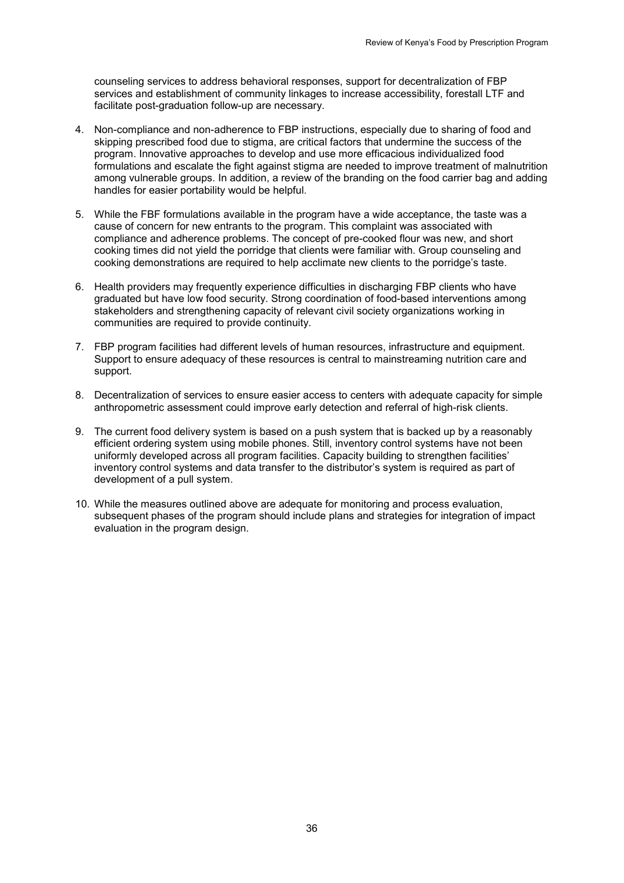counseling services to address behavioral responses, support for decentralization of FBP services and establishment of community linkages to increase accessibility, forestall LTF and facilitate post-graduation follow-up are necessary.

- 4. Non-compliance and non-adherence to FBP instructions, especially due to sharing of food and skipping prescribed food due to stigma, are critical factors that undermine the success of the program. Innovative approaches to develop and use more efficacious individualized food formulations and escalate the fight against stigma are needed to improve treatment of malnutrition among vulnerable groups. In addition, a review of the branding on the food carrier bag and adding handles for easier portability would be helpful.
- 5. While the FBF formulations available in the program have a wide acceptance, the taste was a cause of concern for new entrants to the program. This complaint was associated with compliance and adherence problems. The concept of pre-cooked flour was new, and short cooking times did not yield the porridge that clients were familiar with. Group counseling and cooking demonstrations are required to help acclimate new clients to the porridge's taste.
- 6. Health providers may frequently experience difficulties in discharging FBP clients who have graduated but have low food security. Strong coordination of food-based interventions among stakeholders and strengthening capacity of relevant civil society organizations working in communities are required to provide continuity.
- 7. FBP program facilities had different levels of human resources, infrastructure and equipment. Support to ensure adequacy of these resources is central to mainstreaming nutrition care and support.
- 8. Decentralization of services to ensure easier access to centers with adequate capacity for simple anthropometric assessment could improve early detection and referral of high-risk clients.
- 9. The current food delivery system is based on a push system that is backed up by a reasonably efficient ordering system using mobile phones. Still, inventory control systems have not been uniformly developed across all program facilities. Capacity building to strengthen facilities' inventory control systems and data transfer to the distributor's system is required as part of development of a pull system.
- 10. While the measures outlined above are adequate for monitoring and process evaluation, subsequent phases of the program should include plans and strategies for integration of impact evaluation in the program design.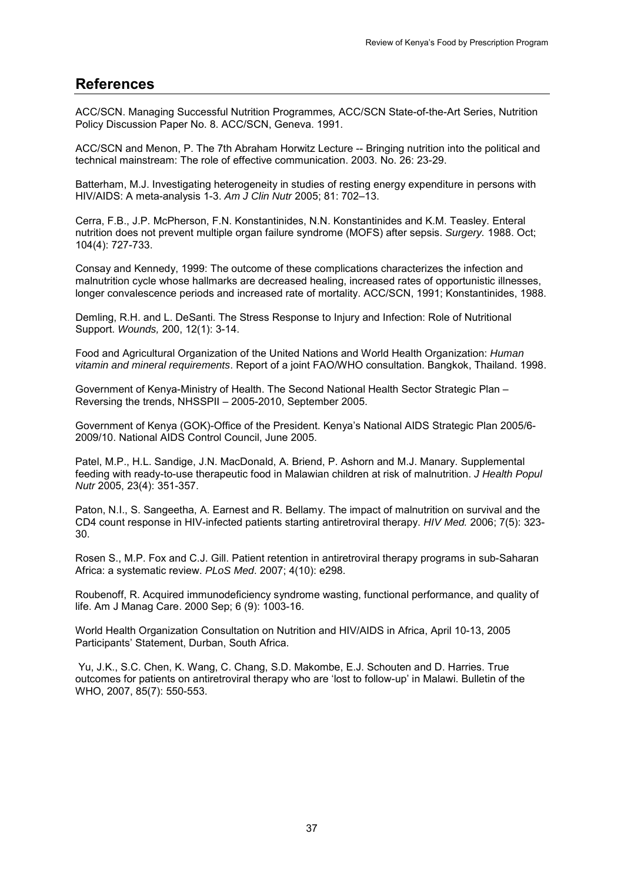# <span id="page-46-0"></span>**References**

ACC/SCN. Managing Successful Nutrition Programmes*,* ACC/SCN State-of-the-Art Series, Nutrition Policy Discussion Paper No. 8. ACC/SCN, Geneva. 1991.

ACC/SCN and Menon, P. The 7th Abraham Horwitz Lecture -- Bringing nutrition into the political and technical mainstream: The role of effective communication. 2003. No. 26: 23-29.

Batterham, M.J. Investigating heterogeneity in studies of resting energy expenditure in persons with HIV/AIDS: A meta-analysis 1-3. *Am J Clin Nutr* 2005; 81: 702–13.

Cerra, F.B., J.P. McPherson, F.N. Konstantinides, N.N. Konstantinides and K.M. Teasley. Enteral nutrition does not prevent multiple organ failure syndrome (MOFS) after sepsis. *Surgery.* 1988. Oct; 104(4): 727-733.

Consay and Kennedy, 1999: The outcome of these complications characterizes the infection and malnutrition cycle whose hallmarks are decreased healing, increased rates of opportunistic illnesses, longer convalescence periods and increased rate of mortality. ACC/SCN, 1991; Konstantinides, 1988.

Demling, R.H. and L. DeSanti. The Stress Response to Injury and Infection: Role of Nutritional Support. *Wounds,* 200, 12(1): 3-14.

Food and Agricultural Organization of the United Nations and World Health Organization: *Human vitamin and mineral requirements*. Report of a joint FAO/WHO consultation. Bangkok, Thailand. 1998.

Government of Kenya-Ministry of Health. The Second National Health Sector Strategic Plan – Reversing the trends, NHSSPII – 2005-2010, September 2005.

Government of Kenya (GOK)-Office of the President. Kenya's National AIDS Strategic Plan 2005/6- 2009/10. National AIDS Control Council, June 2005.

Patel, M.P., H.L. Sandige, J.N. MacDonald, A. Briend, P. Ashorn and M.J. Manary. Supplemental feeding with ready-to-use therapeutic food in Malawian children at risk of malnutrition. *J Health Popul Nutr* 2005, 23(4): 351-357.

Paton, N.I., S. Sangeetha, A. Earnest and R. Bellamy. The impact of malnutrition on survival and the CD4 count response in HIV-infected patients starting antiretroviral therapy. *HIV Med.* 2006; 7(5): 323- 30.

Rosen S., M.P. Fox and C.J. Gill. Patient retention in antiretroviral therapy programs in sub-Saharan Africa: a systematic review. *PLoS Med*. 2007; 4(10): e298.

Roubenoff, R. Acquired immunodeficiency syndrome wasting, functional performance, and quality of life. Am J Manag Care. 2000 Sep; 6 (9): 1003-16.

World Health Organization Consultation on Nutrition and HIV/AIDS in Africa, April 10-13, 2005 Participants' Statement, Durban, South Africa.

Yu, J.K., S.C. Chen, K. Wang, C. Chang, S.D. Makombe, E.J. Schouten and D. Harries. True outcomes for patients on antiretroviral therapy who are 'lost to follow-up' in Malawi. Bulletin of the WHO, 2007, 85(7): 550-553.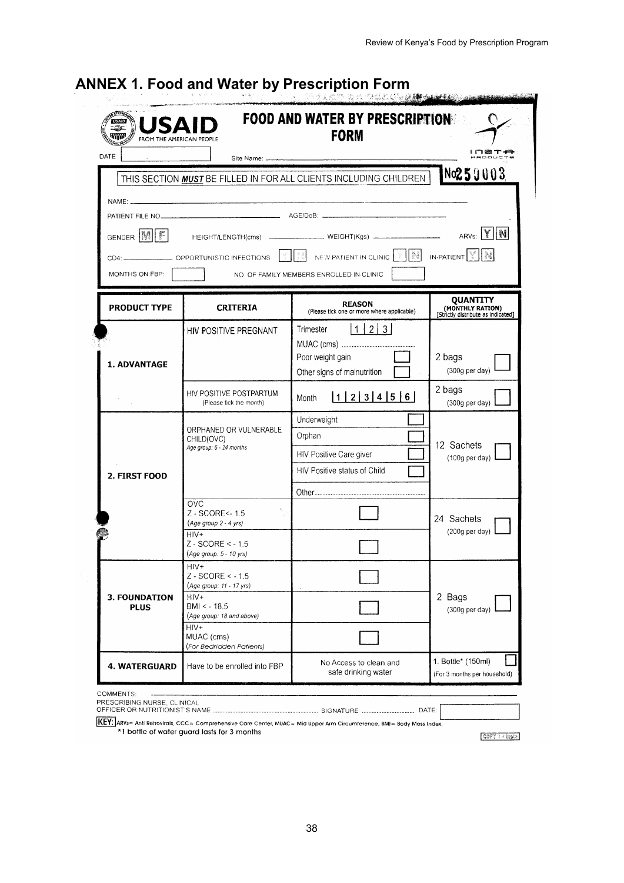| USAI<br>٣m<br>FROM THE AMERICAN PEOPLE |                                                                  | <b>FOOD AND WATER BY PRESCRIPTIONS</b><br><b>FORM</b>                                        |                                                                    |
|----------------------------------------|------------------------------------------------------------------|----------------------------------------------------------------------------------------------|--------------------------------------------------------------------|
| DATE                                   |                                                                  |                                                                                              |                                                                    |
|                                        |                                                                  | THIS SECTION MUST BE FILLED IN FOR ALL CLIENTS INCLUDING CHILDREN                            | $N$ o $259003$                                                     |
| <b>NAME:</b>                           |                                                                  |                                                                                              |                                                                    |
|                                        |                                                                  |                                                                                              |                                                                    |
| GENDER MI F                            |                                                                  |                                                                                              | ARVS: Y N                                                          |
|                                        |                                                                  | OPPORTUNISTIC INFECTIONS $  \cdot  $ NEW PATIENT IN CLINIC $  \cdot  $ New LINIC $  \cdot  $ |                                                                    |
| MONTHS ON FBP:                         |                                                                  | NO. OF FAMILY MEMBERS ENROLLED IN CLINIC                                                     |                                                                    |
|                                        |                                                                  |                                                                                              |                                                                    |
| <b>PRODUCT TYPE</b>                    | <b>CRITERIA</b>                                                  | <b>REASON</b><br>(Please tick one or more where applicable)                                  | QUANTITY<br>(MONTHLY RATION)<br>[Strictly distribute as indicated] |
|                                        | HIV POSITIVE PREGNANT                                            | 1 2 3 <br>Trimester                                                                          |                                                                    |
|                                        |                                                                  |                                                                                              |                                                                    |
| 1. ADVANTAGE                           |                                                                  | Poor weight gain<br>Other signs of malnutrition                                              | 2 bags<br>(300g per day)                                           |
|                                        |                                                                  |                                                                                              | 2 bags                                                             |
|                                        | HIV POSITIVE POSTPARTUM<br>(Please tick the month)               | 123456<br>Month                                                                              | (300g per day)                                                     |
|                                        |                                                                  | Underweight                                                                                  |                                                                    |
|                                        | ORPHANED OR VULNERABLE<br>CHILD(OVC)<br>Age group: 6 - 24 months | Orphan                                                                                       | 12 Sachets                                                         |
|                                        |                                                                  | HIV Positive Care giver                                                                      | $(100q \text{ per day})$                                           |
| 2. FIRST FOOD                          |                                                                  | HIV Positive status of Child                                                                 |                                                                    |
|                                        |                                                                  |                                                                                              |                                                                    |
|                                        | OVC<br>Z - SCORE<- 1.5                                           |                                                                                              | 24 Sachets                                                         |
|                                        | (Age group 2 - 4 yrs)<br>HIV+                                    |                                                                                              | $(200g \text{ per day})$                                           |
|                                        | $Z - SCORE < -1.5$<br>(Age group: 5 - 10 yrs)                    |                                                                                              |                                                                    |
|                                        | HIV+                                                             |                                                                                              |                                                                    |
|                                        | $Z - \text{SCORE} < -1.5$<br>(Age group: 11 - 17 yrs)            |                                                                                              |                                                                    |
| <b>3. FOUNDATION</b><br><b>PLUS</b>    | $HIV+$<br>$BMI < -18.5$                                          |                                                                                              | 2 Bags<br>(300g per day)                                           |
|                                        | (Age group: 18 and above)<br>HIV+                                |                                                                                              |                                                                    |
|                                        | MUAC (cms)<br>(For Bedridden Patients)                           |                                                                                              |                                                                    |
| <b>4. WATERGUARD</b>                   | Have to be enrolled into FBP                                     | No Access to clean and<br>safe drinking water                                                | 1. Bottle* (150ml)<br>(For 3 months per household)                 |
| COMMENTS:                              |                                                                  |                                                                                              |                                                                    |

# <span id="page-47-0"></span>**ANNEX 1. Food and Water by Prescription Form**

ARTY: ARVs= Anti Retrovirals, CCC= Comprehensive Care Center, MUAC= Mid Upper Arm Circumference, BMI= Body Mass Index,<br>\*1 bottle of water guard lasts for 3 months

 $C0771 = \ln 2$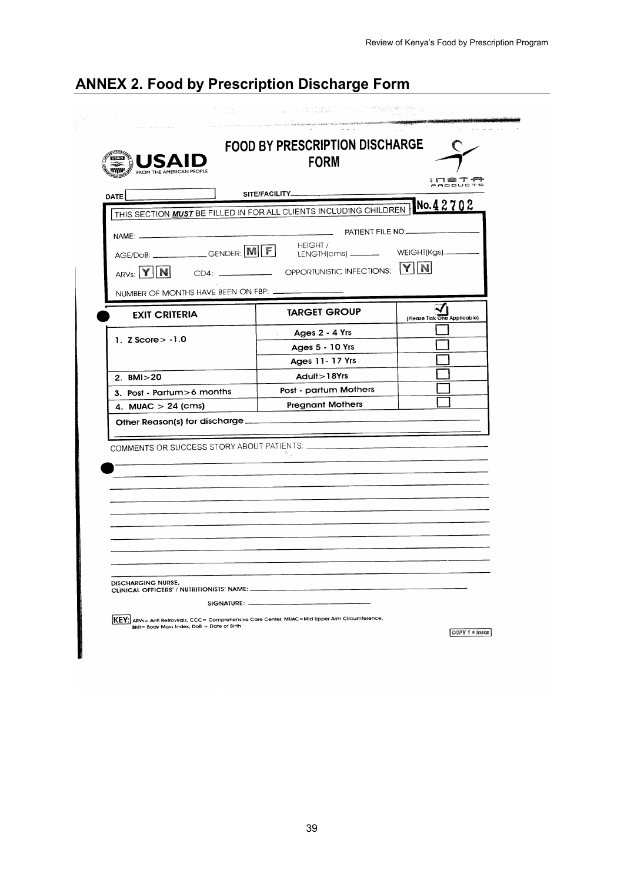<span id="page-48-0"></span>

|  |  | <b>ANNEX 2. Food by Prescription Discharge Form</b> |  |  |
|--|--|-----------------------------------------------------|--|--|
|--|--|-----------------------------------------------------|--|--|

| <b>TATES</b><br><b>TIME</b><br>FROM THE AMERICAN PEOPLE | FOOD BY PRESCRIPTION DISCHARGE<br><b>FORM</b>                            | ¬                            |
|---------------------------------------------------------|--------------------------------------------------------------------------|------------------------------|
| DATE                                                    | SITE/FACILITY_                                                           | aopuc                        |
|                                                         | THIS SECTION <b>MUST</b> BE FILLED IN FOR ALL CLIENTS INCLUDING CHILDREN | No.42702                     |
|                                                         | _______ PATIENT FILE NO:__                                               |                              |
| <b>NAME:</b> __                                         | HEIGHT /                                                                 |                              |
| AGE/DoB: ___________GENDER: M F                         | LENGTH(cms) ————                                                         | WEIGHT(Kgs)_                 |
| ARVS: Y IN                                              | CD4: __________________ OPPORTUNISTIC INFECTIONS:                        | IN.<br> Y                    |
| NUMBER OF MONTHS HAVE BEEN ON FBP: -                    |                                                                          |                              |
| <b>EXIT CRITERIA</b>                                    | <b>TARGET GROUP</b>                                                      | (Please Tick One Applicable) |
|                                                         | Ages 2 - 4 Yrs                                                           |                              |
| 1. $Z$ Score $> -1.0$                                   | Ages 5 - 10 Yrs                                                          |                              |
|                                                         | <b>Ages 11-17 Yrs</b>                                                    |                              |
| 2. $BMI > 20$                                           | Adult > 18Yrs                                                            |                              |
| 3. Post - Partum>6 months                               | Post - partum Mothers                                                    |                              |
| 4. MUAC > 24 (cms)                                      | <b>Pregnant Mothers</b>                                                  |                              |
| Other Reason(s) for discharge _______                   |                                                                          |                              |
|                                                         |                                                                          |                              |
|                                                         |                                                                          |                              |
|                                                         |                                                                          |                              |
|                                                         |                                                                          |                              |
|                                                         |                                                                          |                              |
|                                                         |                                                                          |                              |
|                                                         |                                                                          |                              |
|                                                         |                                                                          |                              |
|                                                         |                                                                          |                              |
|                                                         |                                                                          |                              |
| <b>DISCHARGING NURSE,</b>                               |                                                                          |                              |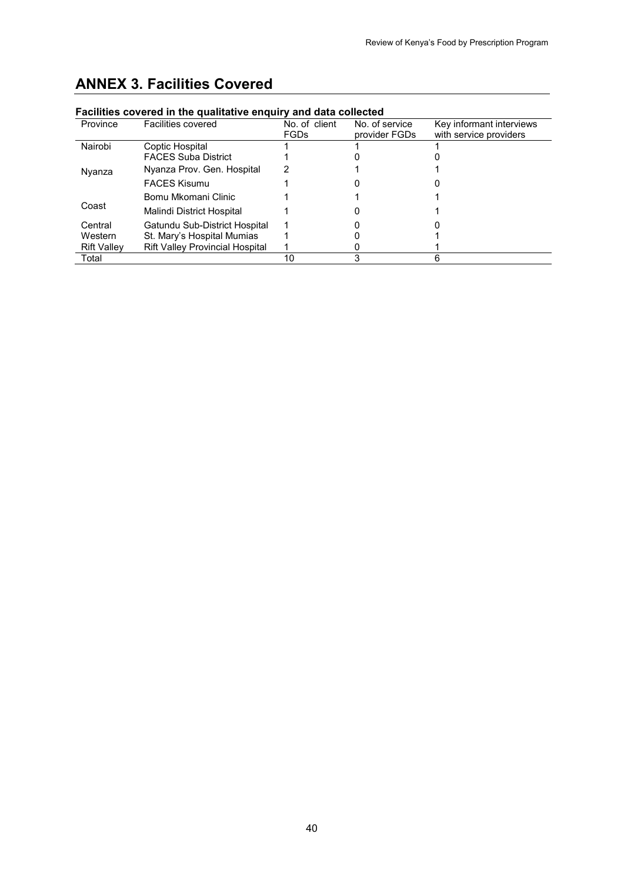| Facilities covered in the qualitative enquiry and data collected |                                        |                              |                                 |                                                    |  |  |  |  |  |  |
|------------------------------------------------------------------|----------------------------------------|------------------------------|---------------------------------|----------------------------------------------------|--|--|--|--|--|--|
| Province                                                         | <b>Facilities covered</b>              | No. of client<br><b>FGDs</b> | No. of service<br>provider FGDs | Key informant interviews<br>with service providers |  |  |  |  |  |  |
| Nairobi                                                          | Coptic Hospital                        |                              |                                 |                                                    |  |  |  |  |  |  |
|                                                                  | <b>FACES Suba District</b>             |                              |                                 |                                                    |  |  |  |  |  |  |
| Nyanza                                                           | Nyanza Prov. Gen. Hospital             |                              |                                 |                                                    |  |  |  |  |  |  |
|                                                                  | <b>FACES Kisumu</b>                    |                              |                                 |                                                    |  |  |  |  |  |  |
| Coast                                                            | Bomu Mkomani Clinic                    |                              |                                 |                                                    |  |  |  |  |  |  |
|                                                                  | Malindi District Hospital              |                              |                                 |                                                    |  |  |  |  |  |  |
| Central                                                          | Gatundu Sub-District Hospital          |                              |                                 |                                                    |  |  |  |  |  |  |
| Western                                                          | St. Mary's Hospital Mumias             |                              |                                 |                                                    |  |  |  |  |  |  |
| <b>Rift Valley</b>                                               | <b>Rift Valley Provincial Hospital</b> |                              |                                 |                                                    |  |  |  |  |  |  |
| Total                                                            |                                        | 10                           | 3                               | հ                                                  |  |  |  |  |  |  |

# <span id="page-49-0"></span>**ANNEX 3. Facilities Covered**